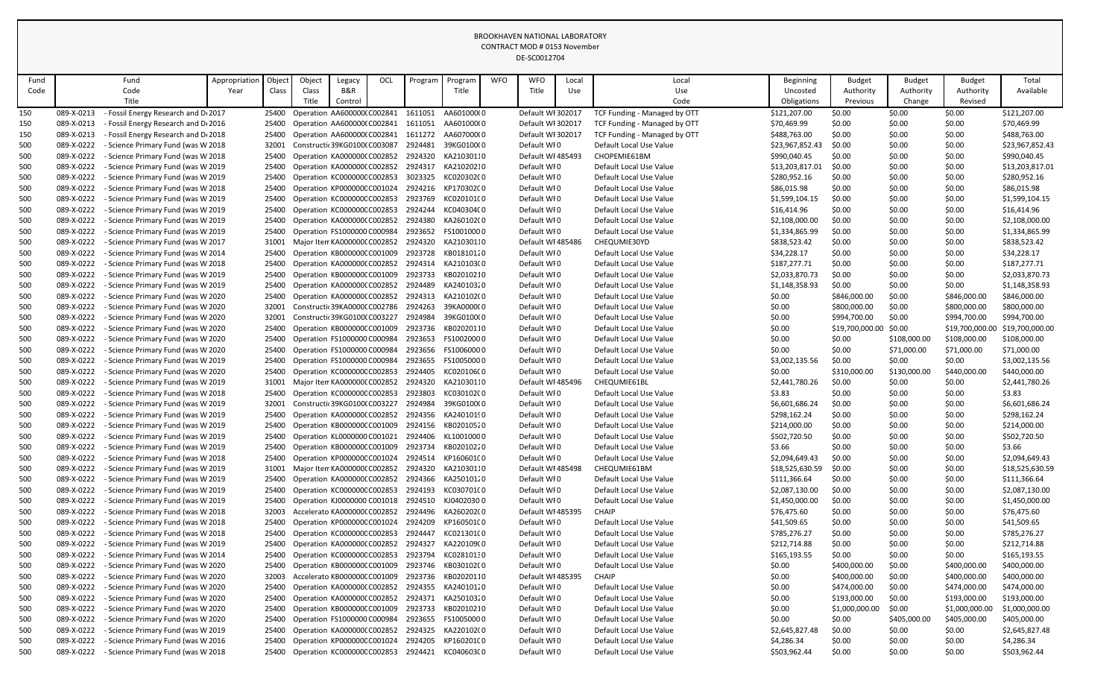|            |                          |                                                                          |               |                |        |                                                             |            |                    |                          |            | DE-SC0012704                     |       |                                                    |                                |                  |                  |                  |                                |
|------------|--------------------------|--------------------------------------------------------------------------|---------------|----------------|--------|-------------------------------------------------------------|------------|--------------------|--------------------------|------------|----------------------------------|-------|----------------------------------------------------|--------------------------------|------------------|------------------|------------------|--------------------------------|
| Fund       |                          | Fund                                                                     | Appropriation | Objec          | Object | Legacy                                                      | <b>OCL</b> | Program            | Program                  | <b>WFO</b> | <b>WFO</b>                       | Local | Local                                              | Beginning                      | <b>Budget</b>    | <b>Budget</b>    | <b>Budget</b>    | Total                          |
| Code       |                          | Code                                                                     | Year          | Class          | Class  | B&R                                                         |            |                    | Title                    |            | Title                            | Use   | Use                                                | Uncosted                       | Authority        | Authority        | Authority        | Available                      |
|            |                          | Title                                                                    |               |                | Title  | Control                                                     |            |                    |                          |            |                                  |       | Code                                               | Obligations                    | Previous         | Change           | Revised          |                                |
| 150        | 089-X-0213               | Fossil Energy Research and D(2017                                        |               | 25400          |        | Operation AA600000(C002841                                  |            | 1611051            | AA601000(0               |            | Default WI 302017                |       | TCF Funding - Managed by OTT                       | \$121,207.00                   | \$0.00           | \$0.00           | \$0.00           | \$121,207.00                   |
| 150        | 089-X-0213               | <b>Fossil Energy Research and De2016</b>                                 |               | 25400          |        | Operation AA6000000 C002841                                 |            | 1611051            | AA601000(0               |            | Default WI 302017                |       | <b>TCF Funding - Managed by OTT</b>                | \$70,469.99                    | \$0.00           | \$0.00           | \$0.00           | \$70,469.99                    |
| 150        | 089-X-0213               | - Fossil Energy Research and D(2018                                      |               | 25400          |        | Operation AA600000(C002841                                  |            | 1611272            | AA607000(0               |            | Default WI 302017                |       | TCF Funding - Managed by OTT                       | \$488,763.00                   | \$0.00           | \$0.00           | \$0.00           | \$488,763.00                   |
| 500        | 089-X-0222               | - Science Primary Fund (was W 2018                                       |               | 32001          |        | Constructic 39KG01000 C003087                               |            | 2924481            | 39KG0100(0               |            | Default WI0                      |       | Default Local Use Value                            | \$23,967,852.43                | \$0.00           | \$0.00           | \$0.00           | \$23,967,852.43                |
| 500        | 089-X-0222               | Science Primary Fund (was W 2018                                         |               | 25400          |        | Operation KA000000(C002852                                  |            | 2924320            | KA21030110               |            | Default WI 485493                |       | CHOPEMIE61BM                                       | \$990,040.45                   | \$0.00           | \$0.00           | \$0.00           | \$990,040.45                   |
| 500        | 089-X-0222               | - Science Primary Fund (was W 2019                                       |               | 25400          |        | Operation KA000000(C002852                                  |            | 2924317            | KA21020210               |            | Default WI0                      |       | Default Local Use Value                            | \$13,203,817.01                | \$0.00           | \$0.00           | \$0.00           | \$13,203,817.01                |
| 500        | 089-X-0222               | Science Primary Fund (was W 2019                                         |               | 25400          |        | Operation KC000000CC002853                                  |            | 3023325            | KC020302C0               |            | Default WI0                      |       | Default Local Use Value                            | \$280,952.16                   | \$0.00           | \$0.00           | \$0.00           | \$280,952.16                   |
| 500        | 089-X-0222               | - Science Primary Fund (was W 2018                                       |               | 25400          |        | Operation KP000000C C001024                                 |            | 2924216            | KP170302C0               |            | Default WI0                      |       | Default Local Use Value                            | \$86,015.98                    | \$0.00           | \$0.00           | \$0.00           | \$86,015.98                    |
| 500        | 089-X-0222               | - Science Primary Fund (was W 2019                                       |               | 25400          |        | Operation KC000000CC002853                                  |            | 2923769            | KC020101(0               |            | Default WI0                      |       | Default Local Use Value                            | \$1,599,104.15                 | \$0.00           | \$0.00           | \$0.00           | \$1,599,104.15                 |
| 500        | 089-X-0222               | Science Primary Fund (was W 2019                                         |               | 25400          |        | Operation KC000000CC002853                                  |            | 2924244            | KC04030400               |            | Default WI0                      |       | Default Local Use Value                            | \$16,414.96                    | \$0.00           | \$0.00           | \$0.00           | \$16,414.96                    |
| 500        | 089-X-0222               | - Science Primary Fund (was W 2019                                       |               | 25400          |        | Operation KA000000(C002852                                  |            | 2924380            | KA260102(0               |            | Default WI0                      |       | Default Local Use Value                            | \$2,108,000.00                 | \$0.00           | \$0.00           | \$0.00           | \$2,108,000.00                 |
| 500        | 089-X-0222               | - Science Primary Fund (was W 2019                                       |               | 25400          |        | Operation FS1000000 C000984<br>Major Item KA0000000 C002852 |            | 2923652            | FS10010000               |            | Default WI0<br>Default WI 485486 |       | Default Local Use Value                            | \$1,334,865.99                 | \$0.00           | \$0.00           | \$0.00           | \$1,334,865.99                 |
| 500        | 089-X-0222<br>089-X-0222 | - Science Primary Fund (was W 2017<br>- Science Primary Fund (was W 2014 |               | 31001<br>25400 |        | Operation KB000000C C001009                                 |            | 2924320<br>2923728 | KA21030110<br>KB01810120 |            | Default WI0                      |       | CHEQUMIE30YD<br>Default Local Use Value            | \$838,523.42<br>\$34,228.17    | \$0.00<br>\$0.00 | \$0.00<br>\$0.00 | \$0.00<br>\$0.00 | \$838,523.42<br>\$34,228.17    |
| 500<br>500 | 089-X-0222               | - Science Primary Fund (was W 2018                                       |               | 25400          |        | Operation KA000000(C002852                                  |            | 2924314            | KA210103(0               |            | Default WI0                      |       | Default Local Use Value                            | \$187,277.71                   | \$0.00           | \$0.00           | \$0.00           | \$187,277.71                   |
| 500        | 089-X-0222               | - Science Primary Fund (was W 2019                                       |               | 25400          |        | Operation KB000000C C001009                                 |            | 2923733            | KB02010210               |            | Default WI0                      |       | Default Local Use Value                            | \$2,033,870.73                 | \$0.00           | \$0.00           | \$0.00           | \$2,033,870.73                 |
| 500        | 089-X-0222               | Science Primary Fund (was W 2019                                         |               | 25400          |        | Operation KA000000(C002852                                  |            | 2924489            | KA24010320               |            | Default WI0                      |       | Default Local Use Value                            | \$1,148,358.93                 | \$0.00           | \$0.00           | \$0.00           | \$1,148,358.93                 |
| 500        | 089-X-0222               | - Science Primary Fund (was W 2020                                       |               | 25400          |        | Operation KA000000(C002852                                  |            | 2924313            | KA210102(0               |            | Default WI0                      |       | Default Local Use Value                            | \$0.00                         | \$846,000.00     | \$0.00           | \$846,000.00     | \$846,000.00                   |
| 500        | 089-X-0222               | - Science Primary Fund (was W 2020                                       |               | 32001          |        | Constructic 39KA00000 C002786                               |            | 2924263            | 39KA000000               |            | Default WI0                      |       | Default Local Use Value                            | \$0.00                         | \$800,000.00     | \$0.00           | \$800,000.00     | \$800,000.00                   |
| 500        | 089-X-0222               | Science Primary Fund (was W 2020                                         |               | 32001          |        | Constructic 39KG01000 C003227                               |            | 2924984            | 39KG0100(0               |            | Default WI0                      |       | Default Local Use Value                            | \$0.00                         | \$994,700.00     | \$0.00           | \$994,700.00     | \$994,700.00                   |
| 500        | 089-X-0222               | - Science Primary Fund (was W 2020                                       |               | 25400          |        | Operation KB000000C C001009                                 |            | 2923736            | KB02020110               |            | Default WI0                      |       | Default Local Use Value                            | \$0.00                         | \$19,700,000.00  | \$0.00           | \$19,700,000.00  | \$19,700,000.00                |
| 500        | 089-X-0222               | - Science Primary Fund (was W 2020                                       |               | 25400          |        | Operation FS1000000 C000984                                 |            | 2923653            | FS10020000               |            | Default WI0                      |       | Default Local Use Value                            | \$0.00                         | \$0.00           | \$108,000.00     | \$108,000.00     | \$108,000.00                   |
| 500        | 089-X-0222               | Science Primary Fund (was W 2020                                         |               | 25400          |        | Operation FS1000000 C000984                                 |            | 2923656            | FS10060000               |            | Default WI0                      |       | Default Local Use Value                            | \$0.00                         | \$0.00           | \$71,000.00      | \$71,000.00      | \$71,000.00                    |
| 500        | 089-X-0222               | - Science Primary Fund (was W 2019                                       |               | 25400          |        | Operation FS1000000 C000984                                 |            | 2923655            | FS10050000               |            | Default WI0                      |       | Default Local Use Value                            | \$3,002,135.56                 | \$0.00           | \$0.00           | \$0.00           | \$3,002,135.56                 |
| 500        | 089-X-0222               | Science Primary Fund (was W 2020                                         |               | 25400          |        | Operation KC000000CC002853                                  |            | 2924405            | KC02010600               |            | Default WI0                      |       | Default Local Use Value                            | \$0.00                         | \$310,000.00     | \$130,000.00     | \$440,000.00     | \$440,000.00                   |
| 500        | 089-X-0222               | - Science Primary Fund (was W 2019                                       |               | 31001          |        | Major Iten KA000000( C002852                                |            | 2924320            | KA21030110               |            | Default WI 485496                |       | CHEQUMIE61BL                                       | \$2,441,780.26                 | \$0.00           | \$0.00           | \$0.00           | \$2,441,780.26                 |
| 500        | 089-X-0222               | Science Primary Fund (was W 2018                                         |               | 25400          |        | Operation KC000000C C002853                                 |            | 2923803            | KC030102C0               |            | Default WI0                      |       | Default Local Use Value                            | \$3.83                         | \$0.00           | \$0.00           | \$0.00           | \$3.83                         |
| 500        | 089-X-0222               | Science Primary Fund (was W 2019                                         |               | 32001          |        | Constructic 39KG01000 C003227                               |            | 2924984            | 39KG0100(0               |            | Default WI0                      |       | Default Local Use Value                            | \$6,601,686.24                 | \$0.00           | \$0.00           | \$0.00           | \$6,601,686.24                 |
| 500        | 089-X-0222               | - Science Primary Fund (was W 2019                                       |               | 25400          |        | Operation KA000000(C002852                                  |            | 2924356            | KA24010190               |            | Default WI0                      |       | Default Local Use Value                            | \$298,162.24                   | \$0.00           | \$0.00           | \$0.00           | \$298,162.24                   |
| 500        | 089-X-0222               | Science Primary Fund (was W 2019                                         |               | 25400          |        | Operation KB000000CC001009                                  |            | 2924156            | KB02010520               |            | Default WI0                      |       | Default Local Use Value                            | \$214,000.00                   | \$0.00           | \$0.00           | \$0.00           | \$214,000.00                   |
| 500        | 089-X-0222               | Science Primary Fund (was W 2019                                         |               | 25400          |        | Operation KL0000000 C001021                                 |            | 2924406            | KL10010000               |            | Default WI0                      |       | Default Local Use Value                            | \$502,720.50                   | \$0.00           | \$0.00           | \$0.00           | \$502,720.50                   |
| 500        | 089-X-0222               | Science Primary Fund (was W 2019                                         |               | 25400          |        | Operation KB000000C C001009                                 |            | 2923734            | KB02010220               |            | Default WI0                      |       | Default Local Use Value                            | \$3.66                         | \$0.00           | \$0.00           | \$0.00           | \$3.66                         |
| 500        | 089-X-0222               | Science Primary Fund (was W 2018                                         |               | 25400          |        | Operation KP000000C C001024                                 |            | 2924514            | KP160601C0               |            | Default WI0                      |       | Default Local Use Value                            | \$2,094,649.43                 | \$0.00           | \$0.00           | \$0.00           | \$2,094,649.43                 |
| 500        | 089-X-0222               | - Science Primary Fund (was W 2019                                       |               | 31001          |        | Major Item KA0000000 C002852                                |            | 2924320            | KA21030110               |            | Default WI 485498                |       | CHEQUMIE61BM                                       | \$18,525,630.59                | \$0.00           | \$0.00           | \$0.00           | \$18,525,630.59                |
| 500        | 089-X-0222<br>089-X-0222 | Science Primary Fund (was W 2019<br>Science Primary Fund (was W 2019     |               | 25400<br>25400 |        | Operation KA0000000 C002852<br>Operation KC000000CC002853   |            | 2924366<br>2924193 | KA25010120<br>KC03070100 |            | Default WI0<br>Default WI0       |       | Default Local Use Value<br>Default Local Use Value | \$111,366.64<br>\$2,087,130.00 | \$0.00           | \$0.00<br>\$0.00 | \$0.00<br>\$0.00 | \$111,366.64<br>\$2,087,130.00 |
| 500<br>500 | 089-X-0222               | - Science Primary Fund (was W 2019                                       |               | 25400          |        | Operation KJ0000000 C001018                                 |            | 2924510            | KJ04020300               |            | Default WI0                      |       | Default Local Use Value                            | \$1,450,000.00                 | \$0.00<br>\$0.00 | \$0.00           | \$0.00           | \$1,450,000.00                 |
| 500        | 089-X-0222               | Science Primary Fund (was W 2018                                         |               | 32003          |        | Accelerato KA0000000 C002852                                |            | 2924496            | KA260202(0               |            | Default WI 485395                |       | <b>CHAIP</b>                                       | \$76,475.60                    | \$0.00           | \$0.00           | \$0.00           | \$76,475.60                    |
| 500        | 089-X-0222               | Science Primary Fund (was W 2018                                         |               | 25400          |        | Operation KP000000C C001024                                 |            | 2924209            | KP160501C0               |            | Default WI0                      |       | Default Local Use Value                            | \$41,509.65                    | \$0.00           | \$0.00           | \$0.00           | \$41,509.65                    |
| 500        | 089-X-0222               | - Science Primary Fund (was W 2018                                       |               | 25400          |        | Operation KC000000CC002853                                  |            | 2924447            | KC021301(0               |            | Default WI0                      |       | Default Local Use Value                            | \$785,276.27                   | \$0.00           | \$0.00           | \$0.00           | \$785,276.27                   |
| 500        | 089-X-0222               | Science Primary Fund (was W 2019                                         |               | 25400          |        | Operation KA0000000 C002852                                 |            | 2924327            | KA220109(0               |            | Default WI0                      |       | Default Local Use Value                            | \$212,714.88                   | \$0.00           | \$0.00           | \$0.00           | \$212,714.88                   |
| 500        | 089-X-0222               | - Science Primary Fund (was W 2014                                       |               | 25400          |        | Operation KC000000CC002853                                  |            | 2923794            | KC02810130               |            | Default WI0                      |       | Default Local Use Value                            | \$165,193.55                   | \$0.00           | \$0.00           | \$0.00           | \$165,193.55                   |
| 500        | 089-X-0222               | - Science Primary Fund (was W 2020                                       |               | 25400          |        | Operation KB0000000 C001009                                 |            | 2923746            | KB030102(0               |            | Default WI0                      |       | Default Local Use Value                            | \$0.00                         | \$400,000.00     | \$0.00           | \$400,000.00     | \$400,000.00                   |
| 500        | 089-X-0222               | Science Primary Fund (was W 2020                                         |               | 32003          |        | Accelerato KB0000000 C001009                                |            | 2923736            | KB02020110               |            | Default WI 485395                |       | <b>CHAIP</b>                                       | \$0.00                         | \$400,000.00     | \$0.00           | \$400,000.00     | \$400,000.00                   |
| 500        | 089-X-0222               | - Science Primary Fund (was W 2020                                       |               | 25400          |        | Operation KA000000(C002852                                  |            | 2924355            | KA24010120               |            | Default WI0                      |       | Default Local Use Value                            | \$0.00                         | \$474,000.00     | \$0.00           | \$474,000.00     | \$474,000.00                   |
| 500        | 089-X-0222               | - Science Primary Fund (was W 2020                                       |               | 25400          |        | Operation KA0000000 C002852                                 |            | 2924371            | KA25010320               |            | Default WI0                      |       | Default Local Use Value                            | \$0.00                         | \$193,000.00     | \$0.00           | \$193,000.00     | \$193,000.00                   |
| 500        | 089-X-0222               | - Science Primary Fund (was W 2020                                       |               | 25400          |        | Operation KB000000C C001009                                 |            | 2923733            | KB02010210               |            | Default WI0                      |       | Default Local Use Value                            | \$0.00                         | \$1,000,000.00   | \$0.00           | \$1,000,000.00   | \$1,000,000.00                 |
| 500        | 089-X-0222               | - Science Primary Fund (was W 2020                                       |               | 25400          |        | Operation FS1000000 C000984                                 |            | 2923655            | FS10050000               |            | Default WI0                      |       | Default Local Use Value                            | \$0.00                         | \$0.00           | \$405,000.00     | \$405,000.00     | \$405,000.00                   |
| 500        | 089-X-0222               | - Science Primary Fund (was W 2019                                       |               | 25400          |        | Operation KA000000(C002852                                  |            | 2924325            | KA220102(0               |            | Default WI0                      |       | Default Local Use Value                            | \$2,645,827.48                 | \$0.00           | \$0.00           | \$0.00           | \$2,645,827.48                 |
| 500        | 089-X-0222               | - Science Primary Fund (was W 2016                                       |               | 25400          |        | Operation KP000000C C001024                                 |            | 2924205            | KP160201C0               |            | Default WI0                      |       | Default Local Use Value                            | \$4,286.34                     | \$0.00           | \$0.00           | \$0.00           | \$4,286.34                     |
| 500        | 089-X-0222               | - Science Primary Fund (was W 2018                                       |               | 25400          |        | Operation KC000000CC002853 2924421                          |            |                    | KC040603C0               |            | Default WFO                      |       | Default Local Use Value                            | \$503,962.44                   | \$0.00           | \$0.00           | \$0.00           | \$503,962.44                   |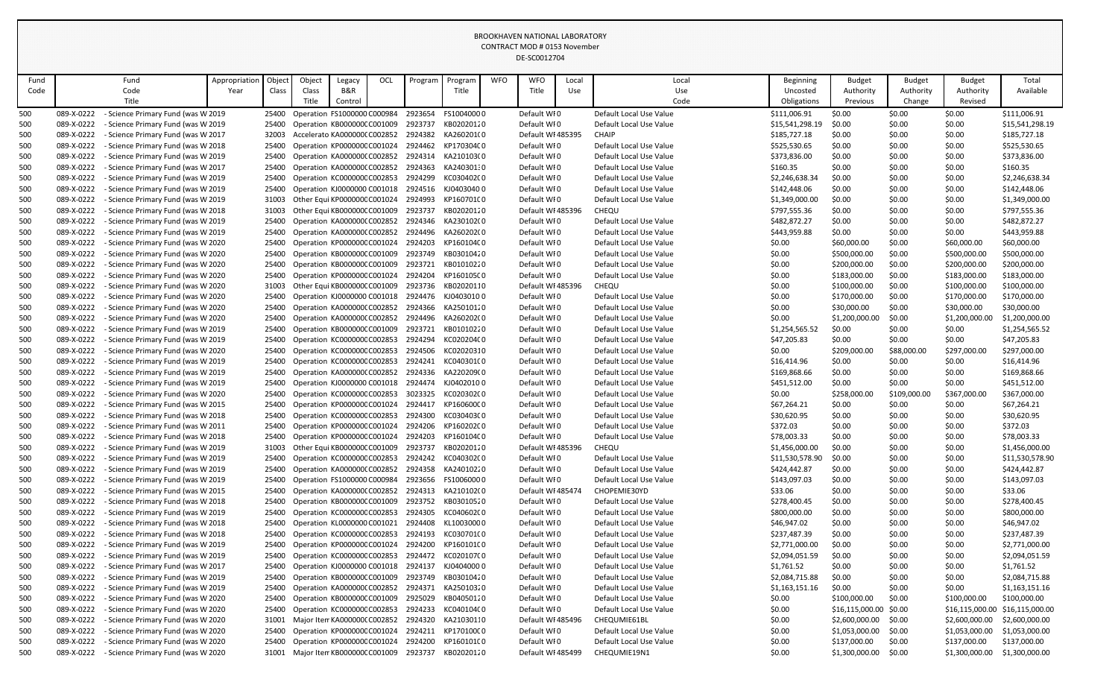|      |            |                                    |               |        |        |                                            |     |         |                                                 |            | COMTRACT MOD # 0133 NOVEMBER<br>DE-SC0012704 |       |                         |                 |                 |               |                 |                 |
|------|------------|------------------------------------|---------------|--------|--------|--------------------------------------------|-----|---------|-------------------------------------------------|------------|----------------------------------------------|-------|-------------------------|-----------------|-----------------|---------------|-----------------|-----------------|
| Fund |            | Fund                               | Appropriation | Object | Object | Legacy                                     | OCL | Program | Program                                         | <b>WFO</b> | <b>WFO</b>                                   | Local | Local                   | Beginning       | <b>Budget</b>   | <b>Budget</b> | <b>Budget</b>   | Total           |
| Code |            | Code                               | Year          | Class  | Class  | B&R                                        |     |         | Title                                           |            | Title                                        | Use   | Use                     | Uncosted        | Authority       | Authority     | Authority       | Available       |
|      |            | Title                              |               |        | Title  | Contro                                     |     |         |                                                 |            |                                              |       | Code                    | Obligations     | Previous        | Change        | Revised         |                 |
| 500  | 089-X-0222 | Science Primary Fund (was W 2019   |               | 25400  |        | Operation FS1000000 C000984                |     | 2923654 | FS10040000                                      |            | Default WI0                                  |       | Default Local Use Value | \$111,006.91    | \$0.00          | \$0.00        | \$0.00          | \$111,006.91    |
| 500  | 089-X-0222 | - Science Primary Fund (was W 2019 |               | 25400  |        | Operation KB0000000 C001009                |     | 2923737 | KB02020120                                      |            | Default WI0                                  |       | Default Local Use Value | \$15,541,298.19 | \$0.00          | \$0.00        | \$0.00          | \$15,541,298.19 |
| 500  | 089-X-0222 | - Science Primary Fund (was W 2017 |               | 32003  |        | Accelerato KA0000000 C002852               |     | 2924382 | KA260201(0                                      |            | Default WI 485395                            |       | <b>CHAIP</b>            | \$185,727.18    | \$0.00          | \$0.00        | \$0.00          | \$185,727.18    |
| 500  | 089-X-0222 | - Science Primary Fund (was W 2018 |               | 25400  |        | Operation KP000000C C001024                |     | 2924462 | KP170304C0                                      |            | Default WI0                                  |       | Default Local Use Value | \$525,530.65    | \$0.00          | \$0.00        | \$0.00          | \$525,530.65    |
| 500  | 089-X-0222 | - Science Primary Fund (was W 2019 |               | 25400  |        | Operation KA0000000 C002852                |     | 2924314 | KA210103(0                                      |            | Default WI0                                  |       | Default Local Use Value | \$373,836.00    | \$0.00          | \$0.00        | \$0.00          | \$373,836.00    |
| 500  | 089-X-0222 | - Science Primary Fund (was W 2017 |               | 25400  |        | Operation KA000000(C002852                 |     | 2924363 | KA24030130                                      |            | Default WI0                                  |       | Default Local Use Value | \$160.35        | \$0.00          | \$0.00        | \$0.00          | \$160.35        |
| 500  | 089-X-0222 | - Science Primary Fund (was W 2019 |               | 25400  |        | Operation KC000000CC002853                 |     | 2924299 | KC030402C0                                      |            | Default WI0                                  |       | Default Local Use Value | \$2,246,638.34  | \$0.00          | \$0.00        | \$0.00          | \$2,246,638.34  |
| 500  | 089-X-0222 | - Science Primary Fund (was W 2019 |               | 25400  |        |                                            |     |         | Operation KJ0000000 C001018 2924516 KJ0403040 0 |            | Default WI0                                  |       | Default Local Use Value | \$142,448.06    | \$0.00          | \$0.00        | \$0.00          | \$142,448.06    |
| 500  | 089-X-0222 | - Science Primary Fund (was W 2019 |               | 31003  |        | Other Equi KP000000C C001024               |     | 2924993 | KP160701C0                                      |            | Default WI0                                  |       | Default Local Use Value | \$1,349,000.00  | \$0.00          | \$0.00        | \$0.00          | \$1,349,000.00  |
| 500  | 089-X-0222 | - Science Primary Fund (was W 2018 |               | 31003  |        | Other Equi KB0000000 C001009               |     | 2923737 | KB02020120                                      |            | Default WI 485396                            |       | <b>CHEQU</b>            | \$797,555.36    | \$0.00          | \$0.00        | \$0.00          | \$797,555.36    |
| 500  | 089-X-0222 | - Science Primary Fund (was W 2019 |               | 25400  |        | Operation KA000000(C002852                 |     | 2924346 | KA230102(0                                      |            | Default WI0                                  |       | Default Local Use Value | \$482,872.27    | \$0.00          | \$0.00        | \$0.00          | \$482,872.27    |
| 500  | 089-X-0222 | - Science Primary Fund (was W 2019 |               | 25400  |        | Operation KA0000000 C002852                |     | 2924496 | KA260202(0                                      |            | Default WI0                                  |       | Default Local Use Value | \$443,959.88    | \$0.00          | \$0.00        | \$0.00          | \$443,959.88    |
| 500  | 089-X-0222 | - Science Primary Fund (was W 2020 |               | 25400  |        | Operation KP000000C C001024                |     | 2924203 | KP160104C0                                      |            | Default WI0                                  |       | Default Local Use Value | \$0.00          | \$60,000.00     | \$0.00        | \$60,000.00     | \$60,000.00     |
| 500  | 089-X-0222 | - Science Primary Fund (was W 2020 |               | 25400  |        | Operation KB000000C C001009                |     | 2923749 | KB03010420                                      |            | Default WI0                                  |       | Default Local Use Value | \$0.00          | \$500,000.00    | \$0.00        | \$500,000.00    | \$500,000.00    |
| 500  | 089-X-0222 | - Science Primary Fund (was W 2020 |               | 25400  |        | Operation KB000000CC001009                 |     | 2923721 | KB01010220                                      |            | Default WI0                                  |       | Default Local Use Value | \$0.00          | \$200,000.00    | \$0.00        | \$200,000.00    | \$200,000.00    |
| 500  | 089-X-0222 | - Science Primary Fund (was W 2020 |               | 25400  |        | Operation KP000000C C001024                |     | 2924204 | KP160105C0                                      |            | Default WI0                                  |       | Default Local Use Value | \$0.00          | \$183,000.00    | \$0.00        | \$183,000.00    | \$183,000.00    |
| 500  | 089-X-0222 | - Science Primary Fund (was W 2020 |               | 31003  |        | Other Equi KB000000C C001009               |     | 2923736 | KB02020110                                      |            | Default WI 485396                            |       | CHEQU                   | \$0.00          | \$100,000.00    | \$0.00        | \$100,000.00    | \$100,000.00    |
| 500  | 089-X-0222 | - Science Primary Fund (was W 2020 |               | 25400  |        | Operation KJ0000000 C001018                |     | 2924476 | KJ04030100                                      |            | Default WI0                                  |       | Default Local Use Value | \$0.00          | \$170,000.00    | \$0.00        | \$170,000.00    | \$170,000.00    |
| 500  | 089-X-0222 | - Science Primary Fund (was W 2020 |               | 25400  |        | Operation KA0000000 C002852                |     | 2924366 | KA25010120                                      |            | Default WI0                                  |       | Default Local Use Value | \$0.00          | \$30,000.00     | \$0.00        | \$30,000.00     | \$30,000.00     |
| 500  | 089-X-0222 | - Science Primary Fund (was W 2020 |               | 25400  |        | Operation KA0000000 C002852                |     | 2924496 | KA260202(0                                      |            | Default WI0                                  |       | Default Local Use Value | \$0.00          | \$1,200,000.00  | \$0.00        | \$1,200,000.00  | \$1,200,000.00  |
| 500  | 089-X-0222 | - Science Primary Fund (was W 2019 |               | 25400  |        | Operation KB000000C C001009                |     | 2923721 | KB01010220                                      |            | Default WI0                                  |       | Default Local Use Value | \$1,254,565.52  | \$0.00          | \$0.00        | \$0.00          | \$1,254,565.52  |
| 500  | 089-X-0222 | - Science Primary Fund (was W 2019 |               | 25400  |        | Operation KC000000C C002853                |     | 2924294 | KC020204C0                                      |            | Default WI0                                  |       | Default Local Use Value | \$47,205.83     | \$0.00          | \$0.00        | \$0.00          | \$47,205.83     |
| 500  | 089-X-0222 | - Science Primary Fund (was W 2020 |               | 25400  |        | Operation KC000000C C002853                |     | 2924506 | KC02020310                                      |            | Default WI0                                  |       | Default Local Use Value | \$0.00          | \$209,000.00    | \$88,000.00   | \$297,000.00    | \$297,000.00    |
| 500  | 089-X-0222 | - Science Primary Fund (was W 2019 |               | 25400  |        | Operation KC000000C C002853                |     | 2924241 | KC040301C0                                      |            | Default WI0                                  |       | Default Local Use Value | \$16,414.96     | \$0.00          | \$0.00        | \$0.00          | \$16,414.96     |
| 500  | 089-X-0222 | - Science Primary Fund (was W 2019 |               | 25400  |        | Operation KA000000(C002852                 |     | 2924336 | KA220209(0                                      |            | Default WI0                                  |       | Default Local Use Value | \$169,868.66    | \$0.00          | \$0.00        | \$0.00          | \$169,868.66    |
| 500  | 089-X-0222 | - Science Primary Fund (was W 2019 |               | 25400  |        | Operation KJ0000000 C001018                |     | 2924474 | KJ0402010 C                                     |            | Default WI0                                  |       | Default Local Use Value | \$451,512.00    | \$0.00          | \$0.00        | \$0.00          | \$451,512.00    |
| 500  | 089-X-0222 | - Science Primary Fund (was W 2020 |               | 25400  |        | Operation KC000000CC002853                 |     | 3023325 | KC020302C0                                      |            | Default WI0                                  |       | Default Local Use Value | \$0.00          | \$258,000.00    | \$109,000.00  | \$367,000.00    | \$367,000.00    |
| 500  | 089-X-0222 | - Science Primary Fund (was W 2015 |               | 25400  |        | Operation KP000000C C001024                |     | 2924417 | KP160600C0                                      |            | Default WI0                                  |       | Default Local Use Value | \$67,264.21     | \$0.00          | \$0.00        | \$0.00          | \$67,264.21     |
| 500  | 089-X-0222 | Science Primary Fund (was W 2018   |               | 25400  |        | Operation KC000000CC002853 2924300         |     |         | KC030403C0                                      |            | Default WI0                                  |       | Default Local Use Value | \$30,620.95     | \$0.00          | \$0.00        | \$0.00          | \$30,620.95     |
| 500  | 089-X-0222 | - Science Primary Fund (was W 2011 |               | 25400  |        | Operation KP000000C C001024                |     | 2924206 | KP160202C0                                      |            | Default WI0                                  |       | Default Local Use Value | \$372.03        | \$0.00          | \$0.00        | \$0.00          | \$372.03        |
| 500  | 089-X-0222 | - Science Primary Fund (was W 2018 |               | 25400  |        | Operation KP000000C C001024                |     | 2924203 | KP160104C0                                      |            | Default WI0                                  |       | Default Local Use Value | \$78,003.33     | \$0.00          | \$0.00        | \$0.00          | \$78,003.33     |
| 500  | 089-X-0222 | - Science Primary Fund (was W 2019 |               | 31003  |        | Other Equi KB0000000 C001009               |     | 2923737 | KB02020120                                      |            | Default WI 485396                            |       | CHEQU                   | \$1,456,000.00  | \$0.00          | \$0.00        | \$0.00          | \$1,456,000.00  |
| 500  | 089-X-0222 | - Science Primary Fund (was W 2019 |               | 25400  |        | Operation KC000000CC002853                 |     | 2924242 | KC040302C0                                      |            | Default WI0                                  |       | Default Local Use Value | \$11,530,578.90 | \$0.00          | \$0.00        | \$0.00          | \$11,530,578.90 |
| 500  | 089-X-0222 | - Science Primary Fund (was W 2019 |               | 25400  |        | Operation KA0000000 C002852                |     | 2924358 | KA24010220                                      |            | Default WI0                                  |       | Default Local Use Value | \$424,442.87    | \$0.00          | \$0.00        | \$0.00          | \$424,442.87    |
| 500  | 089-X-0222 | - Science Primary Fund (was W 2019 |               | 25400  |        | Operation FS1000000 C000984                |     | 2923656 | FS10060000                                      |            | Default WI0                                  |       | Default Local Use Value | \$143,097.03    | \$0.00          | \$0.00        | \$0.00          | \$143,097.03    |
| 500  | 089-X-0222 | - Science Primary Fund (was W 2015 |               | 25400  |        | Operation KA000000(C002852                 |     | 2924313 | KA210102(0                                      |            | Default WI 485474                            |       | CHOPEMIE30YD            | \$33.06         | \$0.00          | \$0.00        | \$0.00          | \$33.06         |
| 500  | 089-X-0222 | - Science Primary Fund (was W 2018 |               | 25400  |        | Operation KB000000CC001009 2923752         |     |         | KB03010520                                      |            | Default WI0                                  |       | Default Local Use Value | \$278,400.45    | \$0.00          | \$0.00        | \$0.00          | \$278,400.45    |
| 500  | 089-X-0222 | - Science Primary Fund (was W 2019 |               | 25400  |        | Operation KC000000CC002853                 |     | 2924305 | KC040602C0                                      |            | Default WI0                                  |       | Default Local Use Value | \$800,000.00    | \$0.00          | \$0.00        | \$0.00          | \$800,000.00    |
| 500  | 089-X-0222 | - Science Primary Fund (was W 2018 |               | 25400  |        | Operation KL0000000 C001021 2924408        |     |         | KL10030000                                      |            | Default WI0                                  |       | Default Local Use Value | \$46,947.02     | \$0.00          | \$0.00        | \$0.00          | \$46,947.02     |
| 500  | 089-X-0222 | - Science Primary Fund (was W 2018 |               | 25400  |        | Operation KC000000C C002853                |     | 2924193 | KC030701C0                                      |            | Default WI0                                  |       | Default Local Use Value | \$237,487.39    | \$0.00          | \$0.00        | \$0.00          | \$237,487.39    |
| 500  | 089-X-0222 | - Science Primary Fund (was W 2019 |               | 25400  |        | Operation KP000000C C001024                |     | 2924200 | KP160101C0                                      |            | Default WIO                                  |       | Default Local Use Value | \$2,771,000.00  | \$0.00          | \$0.00        | \$0.00          | \$2,771,000.00  |
| 500  | 089-X-0222 | - Science Primary Fund (was W 2019 |               | 25400  |        | Operation KC000000CC002853 2924472         |     |         | KC020107C0                                      |            | Default WI0                                  |       | Default Local Use Value | \$2,094,051.59  | \$0.00          | \$0.00        | \$0.00          | \$2,094,051.59  |
| 500  | 089-X-0222 | - Science Primary Fund (was W 2017 |               | 25400  |        | Operation KJ0000000 C001018                |     | 2924137 | KJ04040000                                      |            | Default WI0                                  |       | Default Local Use Value | \$1,761.52      | \$0.00          | \$0.00        | \$0.00          | \$1,761.52      |
| 500  | 089-X-0222 | - Science Primary Fund (was W 2019 |               | 25400  |        | Operation KB0000000 C001009                |     | 2923749 | KB03010420                                      |            | Default WI0                                  |       | Default Local Use Value | \$2,084,715.88  | \$0.00          | \$0.00        | \$0.00          | \$2,084,715.88  |
| 500  | 089-X-0222 | - Science Primary Fund (was W 2019 |               | 25400  |        | Operation KA000000(C002852 2924371         |     |         | KA25010320                                      |            | Default WI0                                  |       | Default Local Use Value | \$1,163,151.16  | \$0.00          | \$0.00        | \$0.00          | \$1,163,151.16  |
| 500  | 089-X-0222 | - Science Primary Fund (was W 2020 |               | 25400  |        | Operation KB000000CC001009                 |     | 2925029 | KB04050120                                      |            | Default WI0                                  |       | Default Local Use Value | \$0.00          | \$100,000.00    | \$0.00        | \$100,000.00    | \$100,000.00    |
| 500  | 089-X-0222 | Science Primary Fund (was W 2020   |               | 25400  |        | Operation KC000000CC002853                 |     | 2924233 | KC040104C0                                      |            | Default WI0                                  |       | Default Local Use Value | \$0.00          | \$16,115,000.00 | \$0.00        | \$16,115,000.00 | \$16,115,000.00 |
| 500  | 089-X-0222 | - Science Primary Fund (was W 2020 |               | 31001  |        | Major Iten KA000000( C002852               |     | 2924320 | KA21030110                                      |            | Default WI 485496                            |       | CHEQUMIE61BL            | \$0.00          | \$2,600,000.00  | \$0.00        | \$2,600,000.00  | \$2,600,000.00  |
| 500  | 089-X-0222 | - Science Primary Fund (was W 2020 |               | 25400  |        | Operation KP000000C C001024                |     | 2924211 | KP170100C0                                      |            | Default WI0                                  |       | Default Local Use Value | \$0.00          | \$1,053,000.00  | \$0.00        | \$1,053,000.00  | \$1,053,000.00  |
| 500  | 089-X-0222 | - Science Primary Fund (was W 2020 |               | 25400  |        | Operation KP000000C C001024                |     | 2924200 | KP160101C0                                      |            | Default WI0                                  |       | Default Local Use Value | \$0.00          | \$137,000.00    | \$0.00        | \$137,000.00    | \$137,000.00    |
| 500  | 089-X-0222 | - Science Primary Fund (was W 2020 |               |        |        | 31001 Major Item KB0000000 C001009 2923737 |     |         | KB02020120                                      |            | Default WI 485499                            |       | CHEQUMIE19N1            | \$0.00          | \$1,300,000.00  | \$0.00        | \$1,300,000.00  | \$1,300,000.00  |
|      |            |                                    |               |        |        |                                            |     |         |                                                 |            |                                              |       |                         |                 |                 |               |                 |                 |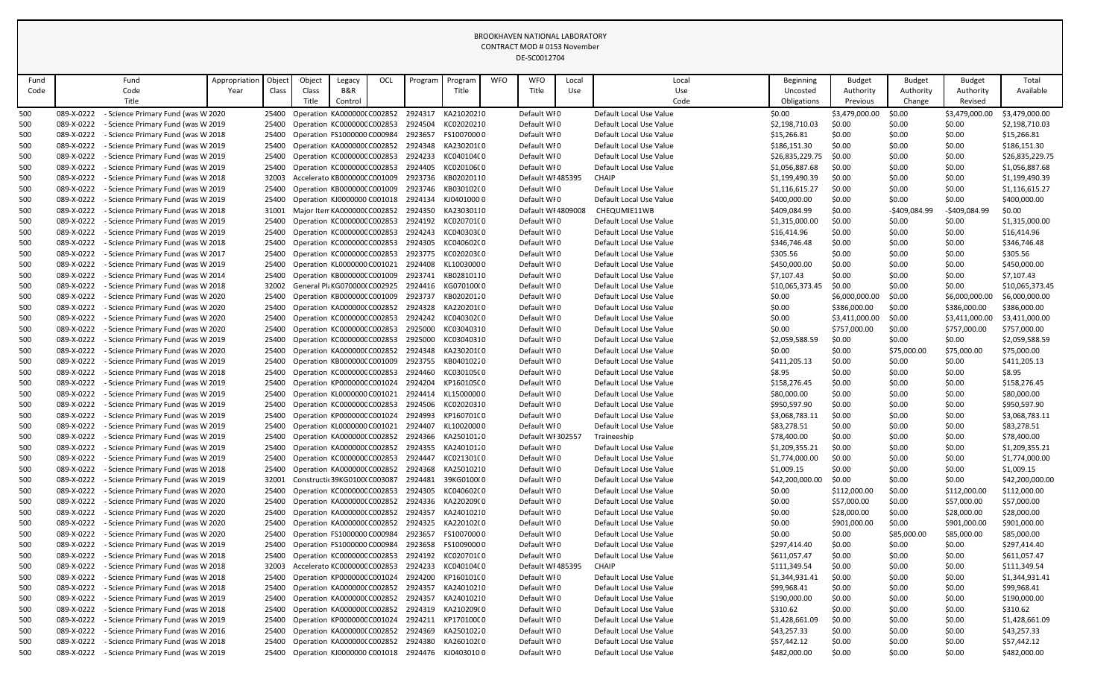|            |                          |                                                                          |               |        |        |                                                                        |     |                    |                                                       |            | CONTRACT MOD # 0153 NOVEMBER<br>DE-SC0012704 |       |                                                    |                                |                            |                            |                            |                                |
|------------|--------------------------|--------------------------------------------------------------------------|---------------|--------|--------|------------------------------------------------------------------------|-----|--------------------|-------------------------------------------------------|------------|----------------------------------------------|-------|----------------------------------------------------|--------------------------------|----------------------------|----------------------------|----------------------------|--------------------------------|
| Fund       |                          |                                                                          | Appropriation | Object | Object |                                                                        | OCL | Program            |                                                       | <b>WFO</b> | <b>WFO</b>                                   | Local | Local                                              |                                |                            |                            |                            | Total                          |
| Code       |                          | Fund<br>Code                                                             | Year          | Class  | Class  | Legacy<br>B&R                                                          |     |                    | Program<br>Title                                      |            | Title                                        | Use   | Use                                                | Beginning<br>Uncosted          | <b>Budget</b><br>Authority | <b>Budget</b><br>Authority | <b>Budget</b><br>Authority | Available                      |
|            |                          | Title                                                                    |               |        | Title  | Control                                                                |     |                    |                                                       |            |                                              |       | Code                                               | Obligations                    | Previous                   | Change                     | Revised                    |                                |
| 500        | 089-X-0222               | Science Primary Fund (was W 2020                                         |               | 25400  |        | Operation KA000000(C002852                                             |     | 2924317            | KA21020210                                            |            | Default WI0                                  |       | Default Local Use Value                            | \$0.00                         | \$3,479,000.00             | \$0.00                     | \$3,479,000.00             | \$3,479,000.00                 |
| 500        | 089-X-0222               | - Science Primary Fund (was W 2019                                       |               | 25400  |        | Operation KC000000C C002853                                            |     | 2924504            | KC02020210                                            |            | Default WI0                                  |       | Default Local Use Value                            | \$2,198,710.03                 | \$0.00                     | \$0.00                     | \$0.00                     | \$2,198,710.03                 |
| 500        | 089-X-0222               | - Science Primary Fund (was W 2018                                       |               | 25400  |        | Operation FS1000000 C000984                                            |     | 2923657            | FS10070000                                            |            | Default WI0                                  |       | Default Local Use Value                            | \$15,266.81                    | \$0.00                     | \$0.00                     | \$0.00                     | \$15,266.81                    |
| 500        | 089-X-0222               | - Science Primary Fund (was W 2019                                       |               | 25400  |        | Operation KA000000(C002852                                             |     | 2924348            | KA230201(0                                            |            | Default WI0                                  |       | Default Local Use Value                            | \$186,151.30                   | \$0.00                     | \$0.00                     | \$0.00                     | \$186,151.30                   |
| 500        | 089-X-0222               | Science Primary Fund (was W 2019                                         |               | 25400  |        | Operation KC000000C C002853                                            |     | 2924233            | KC04010400                                            |            | Default WI0                                  |       | Default Local Use Value                            | \$26,835,229.75                | \$0.00                     | \$0.00                     | \$0.00                     | \$26,835,229.75                |
| 500        | 089-X-0222               | - Science Primary Fund (was W 2019                                       |               | 25400  |        | Operation KC000000CC002853                                             |     | 2924405            | KC02010600                                            |            | Default WI0                                  |       | Default Local Use Value                            | \$1,056,887.68                 | \$0.00                     | \$0.00                     | \$0.00                     | \$1,056,887.68                 |
| 500        | 089-X-0222               | Science Primary Fund (was W 2018                                         |               | 32003  |        | Accelerato KB000000C C001009                                           |     | 2923736            | KB02020110                                            |            | Default WI 485395                            |       | <b>CHAIP</b>                                       | \$1,199,490.39                 | \$0.00                     | \$0.00                     | \$0.00                     | \$1,199,490.39                 |
| 500        | 089-X-0222               | - Science Primary Fund (was W 2019                                       |               | 25400  |        | Operation KB000000C C001009                                            |     | 2923746            | KB030102(0                                            |            | Default WI0                                  |       | Default Local Use Value                            | \$1,116,615.27                 | \$0.00                     | \$0.00                     | \$0.00                     | \$1,116,615.27                 |
| 500        | 089-X-0222               | - Science Primary Fund (was W 2019                                       |               | 25400  |        | Operation KJ0000000 C001018                                            |     | 2924134            | KJ04010000                                            |            | Default WI0                                  |       | Default Local Use Value                            | \$400,000.00                   | \$0.00                     | \$0.00                     | \$0.00                     | \$400,000.00                   |
| 500        | 089-X-0222               | - Science Primary Fund (was W 2018                                       |               | 31001  |        | Major Iten KA0000000 C002852                                           |     | 2924350            | KA23030110                                            |            | Default WI 4809008                           |       | CHEQUMIE11WB                                       | \$409,084.99                   | \$0.00                     | -\$409,084.99              | -\$409,084.99              | \$0.00                         |
| 500        | 089-X-0222               | - Science Primary Fund (was W 2019                                       |               | 25400  |        | Operation KC000000CC002853                                             |     | 2924192            | KC020701C0                                            |            | Default WI0                                  |       | Default Local Use Value                            | \$1,315,000.00                 | \$0.00                     | \$0.00                     | \$0.00                     | \$1,315,000.00                 |
| 500        | 089-X-0222               | - Science Primary Fund (was W 2019                                       |               | 25400  |        | Operation KC000000CC002853                                             |     | 2924243            | KC040303C0                                            |            | Default WI0                                  |       | Default Local Use Value                            | \$16,414.96                    | \$0.00                     | \$0.00                     | \$0.00                     | \$16,414.96                    |
| 500        | 089-X-0222               | - Science Primary Fund (was W 2018                                       |               | 25400  |        | Operation KC000000CC002853                                             |     | 2924305            | KC040602C0                                            |            | Default WI0                                  |       | Default Local Use Value                            | \$346,746.48                   | \$0.00                     | \$0.00                     | \$0.00                     | \$346,746.48                   |
| 500        | 089-X-0222               | - Science Primary Fund (was W 2017                                       |               | 25400  |        | Operation KC000000C C002853                                            |     | 2923775            | KC020203C0                                            |            | Default WI0                                  |       | Default Local Use Value                            | \$305.56                       | \$0.00                     | \$0.00                     | \$0.00                     | \$305.56                       |
| 500        | 089-X-0222               | Science Primary Fund (was W 2019                                         |               | 25400  |        | Operation KL0000000 C001021                                            |     | 2924408            | KL10030000                                            |            | Default WI0                                  |       | Default Local Use Value                            | \$450,000.00                   | \$0.00                     | \$0.00                     | \$0.00                     | \$450,000.00                   |
| 500        | 089-X-0222               | - Science Primary Fund (was W 2014                                       |               | 25400  |        | Operation KB000000C C001009                                            |     | 2923741            | KB02810110                                            |            | Default WI0                                  |       | Default Local Use Value                            | \$7,107.43                     | \$0.00                     | \$0.00                     | \$0.00                     | \$7,107.43                     |
| 500        | 089-X-0222               | - Science Primary Fund (was W 2018                                       |               | 32002  |        | General PlaKG070000(C002925                                            |     | 2924416            | KG070100(0                                            |            | Default WI0                                  |       | Default Local Use Value                            | \$10,065,373.45                | \$0.00                     | \$0.00                     | \$0.00                     | \$10,065,373.45                |
| 500        | 089-X-0222               | Science Primary Fund (was W 2020                                         |               | 25400  |        | Operation KB000000C C001009                                            |     | 2923737            | KB02020120                                            |            | Default WI0                                  |       | Default Local Use Value                            | \$0.00                         | \$6,000,000.00             | \$0.00                     | \$6,000,000.00             | \$6,000,000.00                 |
| 500        | 089-X-0222               | - Science Primary Fund (was W 2020                                       |               | 25400  |        | Operation KA0000000 C002852                                            |     | 2924328            | KA220201(0                                            |            | Default WI0                                  |       | Default Local Use Value                            | \$0.00                         | \$386,000.00               | \$0.00                     | \$386,000.00               | \$386,000.00                   |
| 500        | 089-X-0222               | Science Primary Fund (was W 2020                                         |               | 25400  |        | Operation KC000000C C002853                                            |     | 2924242            | KC040302C0                                            |            | Default WI0                                  |       | Default Local Use Value                            | \$0.00                         | \$3,411,000.00             | \$0.00                     | \$3,411,000.00             | \$3,411,000.00                 |
| 500        | 089-X-0222               | - Science Primary Fund (was W 2020                                       |               | 25400  |        | Operation KC000000CC002853                                             |     | 2925000            | KC03040310                                            |            | Default WI0                                  |       | Default Local Use Value                            | \$0.00                         | \$757,000.00               | \$0.00                     | \$757,000.00               | \$757,000.00                   |
| 500        | 089-X-0222               | - Science Primary Fund (was W 2019                                       |               | 25400  |        | Operation KC000000CC002853                                             |     | 2925000            | KC03040310                                            |            | Default WI0                                  |       | Default Local Use Value                            | \$2,059,588.59                 | \$0.00                     | \$0.00                     | \$0.00                     | \$2,059,588.59                 |
| 500        | 089-X-0222               | Science Primary Fund (was W 2020                                         |               | 25400  |        | Operation KA000000(C002852                                             |     | 2924348            | KA230201(0                                            |            | Default WI0                                  |       | Default Local Use Value                            | \$0.00                         | \$0.00                     | \$75,000.00                | \$75,000.00                | \$75,000.00                    |
| 500        | 089-X-0222               | - Science Primary Fund (was W 2019                                       |               | 25400  |        | Operation KB000000C C001009                                            |     | 2923755            | KB04010220                                            |            | Default WI0                                  |       | Default Local Use Value                            | \$411,205.13                   | \$0.00                     | \$0.00                     | \$0.00                     | \$411,205.13                   |
| 500        | 089-X-0222               | - Science Primary Fund (was W 2018                                       |               |        |        | 25400 Operation KC0000000 C002853                                      |     | 2924460            | KC030105C0                                            |            | Default WI0                                  |       | Default Local Use Value                            | \$8.95                         | \$0.00                     | \$0.00                     | \$0.00                     | \$8.95                         |
| 500        | 089-X-0222               | - Science Primary Fund (was W 2019                                       |               |        |        | 25400 Operation KP000000CC001024 2924204                               |     |                    | KP160105C0                                            |            | Default WFO                                  |       | Default Local Use Value                            | \$158,276.45                   | \$0.00                     | \$0.00                     | \$0.00                     | \$158,276.45                   |
| 500        | 089-X-0222               | - Science Primary Fund (was W 2019                                       |               |        |        | Operation KL0000000 C001021                                            |     |                    | 2924414 KL15000000                                    |            | Default WIO                                  |       | Default Local Use Value                            | \$80,000.00                    | \$0.00                     | \$0.00                     | \$0.00                     | \$80,000.00                    |
| 500        | 089-X-0222<br>089-X-0222 | - Science Primary Fund (was W 2019<br>- Science Primary Fund (was W 2019 |               |        |        | 25400 Operation KC0000000 C002853<br>25400 Operation KP000000C C001024 |     | 2924506<br>2924993 | KC02020310<br>KP160701C0                              |            | Default WI0<br>Default WI0                   |       | Default Local Use Value<br>Default Local Use Value | \$950,597.90<br>\$3,068,783.11 | \$0.00                     | \$0.00<br>\$0.00           | \$0.00<br>\$0.00           | \$950,597.90<br>\$3,068,783.11 |
| 500<br>500 | 089-X-0222               | - Science Primary Fund (was W 2019                                       |               |        |        | 25400 Operation KL0000000 C001021                                      |     | 2924407            | KL10020000                                            |            | Default WI0                                  |       | Default Local Use Value                            | \$83,278.51                    | \$0.00<br>\$0.00           | \$0.00                     | \$0.00                     | \$83,278.51                    |
| 500        | 089-X-0222               | - Science Primary Fund (was W 2019                                       |               | 25400  |        | Operation KA000000(C002852                                             |     | 2924366            | KA25010120                                            |            | Default WI 302557                            |       | Traineeship                                        | \$78,400.00                    | \$0.00                     | \$0.00                     | \$0.00                     | \$78,400.00                    |
| 500        | 089-X-0222               | - Science Primary Fund (was W 2019                                       |               | 25400  |        | Operation KA0000000 C002852                                            |     | 2924355            | KA24010120                                            |            | Default WI0                                  |       | Default Local Use Value                            | \$1,209,355.21                 | \$0.00                     | \$0.00                     | \$0.00                     | \$1,209,355.21                 |
| 500        | 089-X-0222               | Science Primary Fund (was W 2019                                         |               | 25400  |        | Operation KC000000C C002853                                            |     | 2924447            | KC021301C0                                            |            | Default WFO                                  |       | Default Local Use Value                            | \$1,774,000.00                 | \$0.00                     | \$0.00                     | \$0.00                     | \$1,774,000.00                 |
| 500        | 089-X-0222               | Science Primary Fund (was W 2018                                         |               |        |        | 25400 Operation KA0000000 C002852                                      |     | 2924368            | KA25010210                                            |            | Default WI0                                  |       | Default Local Use Value                            | \$1,009.15                     | \$0.00                     | \$0.00                     | \$0.00                     | \$1,009.15                     |
| 500        | 089-X-0222               | - Science Primary Fund (was W 2019                                       |               | 32001  |        | Constructic 39KG01000 C003087                                          |     | 2924481            | 39KG0100(0                                            |            | Default WI0                                  |       | Default Local Use Value                            | \$42,200,000.00                | \$0.00                     | \$0.00                     | \$0.00                     | \$42,200,000.00                |
| 500        | 089-X-0222               | Science Primary Fund (was W 2020                                         |               | 25400  |        | Operation KC000000C C002853                                            |     | 2924305            | KC040602C0                                            |            | Default WI0                                  |       | Default Local Use Value                            | \$0.00                         | \$112,000.00               | \$0.00                     | \$112,000.00               | \$112,000.00                   |
| 500        | 089-X-0222               | - Science Primary Fund (was W 2020                                       |               | 25400  |        | Operation KA0000000 C002852                                            |     |                    | 2924336 KA220209(0                                    |            | Default WI0                                  |       | Default Local Use Value                            | \$0.00                         | \$57,000.00                | \$0.00                     | \$57,000.00                | \$57,000.00                    |
| 500        | 089-X-0222               | - Science Primary Fund (was W 2020                                       |               |        |        | 25400 Operation KA0000000 C002852                                      |     | 2924357            | KA24010210                                            |            | Default WI0                                  |       | Default Local Use Value                            | \$0.00                         | \$28,000.00                | \$0.00                     | \$28,000.00                | \$28,000.00                    |
| 500        | 089-X-0222               | Science Primary Fund (was W 2020                                         |               | 25400  |        | Operation KA0000000 C002852                                            |     | 2924325            | KA220102(0                                            |            | Default WI0                                  |       | Default Local Use Value                            | \$0.00                         | \$901,000.00               | \$0.00                     | \$901,000.00               | \$901,000.00                   |
| 500        | 089-X-0222               | - Science Primary Fund (was W 2020                                       |               | 25400  |        | Operation FS1000000 C000984                                            |     | 2923657            | FS10070000                                            |            | Default WI0                                  |       | Default Local Use Value                            | \$0.00                         | \$0.00                     | \$85,000.00                | \$85,000.00                | \$85,000.00                    |
| 500        | 089-X-0222               | - Science Primary Fund (was W 2019                                       |               |        |        | 25400 Operation FS1000000 C000984                                      |     | 2923658            | FS10090000                                            |            | Default WI0                                  |       | Default Local Use Value                            | \$297,414.40                   | \$0.00                     | \$0.00                     | \$0.00                     | \$297,414.40                   |
| 500        | 089-X-0222               | - Science Primary Fund (was W 2018                                       |               | 25400  |        | Operation KC000000CC002853                                             |     | 2924192            | KC020701C0                                            |            | Default WI0                                  |       | Default Local Use Value                            | \$611,057.47                   | \$0.00                     | \$0.00                     | \$0.00                     | \$611,057.47                   |
| 500        | 089-X-0222               | - Science Primary Fund (was W 2018                                       |               | 32003  |        | Accelerato KC000000C C002853                                           |     | 2924233            | KC04010400                                            |            | Default WI 485395                            |       | <b>CHAIP</b>                                       | \$111,349.54                   | \$0.00                     | \$0.00                     | \$0.00                     | \$111,349.54                   |
| 500        | 089-X-0222               | - Science Primary Fund (was W 2018                                       |               | 25400  |        | Operation KP000000C C001024                                            |     | 2924200            | KP160101C0                                            |            | Default WI0                                  |       | Default Local Use Value                            | \$1,344,931.41                 | \$0.00                     | \$0.00                     | \$0.00                     | \$1,344,931.41                 |
| 500        | 089-X-0222               | - Science Primary Fund (was W 2018                                       |               | 25400  |        | Operation KA0000000 C002852                                            |     | 2924357            | KA24010210                                            |            | Default WI0                                  |       | Default Local Use Value                            | \$99,968.41                    | \$0.00                     | \$0.00                     | \$0.00                     | \$99,968.41                    |
| 500        | 089-X-0222               | - Science Primary Fund (was W 2019                                       |               |        |        | 25400 Operation KA0000000 C002852                                      |     | 2924357            | KA24010210                                            |            | Default WI0                                  |       | Default Local Use Value                            | \$190,000.00                   | \$0.00                     | \$0.00                     | \$0.00                     | \$190,000.00                   |
| 500        | 089-X-0222               | - Science Primary Fund (was W 2018                                       |               |        |        | 25400 Operation KA0000000 C002852                                      |     | 2924319            | KA210209(0                                            |            | Default WI0                                  |       | Default Local Use Value                            | \$310.62                       | \$0.00                     | \$0.00                     | \$0.00                     | \$310.62                       |
| 500        | 089-X-0222               | - Science Primary Fund (was W 2019                                       |               | 25400  |        | Operation KP000000C C001024                                            |     | 2924211            | KP170100C0                                            |            | Default WI0                                  |       | Default Local Use Value                            | \$1,428,661.09                 | \$0.00                     | \$0.00                     | \$0.00                     | \$1,428,661.09                 |
| 500        | 089-X-0222               | - Science Primary Fund (was W 2016                                       |               | 25400  |        | Operation KA0000000 C002852                                            |     | 2924369            | KA25010220                                            |            | Default WI0                                  |       | Default Local Use Value                            | \$43,257.33                    | \$0.00                     | \$0.00                     | \$0.00                     | \$43,257.33                    |
| 500        | 089-X-0222               | - Science Primary Fund (was W 2018                                       |               | 25400  |        | Operation KA0000000 C002852                                            |     | 2924380            | KA260102(0                                            |            | Default WFO                                  |       | Default Local Use Value                            | \$57,442.12                    | \$0.00                     | \$0.00                     | \$0.00                     | \$57,442.12                    |
| 500        | 089-X-0222               | - Science Primary Fund (was W 2019                                       |               |        |        |                                                                        |     |                    | 25400 Operation KJ0000000 C001018 2924476 KJ0403010 0 |            | Default WIO                                  |       | Default Local Use Value                            | \$482,000.00                   | \$0.00                     | \$0.00                     | \$0.00                     | \$482,000.00                   |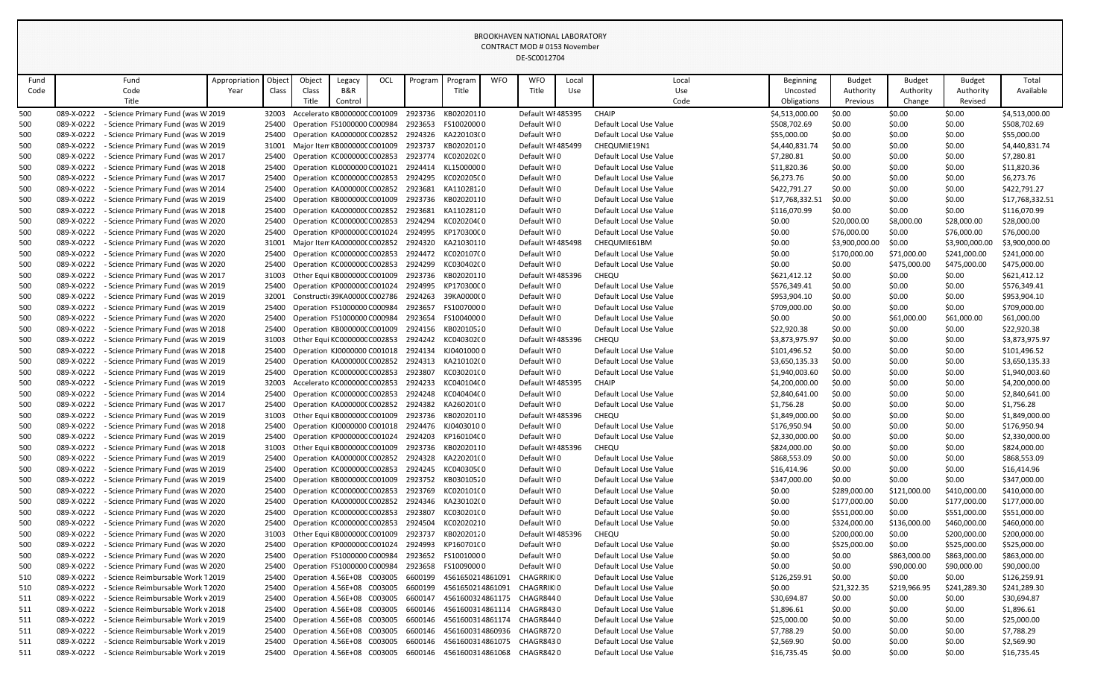|      |            |                                    |               |        |        |                                          |     |         |                                                     |            | LUNTRACT MOD # 0133 NOVEHIDEI<br>DE-SC0012704 |       |                         |                 |                |               |                |                 |
|------|------------|------------------------------------|---------------|--------|--------|------------------------------------------|-----|---------|-----------------------------------------------------|------------|-----------------------------------------------|-------|-------------------------|-----------------|----------------|---------------|----------------|-----------------|
| Fund |            | Fund                               | Appropriation | Object | Object | Legacy                                   | OCL | Program | Program                                             | <b>WFO</b> | <b>WFO</b>                                    | Local | Local                   | Beginning       | <b>Budget</b>  | <b>Budget</b> | <b>Budget</b>  | Total           |
| Code |            | Code                               | Year          | Class  | Class  | B&R                                      |     |         | Title                                               |            | Title                                         | Use   | Use                     | Uncosted        | Authority      | Authority     | Authority      | Available       |
|      |            | Title                              |               |        | Title  | Control                                  |     |         |                                                     |            |                                               |       | Code                    | Obligations     | Previous       | Change        | Revised        |                 |
| 500  | 089-X-0222 | Science Primary Fund (was W 2019   |               | 32003  |        | Accelerato KB000000C C001009             |     | 2923736 | KB02020110                                          |            | Default WI 485395                             |       | <b>CHAIP</b>            | \$4,513,000.00  | \$0.00         | \$0.00        | \$0.00         | \$4,513,000.00  |
| 500  | 089-X-0222 | - Science Primary Fund (was W 2019 |               | 25400  |        | Operation FS1000000 C000984              |     | 2923653 | FS10020000                                          |            | Default WIO                                   |       | Default Local Use Value | \$508,702.69    | \$0.00         | \$0.00        | \$0.00         | \$508,702.69    |
| 500  | 089-X-0222 | - Science Primary Fund (was W 2019 |               | 25400  |        | Operation KA000000(C002852               |     | 2924326 | KA220103(0                                          |            | Default WIO                                   |       | Default Local Use Value | \$55,000.00     | \$0.00         | \$0.00        | \$0.00         | \$55,000.00     |
| 500  | 089-X-0222 | - Science Primary Fund (was W 2019 |               | 31001  |        | Major Iten KB0000000 C001009             |     | 2923737 | KB02020120                                          |            | Default WI 485499                             |       | CHEQUMIE19N1            | \$4,440,831.74  | \$0.00         | \$0.00        | \$0.00         | \$4,440,831.74  |
| 500  | 089-X-0222 | Science Primary Fund (was W 2017   |               | 25400  |        | Operation KC000000CC002853               |     | 2923774 | KC020202C0                                          |            | Default WI0                                   |       | Default Local Use Value | \$7,280.81      | \$0.00         | \$0.00        | \$0.00         | \$7,280.81      |
| 500  | 089-X-0222 | - Science Primary Fund (was W 2018 |               | 25400  |        | Operation KL0000000 C001021              |     | 2924414 | KL15000000                                          |            | Default WIO                                   |       | Default Local Use Value | \$11,820.36     | \$0.00         | \$0.00        | \$0.00         | \$11,820.36     |
| 500  | 089-X-0222 | - Science Primary Fund (was W 2017 |               |        |        | 25400 Operation KC0000000 C002853        |     | 2924295 | KC020205C0                                          |            | Default WIO                                   |       | Default Local Use Value | \$6,273.76      | \$0.00         | \$0.00        | \$0.00         | \$6,273.76      |
| 500  | 089-X-0222 | - Science Primary Fund (was W 2014 |               | 25400  |        | Operation KA000000(C002852               |     | 2923681 | KA11028120                                          |            | Default WI0                                   |       | Default Local Use Value | \$422,791.27    | \$0.00         | \$0.00        | \$0.00         | \$422,791.27    |
| 500  | 089-X-0222 | - Science Primary Fund (was W 2019 |               | 25400  |        | Operation KB000000CC001009               |     | 2923736 | KB02020110                                          |            | Default WI0                                   |       | Default Local Use Value | \$17,768,332.51 | \$0.00         | \$0.00        | \$0.00         | \$17,768,332.51 |
| 500  | 089-X-0222 | - Science Primary Fund (was W 2018 |               |        |        | 25400 Operation KA0000000 C002852        |     | 2923681 | KA11028120                                          |            | Default WI0                                   |       | Default Local Use Value | \$116,070.99    | \$0.00         | \$0.00        | \$0.00         | \$116,070.99    |
| 500  | 089-X-0222 | Science Primary Fund (was W 2020   |               | 25400  |        | Operation KC000000CC002853               |     | 2924294 | KC020204C0                                          |            | Default WIO                                   |       | Default Local Use Value | \$0.00          | \$20,000.00    | \$8,000.00    | \$28,000.00    | \$28,000.00     |
| 500  | 089-X-0222 | - Science Primary Fund (was W 2020 |               | 25400  |        | Operation KP000000C C001024              |     | 2924995 | KP170300C0                                          |            | Default WIO                                   |       | Default Local Use Value | \$0.00          | \$76,000.00    | \$0.00        | \$76,000.00    | \$76,000.00     |
| 500  | 089-X-0222 | Science Primary Fund (was W 2020   |               | 31001  |        | Major Iten KA000000( C002852             |     | 2924320 | KA21030110                                          |            | Default WI 485498                             |       | CHEQUMIE61BM            | \$0.00          | \$3,900,000.00 | \$0.00        | \$3,900,000.00 | \$3,900,000.00  |
|      | 089-X-0222 | - Science Primary Fund (was W 2020 |               |        |        | Operation KC000000C C002853              |     | 2924472 | KC020107C0                                          |            | Default WI0                                   |       | Default Local Use Value |                 |                |               | \$241,000.00   | \$241,000.00    |
| 500  |            |                                    |               | 25400  |        | Operation KC000000CC002853               |     |         |                                                     |            |                                               |       |                         | \$0.00          | \$170,000.00   | \$71,000.00   |                |                 |
| 500  | 089-X-0222 | Science Primary Fund (was W 2020   |               | 25400  |        |                                          |     | 2924299 | KC030402C0                                          |            | Default WI0                                   |       | Default Local Use Value | \$0.00          | \$0.00         | \$475,000.00  | \$475,000.00   | \$475,000.00    |
| 500  | 089-X-0222 | - Science Primary Fund (was W 2017 |               | 31003  |        | Other Equi KB000000C C001009             |     | 2923736 | KB02020110                                          |            | Default WI 485396                             |       | CHEQU                   | \$621,412.12    | \$0.00         | \$0.00        | \$0.00         | \$621,412.12    |
| 500  | 089-X-0222 | - Science Primary Fund (was W 2019 |               | 25400  |        | Operation KP000000C C001024              |     | 2924995 | KP170300C0                                          |            | Default WIO                                   |       | Default Local Use Value | \$576,349.41    | \$0.00         | \$0.00        | \$0.00         | \$576,349.41    |
| 500  | 089-X-0222 | - Science Primary Fund (was W 2019 |               | 32001  |        | Constructic 39KA00000 C002786            |     | 2924263 | 39KA0000000                                         |            | Default WI0                                   |       | Default Local Use Value | \$953,904.10    | \$0.00         | \$0.00        | \$0.00         | \$953,904.10    |
| 500  | 089-X-0222 | - Science Primary Fund (was W 2019 |               | 25400  |        | Operation FS1000000 C000984              |     | 2923657 | FS10070000                                          |            | Default WIO                                   |       | Default Local Use Value | \$709,000.00    | \$0.00         | \$0.00        | \$0.00         | \$709,000.00    |
| 500  | 089-X-0222 | - Science Primary Fund (was W 2020 |               | 25400  |        | Operation FS1000000 C000984              |     | 2923654 | FS10040000                                          |            | Default WI0                                   |       | Default Local Use Value | \$0.00          | \$0.00         | \$61,000.00   | \$61,000.00    | \$61,000.00     |
| 500  | 089-X-0222 | - Science Primary Fund (was W 2018 |               | 25400  |        | Operation KB000000CC001009               |     | 2924156 | KB02010520                                          |            | Default WI0                                   |       | Default Local Use Value | \$22,920.38     | \$0.00         | \$0.00        | \$0.00         | \$22,920.38     |
| 500  | 089-X-0222 | - Science Primary Fund (was W 2019 |               | 31003  |        | Other Equi KC000000C C002853             |     | 2924242 | KC040302C0                                          |            | Default WI 485396                             |       | CHEQU                   | \$3,873,975.97  | \$0.00         | \$0.00        | \$0.00         | \$3,873,975.97  |
| 500  | 089-X-0222 | - Science Primary Fund (was W 2018 |               | 25400  |        | Operation KJ0000000 C001018              |     | 2924134 | KJ04010000                                          |            | Default WIO                                   |       | Default Local Use Value | \$101,496.52    | \$0.00         | \$0.00        | \$0.00         | \$101,496.52    |
| 500  | 089-X-0222 | - Science Primary Fund (was W 2019 |               | 25400  |        | Operation KA000000(C002852               |     | 2924313 | KA210102(0                                          |            | Default WIO                                   |       | Default Local Use Value | \$3,650,135.33  | \$0.00         | \$0.00        | \$0.00         | \$3,650,135.33  |
| 500  | 089-X-0222 | - Science Primary Fund (was W 2019 |               | 25400  |        | Operation KC000000CC002853               |     | 2923807 | KC030201C0                                          |            | Default WI0                                   |       | Default Local Use Value | \$1,940,003.60  | \$0.00         | \$0.00        | \$0.00         | \$1,940,003.60  |
| 500  | 089-X-0222 | - Science Primary Fund (was W 2019 |               | 32003  |        | Accelerato KC000000C C002853             |     | 2924233 | KC04010400                                          |            | Default WI 485395                             |       | <b>CHAIP</b>            | \$4,200,000.00  | \$0.00         | \$0.00        | \$0.00         | \$4,200,000.00  |
| 500  | 089-X-0222 | - Science Primary Fund (was W 2014 |               |        |        | 25400 Operation KC0000000 C002853        |     | 2924248 | KC040404C0                                          |            | Default WI0                                   |       | Default Local Use Value | \$2,840,641.00  | \$0.00         | \$0.00        | \$0.00         | \$2,840,641.00  |
| 500  | 089-X-0222 | Science Primary Fund (was W 2017   |               | 25400  |        | Operation KA000000(C002852 2924382       |     |         | KA260201(0                                          |            | Default WIO                                   |       | Default Local Use Value | \$1,756.28      | \$0.00         | \$0.00        | \$0.00         | \$1,756.28      |
| 500  | 089-X-0222 | - Science Primary Fund (was W 2019 |               | 31003  |        | Other Equi KB0000000 C001009 2923736     |     |         | KB02020110                                          |            | Default WI 485396                             |       | CHEQU                   | \$1,849,000.00  | \$0.00         | \$0.00        | \$0.00         | \$1,849,000.00  |
| 500  | 089-X-0222 | - Science Primary Fund (was W 2018 |               | 25400  |        | Operation KJ0000000 C001018              |     |         | 2924476 KJ04030100                                  |            | Default WIO                                   |       | Default Local Use Value | \$176,950.94    | \$0.00         | \$0.00        | \$0.00         | \$176,950.94    |
| 500  | 089-X-0222 | - Science Primary Fund (was W 2019 |               |        |        | 25400 Operation KP000000C C001024        |     | 2924203 | KP160104C0                                          |            | Default WIO                                   |       | Default Local Use Value | \$2,330,000.00  | \$0.00         | \$0.00        | \$0.00         | \$2,330,000.00  |
| 500  | 089-X-0222 | - Science Primary Fund (was W 2018 |               | 31003  |        | Other Equi KB000000C C001009             |     | 2923736 | KB02020110                                          |            | Default WI 485396                             |       | CHEQU                   | \$824,000.00    | \$0.00         | \$0.00        | \$0.00         | \$824,000.00    |
| 500  | 089-X-0222 | - Science Primary Fund (was W 2019 |               | 25400  |        | Operation KA000000(C002852               |     | 2924328 | KA220201(0                                          |            | Default WIO                                   |       | Default Local Use Value | \$868,553.09    | \$0.00         | \$0.00        | \$0.00         | \$868,553.09    |
| 500  | 089-X-0222 | Science Primary Fund (was W 2019   |               | 25400  |        | Operation KC000000CC002853               |     |         | 2924245 KC040305C0                                  |            | Default WIO                                   |       | Default Local Use Value | \$16,414.96     | \$0.00         | \$0.00        | \$0.00         | \$16,414.96     |
| 500  | 089-X-0222 | - Science Primary Fund (was W 2019 |               | 25400  |        | Operation KB000000C C001009              |     | 2923752 | KB03010520                                          |            | Default WIO                                   |       | Default Local Use Value | \$347,000.00    | \$0.00         | \$0.00        | \$0.00         | \$347,000.00    |
| 500  | 089-X-0222 | - Science Primary Fund (was W 2020 |               |        |        | 25400 Operation KC0000000 C002853        |     | 2923769 | KC020101C0                                          |            | Default WIO                                   |       | Default Local Use Value | \$0.00          | \$289,000.00   | \$121,000.00  | \$410,000.00   | \$410,000.00    |
| 500  | 089-X-0222 | - Science Primary Fund (was W 2020 |               |        |        |                                          |     |         | 25400 Operation KA000000(C002852 2924346 KA230102(0 |            | Default WIO                                   |       | Default Local Use Value | \$0.00          | \$177,000.00   | \$0.00        | \$177,000.00   | \$177,000.00    |
| 500  | 089-X-0222 | - Science Primary Fund (was W 2020 |               | 25400  |        | Operation KC000000CC002853               |     | 2923807 | KC030201C0                                          |            | Default WIO                                   |       | Default Local Use Value | \$0.00          | \$551,000.00   | \$0.00        | \$551,000.00   | \$551,000.00    |
| 500  | 089-X-0222 | Science Primary Fund (was W 2020   |               | 25400  |        | Operation KC000000CC002853               |     | 2924504 | KC02020210                                          |            | Default WI0                                   |       | Default Local Use Value | \$0.00          | \$324,000.00   | \$136,000.00  | \$460,000.00   | \$460,000.00    |
| 500  | 089-X-0222 | - Science Primary Fund (was W 2020 |               | 31003  |        | Other Equi KB0000000 C001009             |     | 2923737 | KB02020120                                          |            | Default WI 485396                             |       | CHEQU                   | \$0.00          | \$200,000.00   | \$0.00        | \$200,000.00   | \$200,000.00    |
| 500  | 089-X-0222 | - Science Primary Fund (was W 2020 |               |        |        | 25400 Operation KP000000C C001024        |     | 2924993 | KP160701C0                                          |            | Default WIO                                   |       | Default Local Use Value | \$0.00          | \$525,000.00   | \$0.00        | \$525,000.00   | \$525,000.00    |
| 500  | 089-X-0222 | - Science Primary Fund (was W 2020 |               | 25400  |        | Operation FS1000000 C000984              |     | 2923652 | FS10010000                                          |            | Default WIO                                   |       | Default Local Use Value | \$0.00          | \$0.00         | \$863,000.00  | \$863,000.00   | \$863,000.00    |
| 500  | 089-X-0222 | - Science Primary Fund (was W 2020 |               | 25400  |        | Operation FS1000000 C000984              |     | 2923658 | FS10090000                                          |            | Default WIO                                   |       | Default Local Use Value | \$0.00          | \$0.00         | \$90,000.00   | \$90,000.00    | \$90,000.00     |
| 510  | 089-X-0222 | - Science Reimbursable Work T 2019 |               |        |        | 25400 Operation 4.56E+08 C003005         |     | 6600199 | 4561650214861091                                    |            | CHAGRRIKI0                                    |       | Default Local Use Value | \$126,259.91    | \$0.00         | \$0.00        | \$0.00         | \$126,259.91    |
| 510  | 089-X-0222 | - Science Reimbursable Work T 2020 |               |        |        | 25400 Operation 4.56E+08 C003005         |     | 6600199 | 4561650214861091                                    |            | <b>CHAGRRIKIO</b>                             |       | Default Local Use Value | \$0.00          | \$21,322.35    | \$219,966.95  | \$241,289.30   | \$241,289.30    |
| 511  | 089-X-0222 | - Science Reimbursable Work v 2019 |               |        |        | 25400 Operation 4.56E+08 C003005         |     | 6600147 | 4561600324861175 CHAGR8440                          |            |                                               |       | Default Local Use Value | \$30,694.87     | \$0.00         | \$0.00        | \$0.00         | \$30,694.87     |
| 511  | 089-X-0222 | - Science Reimbursable Work v 2018 |               |        |        | 25400 Operation 4.56E+08 C003005         |     | 6600146 | 4561600314861114 CHAGR8430                          |            |                                               |       | Default Local Use Value | \$1,896.61      | \$0.00         | \$0.00        | \$0.00         | \$1,896.61      |
| 511  | 089-X-0222 | - Science Reimbursable Work v 2019 |               |        |        | 25400 Operation 4.56E+08 C003005         |     | 6600146 | 4561600314861174                                    |            | CHAGR844 0                                    |       | Default Local Use Value | \$25,000.00     | \$0.00         | \$0.00        | \$0.00         | \$25,000.00     |
| 511  | 089-X-0222 | - Science Reimbursable Work v 2019 |               |        |        | 25400 Operation 4.56E+08 C003005         |     | 6600146 | 4561600314860936                                    |            | CHAGR8720                                     |       | Default Local Use Value | \$7,788.29      | \$0.00         | \$0.00        | \$0.00         | \$7,788.29      |
| 511  | 089-X-0222 | - Science Reimbursable Work v 2019 |               |        |        | 25400 Operation 4.56E+08 C003005         |     | 6600146 | 4561600314861075 CHAGR8430                          |            |                                               |       | Default Local Use Value | \$2,569.90      | \$0.00         | \$0.00        | \$0.00         | \$2,569.90      |
| 511  | 089-X-0222 | - Science Reimbursable Work v 2019 |               |        |        | 25400 Operation 4.56E+08 C003005 6600146 |     |         | 4561600314861068 CHAGR8420                          |            |                                               |       | Default Local Use Value | \$16,735.45     | \$0.00         | \$0.00        | \$0.00         | \$16,735.45     |
|      |            |                                    |               |        |        |                                          |     |         |                                                     |            |                                               |       |                         |                 |                |               |                |                 |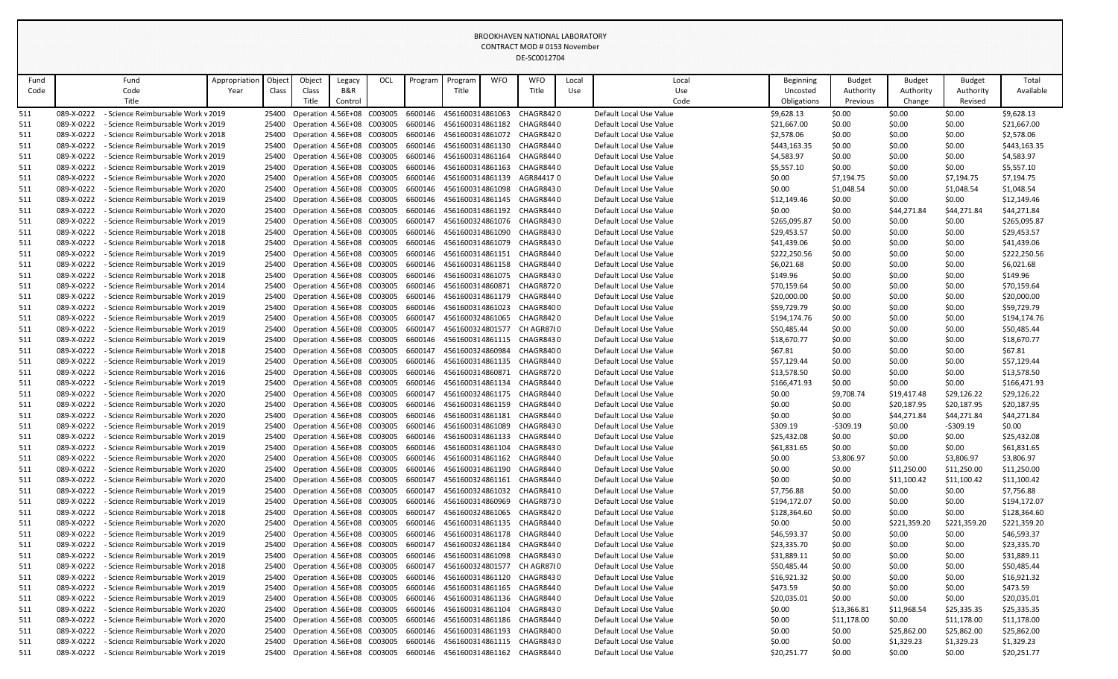|            |                          |                                                                          |               |                |                                                          |                |     |                    |                                      |            | CONTINUEL IVIOD # 0133 NOVERIDER<br>DE-SC0012704                    |       |                                                    |                             |                       |                     |                      |                            |
|------------|--------------------------|--------------------------------------------------------------------------|---------------|----------------|----------------------------------------------------------|----------------|-----|--------------------|--------------------------------------|------------|---------------------------------------------------------------------|-------|----------------------------------------------------|-----------------------------|-----------------------|---------------------|----------------------|----------------------------|
| Fund       |                          | Fund                                                                     | Appropriation | Object         | Object                                                   | Legacy         | OCL | Program            | Program                              | <b>WFO</b> | <b>WFO</b>                                                          | Local | Local                                              | Beginning                   | <b>Budget</b>         | <b>Budget</b>       | <b>Budget</b>        | Total                      |
| Code       |                          | Code<br>Title                                                            | Year          | Class          | Class<br>Title                                           | B&R<br>Control |     |                    | Title                                |            | Title                                                               | Use   | Use<br>Code                                        | Uncosted<br>Obligations     | Authority<br>Previous | Authority<br>Change | Authority<br>Revised | Available                  |
| 511        | 089-X-0222               | - Science Reimbursable Work v 2019                                       |               | 25400          | Operation 4.56E+08 C003005                               |                |     | 6600146            | 4561600314861063                     |            | CHAGR8420                                                           |       | Default Local Use Value                            | \$9,628.13                  | \$0.00                | \$0.00              | \$0.00               | \$9,628.13                 |
| 511        | 089-X-0222               | - Science Reimbursable Work v 2019                                       |               | 25400          | Operation 4.56E+08 C003005                               |                |     | 6600146            | 4561600314861182                     |            | CHAGR8440                                                           |       | Default Local Use Value                            | \$21,667.00                 | \$0.00                | \$0.00              | \$0.00               | \$21,667.00                |
| 511        | 089-X-0222               | - Science Reimbursable Work v 2018                                       |               | 25400          | Operation 4.56E+08 C003005                               |                |     | 6600146            | 4561600314861072                     |            | CHAGR8420                                                           |       | Default Local Use Value                            | \$2,578.06                  | \$0.00                | \$0.00              | \$0.00               | \$2,578.06                 |
| 511        | 089-X-0222               | - Science Reimbursable Work v 2019                                       |               | 25400          | Operation 4.56E+08 C003005                               |                |     | 6600146            | 4561600314861130                     |            | CHAGR844 0                                                          |       | Default Local Use Value                            | \$443,163.35                | \$0.00                | \$0.00              | \$0.00               | \$443,163.35               |
| 511        | 089-X-0222               | - Science Reimbursable Work v 2019                                       |               | 25400          | Operation 4.56E+08 C003005                               |                |     | 6600146            | 4561600314861164                     |            | CHAGR8440                                                           |       | Default Local Use Value                            | \$4,583.97                  | \$0.00                | \$0.00              | \$0.00               | \$4,583.97                 |
| 511        | 089-X-0222               | - Science Reimbursable Work v 2019                                       |               | 25400          | Operation 4.56E+08 C003005                               |                |     | 6600146            | 4561600314861163                     |            | CHAGR844 0                                                          |       | Default Local Use Value                            | \$5,557.10                  | \$0.00                | \$0.00              | \$0.00               | \$5,557.10                 |
| 511        | 089-X-0222               | - Science Reimbursable Work v 2020                                       |               | 25400          | Operation 4.56E+08 C003005                               |                |     | 6600146            | 4561600314861139                     |            | AGR84417 0                                                          |       | Default Local Use Value                            | \$0.00                      | \$7,194.75            | \$0.00              | \$7,194.75           | \$7,194.75                 |
| 511        | 089-X-0222               | - Science Reimbursable Work v 2020                                       |               | 25400          | Operation 4.56E+08 C003005                               |                |     | 6600146            |                                      |            | 4561600314861098 CHAGR8430                                          |       | Default Local Use Value                            | \$0.00                      | \$1,048.54            | \$0.00              | \$1,048.54           | \$1,048.54                 |
| 511        | 089-X-0222               | - Science Reimbursable Work v 2019                                       |               | 25400          | Operation 4.56E+08 C003005                               |                |     | 6600146            | 4561600314861145                     |            | CHAGR844 0                                                          |       | Default Local Use Value                            | \$12,149.46                 | \$0.00                | \$0.00              | \$0.00               | \$12,149.46                |
| 511        | 089-X-0222               | - Science Reimbursable Work v 2020                                       |               | 25400          | Operation 4.56E+08 C003005                               |                |     | 6600146            | 4561600314861192                     |            | CHAGR8440                                                           |       | Default Local Use Value                            | \$0.00                      | \$0.00                | \$44,271.84         | \$44,271.84          | \$44,271.84                |
| 511        | 089-X-0222               | - Science Reimbursable Work v 2019                                       |               | 25400          | Operation 4.56E+08 C003005                               |                |     | 6600147            |                                      |            | 4561600324861076 CHAGR8430                                          |       | Default Local Use Value                            | \$265,095.87                | \$0.00                | \$0.00              | \$0.00               | \$265,095.87               |
| 511        | 089-X-0222               | - Science Reimbursable Work v 2018                                       |               | 25400          | Operation 4.56E+08 C003005                               |                |     | 6600146            | 4561600314861090                     |            | CHAGR8430                                                           |       | Default Local Use Value                            | \$29,453.57                 | \$0.00                | \$0.00              | \$0.00               | \$29,453.57                |
| 511        | 089-X-0222               | - Science Reimbursable Work v 2018                                       |               | 25400          | Operation 4.56E+08 C003005                               |                |     | 6600146            | 4561600314861079                     |            | CHAGR8430                                                           |       | Default Local Use Value                            | \$41,439.06                 | \$0.00                | \$0.00              | \$0.00               | \$41,439.06                |
| 511        | 089-X-0222               | - Science Reimbursable Work v 2019                                       |               | 25400          | Operation 4.56E+08 C003005                               |                |     | 6600146            | 4561600314861151                     |            | CHAGR844 0                                                          |       | Default Local Use Value                            | \$222,250.56                | \$0.00                | \$0.00              | \$0.00               | \$222,250.56               |
| 511        | 089-X-0222               | - Science Reimbursable Work v 2019                                       |               | 25400          | Operation 4.56E+08 C003005                               |                |     | 6600146            | 4561600314861158                     |            | CHAGR8440                                                           |       | Default Local Use Value                            | \$6,021.68                  | \$0.00                | \$0.00              | \$0.00               | \$6,021.68                 |
| 511        | 089-X-0222               | - Science Reimbursable Work v 2018                                       |               | 25400          | Operation 4.56E+08 C003005                               |                |     | 6600146            | 4561600314861075                     |            | CHAGR8430                                                           |       | Default Local Use Value                            | \$149.96                    | \$0.00                | \$0.00              | \$0.00               | \$149.96                   |
| 511        | 089-X-0222               | - Science Reimbursable Work v 2014                                       |               | 25400          | Operation 4.56E+08 C003005                               |                |     | 6600146            | 4561600314860871                     |            | CHAGR8720                                                           |       | Default Local Use Value                            | \$70,159.64                 | \$0.00                | \$0.00              | \$0.00               | \$70,159.64                |
| 511        | 089-X-0222<br>089-X-0222 | - Science Reimbursable Work v 2019                                       |               | 25400          | Operation 4.56E+08 C003005                               |                |     | 6600146            | 4561600314861179                     |            | CHAGR844 0                                                          |       | Default Local Use Value<br>Default Local Use Value | \$20,000.00                 | \$0.00                | \$0.00              | \$0.00               | \$20,000.00<br>\$59,729.79 |
| 511<br>511 | 089-X-0222               | - Science Reimbursable Work v 2019<br>- Science Reimbursable Work v 2019 |               | 25400<br>25400 | Operation 4.56E+08 C003005<br>Operation 4.56E+08 C003005 |                |     | 6600146<br>6600147 | 4561600314861023<br>4561600324861065 |            | CHAGR8400<br>CHAGR8420                                              |       | Default Local Use Value                            | \$59,729.79<br>\$194,174.76 | \$0.00<br>\$0.00      | \$0.00<br>\$0.00    | \$0.00<br>\$0.00     | \$194,174.76               |
| 511        | 089-X-0222               | - Science Reimbursable Work v 2019                                       |               | 25400          | Operation 4.56E+08 C003005                               |                |     | 6600147            | 4561600324801577                     |            | CH AGR87{0                                                          |       | Default Local Use Value                            | \$50,485.44                 | \$0.00                | \$0.00              | \$0.00               | \$50,485.44                |
| 511        | 089-X-0222               | - Science Reimbursable Work v 2019                                       |               | 25400          | Operation 4.56E+08 C003005                               |                |     | 6600146            | 4561600314861115                     |            | CHAGR8430                                                           |       | Default Local Use Value                            | \$18,670.77                 | \$0.00                | \$0.00              | \$0.00               | \$18,670.77                |
| 511        | 089-X-0222               | - Science Reimbursable Work v 2018                                       |               | 25400          | Operation 4.56E+08 C003005                               |                |     | 6600147            | 4561600324860984                     |            | CHAGR8400                                                           |       | Default Local Use Value                            | \$67.81                     | \$0.00                | \$0.00              | \$0.00               | \$67.81                    |
| 511        | 089-X-0222               | - Science Reimbursable Work v 2019                                       |               | 25400          | Operation 4.56E+08 C003005                               |                |     | 6600146            | 4561600314861135                     |            | CHAGR8440                                                           |       | Default Local Use Value                            | \$57,129.44                 | \$0.00                | \$0.00              | \$0.00               | \$57,129.44                |
| 511        | 089-X-0222               | - Science Reimbursable Work v 2016                                       |               | 25400          | Operation 4.56E+08 C003005                               |                |     | 6600146            | 4561600314860871                     |            | CHAGR8720                                                           |       | Default Local Use Value                            | \$13,578.50                 | \$0.00                | \$0.00              | \$0.00               | \$13,578.50                |
| 511        | 089-X-0222               | - Science Reimbursable Work v 2019                                       |               | 25400          | Operation 4.56E+08 C003005                               |                |     | 6600146            | 4561600314861134                     |            | CHAGR8440                                                           |       | Default Local Use Value                            | \$166,471.93                | \$0.00                | \$0.00              | \$0.00               | \$166,471.93               |
| 511        | 089-X-0222               | - Science Reimbursable Work v 2020                                       |               | 25400          | Operation 4.56E+08 C003005                               |                |     | 6600147            |                                      |            | 4561600324861175 CHAGR8440                                          |       | Default Local Use Value                            | \$0.00                      | \$9,708.74            | \$19,417.48         | \$29,126.22          | \$29,126.22                |
| 511        | 089-X-0222               | - Science Reimbursable Work v 2020                                       |               | 25400          | Operation 4.56E+08 C003005                               |                |     | 6600146            | 4561600314861159                     |            | CHAGR8440                                                           |       | Default Local Use Value                            | \$0.00                      | \$0.00                | \$20,187.95         | \$20,187.95          | \$20,187.95                |
| 511        | 089-X-0222               | - Science Reimbursable Work v 2020                                       |               | 25400          | Operation 4.56E+08 C003005                               |                |     | 6600146            |                                      |            | 4561600314861181 CHAGR8440                                          |       | Default Local Use Value                            | \$0.00                      | \$0.00                | \$44,271.84         | \$44,271.84          | \$44,271.84                |
| 511        | 089-X-0222               | - Science Reimbursable Work v 2019                                       |               | 25400          | Operation 4.56E+08 C003005                               |                |     | 6600146            | 4561600314861089                     |            | CHAGR8430                                                           |       | Default Local Use Value                            | \$309.19                    | $-5309.19$            | \$0.00              | $-5309.19$           | \$0.00                     |
| 511        | 089-X-0222               | - Science Reimbursable Work v 2019                                       |               | 25400          | Operation 4.56E+08 C003005                               |                |     | 6600146            | 4561600314861133                     |            | CHAGR8440                                                           |       | Default Local Use Value                            | \$25,432.08                 | \$0.00                | \$0.00              | \$0.00               | \$25,432.08                |
| 511        | 089-X-0222               | - Science Reimbursable Work v 2019                                       |               | 25400          | Operation 4.56E+08 C003005                               |                |     | 6600146            | 4561600314861104                     |            | CHAGR8430                                                           |       | Default Local Use Value                            | \$61,831.65                 | \$0.00                | \$0.00              | \$0.00               | \$61,831.65                |
| 511        | 089-X-0222               | - Science Reimbursable Work v 2020                                       |               | 25400          | Operation 4.56E+08 C003005                               |                |     | 6600146            | 4561600314861162                     |            | CHAGR844 0                                                          |       | Default Local Use Value                            | \$0.00                      | \$3,806.97            | \$0.00              | \$3,806.97           | \$3,806.97                 |
| 511        | 089-X-0222               | - Science Reimbursable Work v 2020                                       |               | 25400          | Operation 4.56E+08 C003005                               |                |     | 6600146            | 4561600314861190                     |            | CHAGR844 0                                                          |       | Default Local Use Value                            | \$0.00                      | \$0.00                | \$11,250.00         | \$11,250.00          | \$11,250.00                |
| 511        | 089-X-0222               | - Science Reimbursable Work v 2020                                       |               | 25400          | Operation 4.56E+08 C003005                               |                |     | 6600147            | 4561600324861161                     |            | CHAGR8440                                                           |       | Default Local Use Value                            | \$0.00                      | \$0.00                | \$11,100.42         | \$11,100.42          | \$11,100.42                |
| 511<br>511 | 089-X-0222<br>089-X-0222 | - Science Reimbursable Work v 2019<br>- Science Reimbursable Work v 2019 |               | 25400<br>25400 | Operation 4.56E+08 C003005<br>Operation 4.56E+08 C003005 |                |     | 6600147<br>6600146 | 4561600324861032<br>4561600314860969 |            | CHAGR8410<br>CHAGR8730                                              |       | Default Local Use Value<br>Default Local Use Value | \$7,756.88<br>\$194,172.07  | \$0.00<br>\$0.00      | \$0.00<br>\$0.00    | \$0.00<br>\$0.00     | \$7,756.88<br>\$194,172.07 |
| 511        | 089-X-0222               | - Science Reimbursable Work v 2018                                       |               | 25400          | Operation 4.56E+08 C003005                               |                |     | 6600147            | 4561600324861065                     |            | CHAGR8420                                                           |       | Default Local Use Value                            | \$128,364.60                | \$0.00                | \$0.00              | \$0.00               | \$128,364.60               |
| 511        | 089-X-0222               | - Science Reimbursable Work v 2020                                       |               | 25400          | Operation 4.56E+08 C003005                               |                |     | 6600146            | 4561600314861135                     |            | CHAGR844 0                                                          |       | Default Local Use Value                            | \$0.00                      | \$0.00                | \$221,359.20        | \$221,359.20         | \$221,359.20               |
| 511        | 089-X-0222               | - Science Reimbursable Work v 2019                                       |               | 25400          | Operation 4.56E+08 C003005                               |                |     | 6600146            | 4561600314861178                     |            | CHAGR8440                                                           |       | Default Local Use Value                            | \$46,593.37                 | \$0.00                | \$0.00              | \$0.00               | \$46,593.37                |
| 511        | 089-X-0222               | - Science Reimbursable Work v 2019                                       |               | 25400          | Operation 4.56E+08 C003005                               |                |     | 6600147            | 4561600324861184                     |            | CHAGR8440                                                           |       | Default Local Use Value                            | \$23,335.70                 | \$0.00                | \$0.00              | \$0.00               | \$23,335.70                |
| 511        | 089-X-0222               | - Science Reimbursable Work v 2019                                       |               | 25400          | Operation 4.56E+08 C003005                               |                |     | 6600146            |                                      |            | 4561600314861098 CHAGR8430                                          |       | Default Local Use Value                            | \$31,889.11                 | \$0.00                | \$0.00              | \$0.00               | \$31,889.11                |
| 511        | 089-X-0222               | - Science Reimbursable Work v 2018                                       |               | 25400          | Operation 4.56E+08 C003005                               |                |     | 6600147            | 4561600324801577                     |            | CH AGR87{0                                                          |       | Default Local Use Value                            | \$50,485.44                 | \$0.00                | \$0.00              | \$0.00               | \$50,485.44                |
| 511        | 089-X-0222               | - Science Reimbursable Work v 2019                                       |               | 25400          | Operation 4.56E+08 C003005                               |                |     | 6600146            | 4561600314861120                     |            | CHAGR8430                                                           |       | Default Local Use Value                            | \$16,921.32                 | \$0.00                | \$0.00              | \$0.00               | \$16,921.32                |
| 511        | 089-X-0222               | - Science Reimbursable Work v 2019                                       |               | 25400          | Operation 4.56E+08 C003005                               |                |     | 6600146            |                                      |            | 4561600314861165 CHAGR8440                                          |       | Default Local Use Value                            | \$473.59                    | \$0.00                | \$0.00              | \$0.00               | \$473.59                   |
| 511        | 089-X-0222               | - Science Reimbursable Work v 2019                                       |               | 25400          | Operation 4.56E+08 C003005                               |                |     | 6600146            | 4561600314861136                     |            | CHAGR844 0                                                          |       | Default Local Use Value                            | \$20,035.01                 | \$0.00                | \$0.00              | \$0.00               | \$20,035.01                |
| 511        | 089-X-0222               | - Science Reimbursable Work v 2020                                       |               | 25400          | Operation 4.56E+08 C003005                               |                |     | 6600146            | 4561600314861104                     |            | CHAGR8430                                                           |       | Default Local Use Value                            | \$0.00                      | \$13,366.81           | \$11,968.54         | \$25,335.35          | \$25,335.35                |
| 511        | 089-X-0222               | - Science Reimbursable Work v 2020                                       |               | 25400          | Operation 4.56E+08 C003005                               |                |     | 6600146            | 4561600314861186                     |            | CHAGR844 0                                                          |       | Default Local Use Value                            | \$0.00                      | \$11,178.00           | \$0.00              | \$11,178.00          | \$11,178.00                |
| 511        | 089-X-0222               | - Science Reimbursable Work v 2020                                       |               | 25400          | Operation 4.56E+08 C003005                               |                |     | 6600146            | 4561600314861193                     |            | CHAGR8400                                                           |       | Default Local Use Value                            | \$0.00                      | \$0.00                | \$25,862.00         | \$25,862.00          | \$25,862.00                |
| 511        | 089-X-0222               | - Science Reimbursable Work v 2020                                       |               | 25400          | Operation 4.56E+08 C003005                               |                |     | 6600146            |                                      |            | 4561600314861115 CHAGR8430                                          |       | Default Local Use Value                            | \$0.00                      | \$0.00                | \$1,329.23          | \$1,329.23           | \$1,329.23                 |
| 511        | 089-X-0222               | - Science Reimbursable Work v 2019                                       |               |                |                                                          |                |     |                    |                                      |            | 25400 Operation 4.56E+08 C003005 6600146 4561600314861162 CHAGR8440 |       | Default Local Use Value                            | \$20,251.77                 | \$0.00                | \$0.00              | \$0.00               | \$20,251.77                |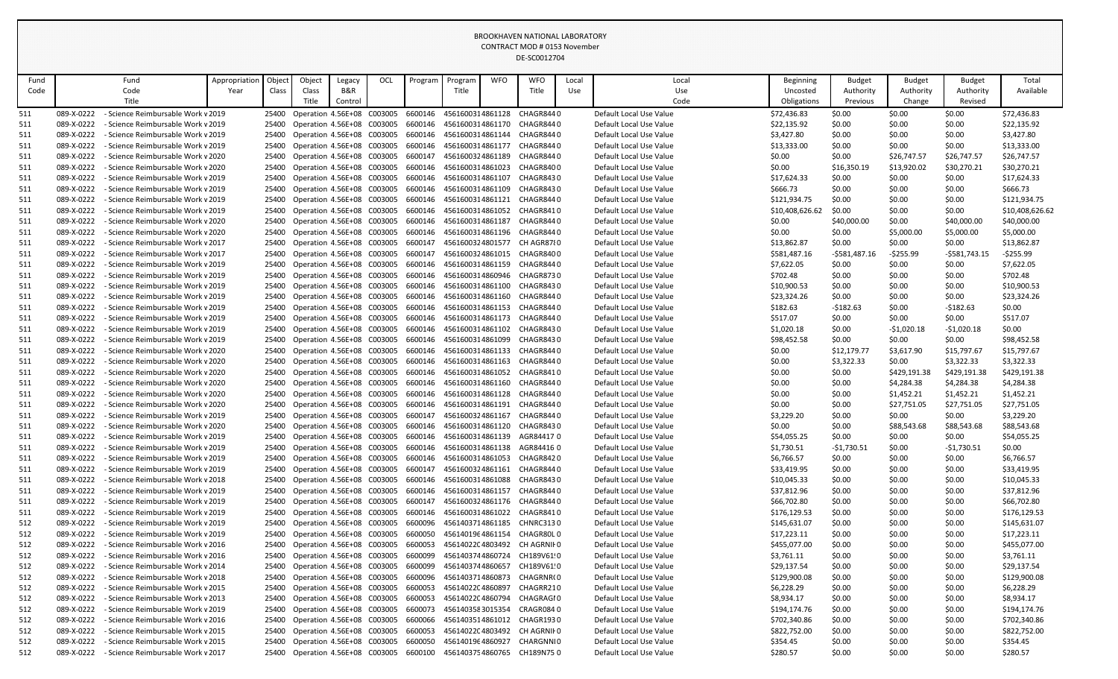|      |            |                                               |               |        |                                          |                |     |         |                  |            | CONTRACT MOD # 0153 November<br>DE-SC0012704                         |       |                         |                  |                |               |                |                 |
|------|------------|-----------------------------------------------|---------------|--------|------------------------------------------|----------------|-----|---------|------------------|------------|----------------------------------------------------------------------|-------|-------------------------|------------------|----------------|---------------|----------------|-----------------|
| Fund |            | Fund                                          | Appropriation | Object | Object                                   | Legacy         | OCL | Program | Program          | <b>WFO</b> | <b>WFO</b>                                                           | Local | Local                   | <b>Beginning</b> | <b>Budget</b>  | <b>Budget</b> | <b>Budget</b>  | Total           |
| Code |            | Code                                          | Year          | Class  | Class                                    | <b>B&amp;R</b> |     |         | Title            |            | Title                                                                | Use   | Use                     | Uncosted         | Authority      | Authority     | Authority      | Available       |
|      |            | Title                                         |               |        | Title                                    | Control        |     |         |                  |            |                                                                      |       | Code                    | Obligations      | Previous       | Change        | Revised        |                 |
| 511  | 089-X-0222 | - Science Reimbursable Work v 2019            |               | 25400  | Operation 4.56E+08 C003005               |                |     | 6600146 | 4561600314861128 |            | CHAGR8440                                                            |       | Default Local Use Value | \$72,436.83      | \$0.00         | \$0.00        | \$0.00         | \$72,436.83     |
| 511  | 089-X-0222 | - Science Reimbursable Work v 2019            |               |        | 25400 Operation 4.56E+08 C003005         |                |     | 6600146 |                  |            | 4561600314861170 CHAGR8440                                           |       | Default Local Use Value | \$22,135.92      | \$0.00         | \$0.00        | \$0.00         | \$22,135.92     |
| 511  | 089-X-0222 | - Science Reimbursable Work v 2019            |               | 25400  | Operation 4.56E+08 C003005               |                |     | 6600146 |                  |            | 4561600314861144 CHAGR8440                                           |       | Default Local Use Value | \$3,427.80       | \$0.00         | \$0.00        | \$0.00         | \$3,427.80      |
| 511  | 089-X-0222 | - Science Reimbursable Work v 2019            |               | 25400  | Operation 4.56E+08 C003005               |                |     | 6600146 |                  |            | 4561600314861177 CHAGR8440                                           |       | Default Local Use Value | \$13,333.00      | \$0.00         | \$0.00        | \$0.00         | \$13,333.00     |
| 511  | 089-X-0222 | - Science Reimbursable Work v 2020            |               | 25400  | Operation 4.56E+08 C003005               |                |     | 6600147 |                  |            | 4561600324861189 CHAGR8440                                           |       | Default Local Use Value | \$0.00           | \$0.00         | \$26,747.57   | \$26,747.57    | \$26,747.57     |
| 511  | 089-X-0222 | - Science Reimbursable Work v 2020            |               | 25400  | Operation 4.56E+08 C003005               |                |     | 6600146 | 4561600314861023 |            | CHAGR8400                                                            |       | Default Local Use Value | \$0.00           | \$16,350.19    | \$13,920.02   | \$30,270.21    | \$30,270.21     |
| 511  | 089-X-0222 | - Science Reimbursable Work v 2019            |               |        | 25400 Operation 4.56E+08 C003005         |                |     | 6600146 |                  |            | 4561600314861107 CHAGR8430                                           |       | Default Local Use Value | \$17,624.33      | \$0.00         | \$0.00        | \$0.00         | \$17,624.33     |
| 511  | 089-X-0222 | - Science Reimbursable Work v 2019            |               | 25400  | Operation 4.56E+08 C003005               |                |     | 6600146 |                  |            | 4561600314861109 CHAGR8430                                           |       | Default Local Use Value | \$666.73         | \$0.00         | \$0.00        | \$0.00         | \$666.73        |
| 511  | 089-X-0222 | - Science Reimbursable Work v 2019            |               | 25400  | Operation 4.56E+08 C003005               |                |     | 6600146 |                  |            | 4561600314861121 CHAGR8440                                           |       | Default Local Use Value | \$121,934.75     | \$0.00         | \$0.00        | \$0.00         | \$121,934.75    |
| 511  | 089-X-0222 | - Science Reimbursable Work v 2019            |               | 25400  | Operation 4.56E+08 C003005               |                |     | 6600146 |                  |            | 4561600314861052 CHAGR8410                                           |       | Default Local Use Value | \$10,408,626.62  | \$0.00         | \$0.00        | \$0.00         | \$10,408,626.62 |
| 511  | 089-X-0222 | - Science Reimbursable Work v 2020            |               |        | 25400 Operation 4.56E+08 C003005         |                |     | 6600146 |                  |            | 4561600314861187 CHAGR8440                                           |       | Default Local Use Value | \$0.00           | \$40,000.00    | \$0.00        | \$40,000.00    | \$40,000.00     |
| 511  | 089-X-0222 | - Science Reimbursable Work v 2020            |               |        | 25400 Operation 4.56E+08 C003005         |                |     | 6600146 |                  |            | 4561600314861196 CHAGR8440                                           |       | Default Local Use Value | \$0.00           | \$0.00         | \$5,000.00    | \$5,000.00     | \$5,000.00      |
| 511  | 089-X-0222 | - Science Reimbursable Work v 2017            |               | 25400  | Operation 4.56E+08 C003005               |                |     | 6600147 |                  |            | 4561600324801577 CH AGR87{0                                          |       | Default Local Use Value | \$13,862.87      | \$0.00         | \$0.00        | \$0.00         | \$13,862.87     |
| 511  | 089-X-0222 | - Science Reimbursable Work v 2017            |               | 25400  | Operation 4.56E+08 C003005               |                |     | 6600147 |                  |            | 4561600324861015 CHAGR8400                                           |       | Default Local Use Value | \$581,487.16     | $-5581,487.16$ | $-5255.99$    | $-5581,743.15$ | $-5255.99$      |
| 511  | 089-X-0222 | - Science Reimbursable Work v 2019            |               | 25400  | Operation 4.56E+08 C003005               |                |     | 6600146 |                  |            | 4561600314861159 CHAGR8440                                           |       | Default Local Use Value | \$7,622.05       | \$0.00         | \$0.00        | \$0.00         | \$7,622.05      |
| 511  | 089-X-0222 | - Science Reimbursable Work v 2019            |               | 25400  | Operation 4.56E+08 C003005               |                |     | 6600146 |                  |            | 4561600314860946 CHAGR8730                                           |       | Default Local Use Value | \$702.48         | \$0.00         | \$0.00        | \$0.00         | \$702.48        |
| 511  | 089-X-0222 | - Science Reimbursable Work v 2019            |               |        | 25400 Operation 4.56E+08 C003005         |                |     | 6600146 |                  |            | 4561600314861100 CHAGR8430                                           |       | Default Local Use Value | \$10,900.53      | \$0.00         | \$0.00        | \$0.00         | \$10,900.53     |
| 511  | 089-X-0222 | - Science Reimbursable Work v 2019            |               | 25400  | Operation 4.56E+08 C003005               |                |     | 6600146 |                  |            | 4561600314861160 CHAGR8440                                           |       | Default Local Use Value | \$23,324.26      | \$0.00         | \$0.00        | \$0.00         | \$23,324.26     |
| 511  | 089-X-0222 | - Science Reimbursable Work v 2019            |               | 25400  | Operation 4.56E+08 C003005               |                |     | 6600146 |                  |            | 4561600314861153 CHAGR8440                                           |       | Default Local Use Value | \$182.63         | $-5182.63$     | \$0.00        | $-5182.63$     | \$0.00          |
| 511  | 089-X-0222 | - Science Reimbursable Work v 2019            |               |        | 25400 Operation 4.56E+08 C003005         |                |     | 6600146 |                  |            | 4561600314861173 CHAGR8440                                           |       | Default Local Use Value | \$517.07         | \$0.00         | \$0.00        | \$0.00         | \$517.07        |
| 511  | 089-X-0222 | - Science Reimbursable Work v 2019            |               | 25400  | Operation 4.56E+08 C003005               |                |     | 6600146 |                  |            | 4561600314861102 CHAGR8430                                           |       | Default Local Use Value | \$1,020.18       | \$0.00         | $-51,020.18$  | $-51,020.18$   | \$0.00          |
| 511  | 089-X-0222 | - Science Reimbursable Work v 2019            |               |        | 25400 Operation 4.56E+08 C003005         |                |     | 6600146 |                  |            | 4561600314861099 CHAGR8430                                           |       | Default Local Use Value | \$98,452.58      | \$0.00         | \$0.00        | \$0.00         | \$98,452.58     |
| 511  | 089-X-0222 | - Science Reimbursable Work v 2020            |               |        | 25400 Operation 4.56E+08 C003005         |                |     | 6600146 |                  |            | 4561600314861133 CHAGR8440                                           |       | Default Local Use Value | \$0.00           | \$12,179.77    | \$3,617.90    | \$15,797.67    | \$15,797.67     |
| 511  | 089-X-0222 | - Science Reimbursable Work v 2020            |               | 25400  | Operation 4.56E+08 C003005               |                |     | 6600146 |                  |            | 4561600314861163 CHAGR8440                                           |       | Default Local Use Value | \$0.00           | \$3,322.33     | \$0.00        | \$3,322.33     | \$3,322.33      |
| 511  | 089-X-0222 | - Science Reimbursable Work v 2020            |               |        | 25400 Operation 4.56E+08 C003005         |                |     | 6600146 |                  |            | 4561600314861052 CHAGR8410                                           |       | Default Local Use Value | \$0.00           | \$0.00         | \$429,191.38  | \$429,191.38   | \$429,191.38    |
| -511 |            | 089-X-0222 - Science Reimbursable Work v 2020 |               |        |                                          |                |     |         |                  |            | 25400 Operation 4.56E+08 C003005 6600146 4561600314861160 CHAGR8440  |       | Default Local Use Value | \$0.00           | \$0.00         | \$4,284.38    | \$4,284.38     | \$4,284.38      |
| 511  | 089-X-0222 | - Science Reimbursable Work v 2020            |               |        | Operation 4.56E+08 C003005               |                |     | 6600146 |                  |            | 4561600314861128 CHAGR8440                                           |       | Default Local Use Value | \$0.00           | \$0.00         | \$1,452.21    | \$1,452.21     | \$1,452.21      |
| 511  | 089-X-0222 | - Science Reimbursable Work v 2020            |               |        | 25400 Operation 4.56E+08 C003005         |                |     | 6600146 |                  |            | 4561600314861191 CHAGR8440                                           |       | Default Local Use Value | \$0.00           | \$0.00         | \$27,751.05   | \$27,751.05    | \$27,751.05     |
| 511  | 089-X-0222 | - Science Reimbursable Work v 2019            |               | 25400  | Operation 4.56E+08 C003005               |                |     | 6600147 |                  |            | 4561600324861167 CHAGR8440                                           |       | Default Local Use Value | \$3,229.20       | \$0.00         | \$0.00        | \$0.00         | \$3,229.20      |
| 511  | 089-X-0222 | - Science Reimbursable Work v 2020            |               |        | 25400 Operation 4.56E+08 C003005 6600146 |                |     |         |                  |            | 4561600314861120 CHAGR8430                                           |       | Default Local Use Value | \$0.00           | \$0.00         | \$88,543.68   | \$88,543.68    | \$88,543.68     |
| 511  | 089-X-0222 | - Science Reimbursable Work v 2019            |               |        | 25400 Operation 4.56E+08 C003005         |                |     | 6600146 |                  |            | 4561600314861139 AGR844170                                           |       | Default Local Use Value | \$54,055.25      | \$0.00         | \$0.00        | \$0.00         | \$54,055.25     |
| 511  | 089-X-0222 | - Science Reimbursable Work v 2019            |               | 25400  | Operation 4.56E+08 C003005               |                |     | 6600146 |                  |            | 4561600314861138 AGR844160                                           |       | Default Local Use Value | \$1,730.51       | -\$1,730.51    | \$0.00        | -\$1,730.51    | \$0.00          |
| 511  | 089-X-0222 | - Science Reimbursable Work v 2019            |               | 25400  | Operation 4.56E+08 C003005               |                |     | 6600146 |                  |            | 4561600314861053 CHAGR8420                                           |       | Default Local Use Value | \$6,766.57       | \$0.00         | \$0.00        | \$0.00         | \$6,766.57      |
| 511  | 089-X-0222 | - Science Reimbursable Work v 2019            |               | 25400  | Operation 4.56E+08 C003005               |                |     | 6600147 |                  |            | 4561600324861161 CHAGR8440                                           |       | Default Local Use Value | \$33,419.95      | \$0.00         | \$0.00        | \$0.00         | \$33,419.95     |
| 511  | 089-X-0222 | - Science Reimbursable Work v 2018            |               |        | 25400 Operation 4.56E+08 C003005         |                |     | 6600146 |                  |            | 4561600314861088 CHAGR8430                                           |       | Default Local Use Value | \$10,045.33      | \$0.00         | \$0.00        | \$0.00         | \$10,045.33     |
| 511  | 089-X-0222 | - Science Reimbursable Work v 2019            |               |        | 25400 Operation 4.56E+08 C003005         |                |     | 6600146 |                  |            | 4561600314861157 CHAGR8440                                           |       | Default Local Use Value | \$37,812.96      | \$0.00         | \$0.00        | \$0.00         | \$37,812.96     |
| 511  | 089-X-0222 | - Science Reimbursable Work v 2019            |               | 25400  | Operation 4.56E+08 C003005               |                |     | 6600147 |                  |            | 4561600324861176 CHAGR8440                                           |       | Default Local Use Value | \$66,702.80      | \$0.00         | \$0.00        | \$0.00         | \$66,702.80     |
| 511  | 089-X-0222 | - Science Reimbursable Work v 2019            |               | 25400  | Operation 4.56E+08 C003005               |                |     | 6600146 |                  |            | 4561600314861022 CHAGR8410                                           |       | Default Local Use Value | \$176,129.53     | \$0.00         | \$0.00        | \$0.00         | \$176,129.53    |
| 512  | 089-X-0222 | - Science Reimbursable Work v 2019            |               |        | 25400 Operation 4.56E+08 C003005         |                |     | 6600096 |                  |            | 4561403714861185 CHNRC3130                                           |       | Default Local Use Value | \$145,631.07     | \$0.00         | \$0.00        | \$0.00         | \$145,631.07    |
| 512  | 089-X-0222 | - Science Reimbursable Work v 2019            |               | 25400  | Operation 4.56E+08 C003005               |                |     | 6600050 | 4561401964861154 |            | CHAGR80L 0                                                           |       | Default Local Use Value | \$17,223.11      | \$0.00         | \$0.00        | \$0.00         | \$17,223.11     |
| 512  | 089-X-0222 | - Science Reimbursable Work v 2016            |               |        | 25400 Operation 4.56E+08 C003005         |                |     | 6600053 |                  |            | 4561402204803492 CH AGRNII 0                                         |       | Default Local Use Value | \$455,077.00     | \$0.00         | \$0.00        | \$0.00         | \$455,077.00    |
| 512  | 089-X-0222 | - Science Reimbursable Work v 2016            |               | 25400  | Operation 4.56E+08 C003005               |                |     | 6600099 |                  |            | 4561403744860724 CH189V61!0                                          |       | Default Local Use Value | \$3,761.11       | \$0.00         | \$0.00        | \$0.00         | \$3,761.11      |
| 512  | 089-X-0222 | - Science Reimbursable Work v 2014            |               | 25400  | Operation 4.56E+08 C003005               |                |     | 6600099 | 4561403744860657 |            | CH189V61!0                                                           |       | Default Local Use Value | \$29,137.54      | \$0.00         | \$0.00        | \$0.00         | \$29,137.54     |
| 512  | 089-X-0222 | - Science Reimbursable Work v 2018            |               |        | 25400 Operation 4.56E+08 C003005         |                |     | 6600096 |                  |            | 4561403714860873 CHAGRNR(0                                           |       | Default Local Use Value | \$129,900.08     | \$0.00         | \$0.00        | \$0.00         | \$129,900.08    |
| 512  | 089-X-0222 | - Science Reimbursable Work v 2015            |               |        | 25400 Operation 4.56E+08 C003005         |                |     | 6600053 | 4561402204860897 |            | CHAGRR210                                                            |       | Default Local Use Value | \$6,228.29       | \$0.00         | \$0.00        | \$0.00         | \$6,228.29      |
| 512  | 089-X-0222 | - Science Reimbursable Work v 2013            |               |        | 25400 Operation 4.56E+08 C003005         |                |     | 6600053 |                  |            | 4561402204860794 CHAGRAGI0                                           |       | Default Local Use Value | \$8,934.17       | \$0.00         | \$0.00        | \$0.00         | \$8,934.17      |
| 512  | 089-X-0222 | - Science Reimbursable Work v 2019            |               | 25400  | Operation 4.56E+08 C003005               |                |     | 6600073 |                  |            | 4561403583015354 CRAGR0840                                           |       | Default Local Use Value | \$194,174.76     | \$0.00         | \$0.00        | \$0.00         | \$194,174.76    |
| 512  | 089-X-0222 | - Science Reimbursable Work v 2016            |               | 25400  | Operation 4.56E+08 C003005               |                |     | 6600066 |                  |            | 4561403514861012 CHAGR1930                                           |       | Default Local Use Value | \$702,340.86     | \$0.00         | \$0.00        | \$0.00         | \$702,340.86    |
| 512  | 089-X-0222 | - Science Reimbursable Work v 2015            |               |        | 25400 Operation 4.56E+08 C003005         |                |     | 6600053 |                  |            | 4561402204803492 CH AGRNII 0                                         |       | Default Local Use Value | \$822,752.00     | \$0.00         | \$0.00        | \$0.00         | \$822,752.00    |
| 512  | 089-X-0222 | - Science Reimbursable Work v 2015            |               |        | 25400 Operation 4.56E+08 C003005         |                |     | 6600050 |                  |            | 4561401964860927 CHARGNNI0                                           |       | Default Local Use Value | \$354.45         | \$0.00         | \$0.00        | \$0.00         | \$354.45        |
| 512  | 089-X-0222 | - Science Reimbursable Work v 2017            |               |        |                                          |                |     |         |                  |            | 25400 Operation 4.56E+08 C003005 6600100 4561403754860765 CH189N75 0 |       | Default Local Use Value | \$280.57         | \$0.00         | \$0.00        | \$0.00         | \$280.57        |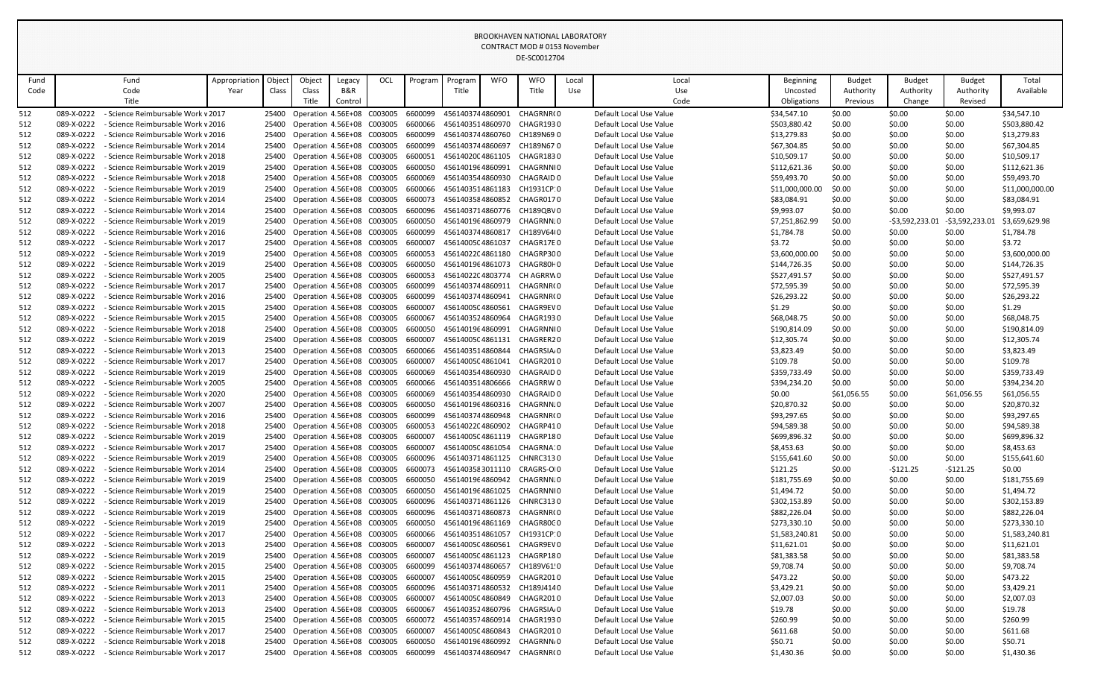|            |                          |                                                                          |               |        |                |                                                                      |     |                    | CONTRACT MOD # 0153 November         |            |                                                                     |       |                                                    |                                |                  |                  |                      |                                |
|------------|--------------------------|--------------------------------------------------------------------------|---------------|--------|----------------|----------------------------------------------------------------------|-----|--------------------|--------------------------------------|------------|---------------------------------------------------------------------|-------|----------------------------------------------------|--------------------------------|------------------|------------------|----------------------|--------------------------------|
|            |                          |                                                                          |               |        |                |                                                                      |     |                    |                                      |            |                                                                     |       |                                                    |                                |                  |                  |                      |                                |
| Fund       |                          | Fund                                                                     | Appropriation | Object | Object         | Legacy                                                               | OCL | Program            | Program                              | <b>WFO</b> | <b>WFO</b>                                                          | Local | Local                                              | Beginning                      | <b>Budget</b>    | <b>Budget</b>    | <b>Budget</b>        | Total                          |
| Code       |                          | Code<br>Title                                                            | Year          | Class  | Class<br>Title | B&R                                                                  |     |                    | Title                                |            | Title                                                               | Use   | Use<br>Code                                        | Uncosted                       | Authority        | Authority        | Authority<br>Revised | Available                      |
|            |                          |                                                                          |               |        |                | Control                                                              |     |                    |                                      |            |                                                                     |       |                                                    | Obligations                    | Previous         | Change           |                      |                                |
| 512        | 089-X-0222<br>089-X-0222 | Science Reimbursable Work v 2017                                         |               | 25400  |                | Operation 4.56E+08 C003005                                           |     | 6600099            | 4561403744860901                     |            | CHAGRNR(0<br>CHAGR1930                                              |       | Default Local Use Value<br>Default Local Use Value | \$34,547.10                    | \$0.00           | \$0.00<br>\$0.00 | \$0.00<br>\$0.00     | \$34,547.10<br>\$503,880.42    |
| 512<br>512 | 089-X-0222               | - Science Reimbursable Work v 2016<br>- Science Reimbursable Work v 2016 |               | 25400  |                | 25400 Operation 4.56E+08 C003005<br>Operation 4.56E+08 C003005       |     | 6600066<br>6600099 | 4561403514860970<br>4561403744860760 |            | CH189N69 0                                                          |       | Default Local Use Value                            | \$503,880.42<br>\$13,279.83    | \$0.00<br>\$0.00 | \$0.00           | \$0.00               | \$13,279.83                    |
| 512        | 089-X-0222               | - Science Reimbursable Work v 2014                                       |               | 25400  |                | Operation 4.56E+08 C003005                                           |     | 6600099            | 4561403744860697                     |            | CH189N67 0                                                          |       | Default Local Use Value                            | \$67,304.85                    | \$0.00           | \$0.00           | \$0.00               | \$67,304.85                    |
| 512        | 089-X-0222               | - Science Reimbursable Work v 2018                                       |               | 25400  |                | Operation 4.56E+08 C003005                                           |     | 6600051            | 4561402004861105                     |            | CHAGR1830                                                           |       | Default Local Use Value                            | \$10,509.17                    | \$0.00           | \$0.00           | \$0.00               | \$10,509.17                    |
| 512        | 089-X-0222               | - Science Reimbursable Work v 2019                                       |               |        |                | 25400 Operation 4.56E+08 C003005                                     |     | 6600050            | 4561401964860991                     |            | CHAGRNNIO                                                           |       | Default Local Use Value                            | \$112,621.36                   | \$0.00           | \$0.00           | \$0.00               | \$112,621.36                   |
| 512        | 089-X-0222               | - Science Reimbursable Work v 2018                                       |               |        |                | 25400 Operation 4.56E+08 C003005                                     |     | 6600069            | 4561403544860930                     |            | CHAGRAID 0                                                          |       | Default Local Use Value                            | \$59,493.70                    | \$0.00           | \$0.00           | \$0.00               | \$59,493.70                    |
| 512        | 089-X-0222               | - Science Reimbursable Work v 2019                                       |               | 25400  |                | Operation 4.56E+08 C003005                                           |     | 6600066            | 4561403514861183                     |            | CH1931CP:0                                                          |       | Default Local Use Value                            | \$11,000,000.00                | \$0.00           | \$0.00           | \$0.00               | \$11,000,000.00                |
| 512        | 089-X-0222               | - Science Reimbursable Work v 2014                                       |               | 25400  |                | Operation 4.56E+08 C003005                                           |     | 6600073            | 4561403584860852                     |            | CHAGR0170                                                           |       | Default Local Use Value                            | \$83,084.91                    | \$0.00           | \$0.00           | \$0.00               | \$83,084.91                    |
| 512        | 089-X-0222               | - Science Reimbursable Work v 2014                                       |               |        |                | 25400 Operation 4.56E+08 C003005                                     |     | 6600096            |                                      |            | 4561403714860776 CH189QBV0                                          |       | Default Local Use Value                            | \$9,993.07                     | \$0.00           | \$0.00           | \$0.00               | \$9,993.07                     |
| 512        | 089-X-0222               | - Science Reimbursable Work v 2019                                       |               | 25400  |                | Operation 4.56E+08 C003005                                           |     | 6600050            | 4561401964860979                     |            | CHAGRNN.0                                                           |       | Default Local Use Value                            | \$7,251,862.99                 | \$0.00           | -\$3,592,233.01  | -\$3,592,233.01      | \$3,659,629.98                 |
| 512        | 089-X-0222               | - Science Reimbursable Work v 2016                                       |               | 25400  |                | Operation 4.56E+08 C003005                                           |     | 6600099            | 4561403744860817                     |            | CH189V64(0                                                          |       | Default Local Use Value                            | \$1,784.78                     | \$0.00           | \$0.00           | \$0.00               | \$1,784.78                     |
| 512        | 089-X-0222               | - Science Reimbursable Work v 2017                                       |               | 25400  |                | Operation 4.56E+08 C003005                                           |     | 6600007            | 4561400504861037                     |            | CHAGR17E 0                                                          |       | Default Local Use Value                            | \$3.72                         | \$0.00           | \$0.00           | \$0.00               | \$3.72                         |
| 512        | 089-X-0222               | - Science Reimbursable Work v 2019                                       |               | 25400  |                | Operation 4.56E+08 C003005                                           |     | 6600053            | 4561402204861180                     |            | CHAGRP300                                                           |       | Default Local Use Value                            | \$3,600,000.00                 | \$0.00           | \$0.00           | \$0.00               | \$3,600,000.00                 |
| 512        | 089-X-0222               | - Science Reimbursable Work v 2019                                       |               | 25400  |                | Operation 4.56E+08 C003005                                           |     | 6600050            | 4561401964861073                     |            | CHAGR80F0                                                           |       | Default Local Use Value                            | \$144,726.35                   | \$0.00           | \$0.00           | \$0.00               | \$144,726.35                   |
| 512        | 089-X-0222               | - Science Reimbursable Work v 2005                                       |               | 25400  |                | Operation 4.56E+08 C003005                                           |     | 6600053            | 4561402204803774                     |            | CH AGRRW 0                                                          |       | Default Local Use Value                            | \$527,491.57                   | \$0.00           | \$0.00           | \$0.00               | \$527,491.57                   |
| 512        | 089-X-0222               | - Science Reimbursable Work v 2017                                       |               |        |                | 25400 Operation 4.56E+08 C003005                                     |     | 6600099            | 4561403744860911                     |            | CHAGRNR(0                                                           |       | Default Local Use Value                            | \$72,595.39                    | \$0.00           | \$0.00           | \$0.00               | \$72,595.39                    |
| 512        | 089-X-0222               | - Science Reimbursable Work v 2016                                       |               |        |                | 25400 Operation 4.56E+08 C003005                                     |     | 6600099            | 4561403744860941                     |            | CHAGRNR(0                                                           |       | Default Local Use Value                            | \$26,293.22                    | \$0.00           | \$0.00           | \$0.00               | \$26,293.22                    |
| 512        | 089-X-0222               | - Science Reimbursable Work v 2015                                       |               | 25400  |                | Operation 4.56E+08 C003005                                           |     | 6600007            | 4561400504860561                     |            | CHAGR9EV 0                                                          |       | Default Local Use Value                            | \$1.29                         | \$0.00           | \$0.00           | \$0.00               | \$1.29                         |
| 512        | 089-X-0222               | - Science Reimbursable Work v 2015                                       |               | 25400  |                | Operation 4.56E+08 C003005                                           |     | 6600067            | 4561403524860964                     |            | CHAGR1930                                                           |       | Default Local Use Value                            | \$68,048.75                    | \$0.00           | \$0.00           | \$0.00               | \$68,048.75                    |
| 512        | 089-X-0222               | - Science Reimbursable Work v 2018                                       |               |        |                | 25400 Operation 4.56E+08 C003005                                     |     | 6600050            | 4561401964860991                     |            | CHAGRNNIO                                                           |       | Default Local Use Value                            | \$190,814.09                   | \$0.00           | \$0.00           | \$0.00               | \$190,814.09                   |
| 512        | 089-X-0222               | - Science Reimbursable Work v 2019                                       |               | 25400  |                | Operation 4.56E+08 C003005                                           |     | 6600007            | 4561400504861131                     |            | CHAGRER20                                                           |       | Default Local Use Value                            | \$12,305.74                    | \$0.00           | \$0.00           | \$0.00               | \$12,305.74                    |
| 512        | 089-X-0222               | - Science Reimbursable Work v 2013                                       |               |        |                | 25400 Operation 4.56E+08 C003005                                     |     | 6600066            | 4561403514860844                     |            | CHAGRSIA <sub>'</sub> 0                                             |       | Default Local Use Value                            | \$3,823.49                     | \$0.00           | \$0.00           | \$0.00               | \$3,823.49                     |
| 512        | 089-X-0222               | - Science Reimbursable Work v 2017                                       |               | 25400  |                | Operation 4.56E+08 C003005                                           |     | 6600007            | 4561400504861041                     |            | CHAGR2010                                                           |       | Default Local Use Value                            | \$109.78                       | \$0.00           | \$0.00           | \$0.00               | \$109.78                       |
| 512        | 089-X-0222               | - Science Reimbursable Work v 2019                                       |               | 25400  |                | Operation 4.56E+08 C003005                                           |     | 6600069            | 4561403544860930                     |            | CHAGRAID 0                                                          |       | Default Local Use Value                            | \$359,733.49                   | \$0.00           | \$0.00           | \$0.00               | \$359,733.49                   |
| 512        |                          | 089-X-0222 - Science Reimbursable Work v 2005                            |               |        |                |                                                                      |     |                    |                                      |            | 25400 Operation 4.56E+08 C003005 6600066 4561403514806666 CHAGRRW 0 |       | Default Local Use Value                            | \$394,234.20                   | \$0.00           | \$0.00           | \$0.00               | \$394,234.20                   |
| 512        | 089-X-0222               | - Science Reimbursable Work v 2020                                       |               |        |                | 25400 Operation 4.56E+08 C003005 6600069                             |     |                    |                                      |            | 4561403544860930 CHAGRAID 0                                         |       | Default Local Use Value                            | \$0.00                         | \$61,056.55      | \$0.00           | \$61,056.55          | \$61,056.55                    |
| 512        | 089-X-0222               | - Science Reimbursable Work v 2007                                       |               |        |                | 25400 Operation 4.56E+08 C003005 6600050                             |     |                    |                                      |            | 4561401964860316 CHAGRNNJ0                                          |       | Default Local Use Value                            | \$20,870.32                    | \$0.00           | \$0.00           | \$0.00               | \$20,870.32                    |
| 512        | 089-X-0222               | - Science Reimbursable Work v 2016                                       |               | 25400  |                | Operation 4.56E+08 C003005                                           |     | 6600099            | 4561403744860948                     |            | CHAGRNR(0                                                           |       | Default Local Use Value                            | \$93,297.65                    | \$0.00           | \$0.00           | \$0.00               | \$93,297.65                    |
| 512        | 089-X-0222               | - Science Reimbursable Work v 2018                                       |               |        |                | 25400 Operation 4.56E+08 C003005 6600053                             |     |                    | 4561402204860902                     |            | CHAGRP410                                                           |       | Default Local Use Value                            | \$94,589.38                    | \$0.00           | \$0.00           | \$0.00               | \$94,589.38                    |
| 512        | 089-X-0222               | - Science Reimbursable Work v 2019                                       |               |        |                | 25400 Operation 4.56E+08 C003005                                     |     | 6600007            | 4561400504861119                     |            | CHAGRP180                                                           |       | Default Local Use Value                            | \$699,896.32                   | \$0.00           | \$0.00           | \$0.00               | \$699,896.32                   |
| 512        | 089-X-0222               | - Science Reimbursable Work v 2017                                       |               | 25400  |                | Operation 4.56E+08 C003005                                           |     | 6600007            | 4561400504861054                     |            | CHAGRNA′0                                                           |       | Default Local Use Value                            | \$8,453.63                     | \$0.00           | \$0.00           | \$0.00               | \$8,453.63                     |
| 512        | 089-X-0222               | - Science Reimbursable Work v 2019                                       |               |        |                | 25400 Operation 4.56E+08 C003005                                     |     | 6600096            |                                      |            | 4561403714861125 CHNRC3130                                          |       | Default Local Use Value                            | \$155,641.60                   | \$0.00           | \$0.00           | \$0.00               | \$155,641.60                   |
| 512        | 089-X-0222               | - Science Reimbursable Work v 2014                                       |               |        |                | 25400 Operation 4.56E+08 C003005 6600073                             |     |                    |                                      |            | 4561403583011110 CRAGRS-OI0                                         |       | Default Local Use Value                            | \$121.25                       | \$0.00           | $-5121.25$       | -\$121.25            | \$0.00                         |
| 512        | 089-X-0222               | - Science Reimbursable Work v 2019                                       |               |        |                | 25400 Operation 4.56E+08 C003005                                     |     | 6600050            | 4561401964860942                     |            | CHAGRNN.0                                                           |       | Default Local Use Value                            | \$181,755.69                   | \$0.00           | \$0.00           | \$0.00               | \$181,755.69                   |
| 512        | 089-X-0222               | - Science Reimbursable Work v 2019                                       |               |        |                | 25400 Operation 4.56E+08 C003005 6600050                             |     |                    |                                      |            | 4561401964861025 CHAGRNNI0                                          |       | Default Local Use Value                            | \$1,494.72                     | \$0.00           | \$0.00           | \$0.00               | \$1,494.72                     |
| 512        | 089-X-0222               | - Science Reimbursable Work v 2019                                       |               | 25400  |                | Operation 4.56E+08 C003005                                           |     | 6600096            | 4561403714861126                     |            | CHNRC3130                                                           |       | Default Local Use Value                            | \$302,153.89                   | \$0.00           | \$0.00           | \$0.00               | \$302,153.89                   |
| 512        | 089-X-0222               | - Science Reimbursable Work v 2019<br>- Science Reimbursable Work v 2019 |               |        |                | 25400 Operation 4.56E+08 C003005                                     |     | 6600096            | 4561403714860873                     |            | CHAGRNR(0                                                           |       | Default Local Use Value<br>Default Local Use Value | \$882,226.04                   | \$0.00           | \$0.00           | \$0.00               | \$882,226.04                   |
| 512<br>512 | 089-X-0222<br>089-X-0222 | - Science Reimbursable Work v 2017                                       |               |        |                | 25400 Operation 4.56E+08 C003005<br>25400 Operation 4.56E+08 C003005 |     | 6600050<br>6600066 | 4561401964861169<br>4561403514861057 |            | CHAGR80C0<br>CH1931CP:0                                             |       | Default Local Use Value                            | \$273,330.10<br>\$1,583,240.81 | \$0.00           | \$0.00<br>\$0.00 | \$0.00<br>\$0.00     | \$273,330.10<br>\$1,583,240.81 |
| 512        | 089-X-0222               | - Science Reimbursable Work v 2013                                       |               |        |                | 25400 Operation 4.56E+08 C003005 6600007                             |     |                    | 4561400504860561                     |            | CHAGR9EV 0                                                          |       | Default Local Use Value                            | \$11,621.01                    | \$0.00<br>\$0.00 | \$0.00           | \$0.00               | \$11,621.01                    |
| 512        | 089-X-0222               | - Science Reimbursable Work v 2019                                       |               |        |                | 25400 Operation 4.56E+08 C003005                                     |     | 6600007            | 4561400504861123                     |            | CHAGRP180                                                           |       | Default Local Use Value                            | \$81,383.58                    | \$0.00           | \$0.00           | \$0.00               | \$81,383.58                    |
| 512        | 089-X-0222               | - Science Reimbursable Work v 2015                                       |               | 25400  |                | Operation 4.56E+08 C003005                                           |     | 6600099            | 4561403744860657                     |            | CH189V61!0                                                          |       | Default Local Use Value                            | \$9,708.74                     | \$0.00           | \$0.00           | \$0.00               | \$9,708.74                     |
| 512        | 089-X-0222               | - Science Reimbursable Work v 2015                                       |               |        |                | 25400 Operation 4.56E+08 C003005                                     |     | 6600007            | 4561400504860959                     |            | CHAGR2010                                                           |       | Default Local Use Value                            | \$473.22                       | \$0.00           | \$0.00           | \$0.00               | \$473.22                       |
| 512        | 089-X-0222               | - Science Reimbursable Work v 2011                                       |               |        |                | 25400 Operation 4.56E+08 C003005                                     |     | 6600096            | 4561403714860532                     |            | CH189J4140                                                          |       | Default Local Use Value                            | \$3,429.21                     | \$0.00           | \$0.00           | \$0.00               | \$3,429.21                     |
| 512        | 089-X-0222               | - Science Reimbursable Work v 2013                                       |               |        |                | 25400 Operation 4.56E+08 C003005                                     |     | 6600007            | 4561400504860849                     |            | CHAGR2010                                                           |       | Default Local Use Value                            | \$2,007.03                     | \$0.00           | \$0.00           | \$0.00               | \$2,007.03                     |
| 512        | 089-X-0222               | - Science Reimbursable Work v 2013                                       |               |        |                | 25400 Operation 4.56E+08 C003005 6600067                             |     |                    |                                      |            | 4561403524860796 CHAGRSIA 0                                         |       | Default Local Use Value                            | \$19.78                        | \$0.00           | \$0.00           | \$0.00               | \$19.78                        |
| 512        | 089-X-0222               | - Science Reimbursable Work v 2015                                       |               | 25400  |                | Operation 4.56E+08 C003005                                           |     | 6600072            | 4561403574860914                     |            | CHAGR1930                                                           |       | Default Local Use Value                            | \$260.99                       | \$0.00           | \$0.00           | \$0.00               | \$260.99                       |
| 512        | 089-X-0222               | - Science Reimbursable Work v 2017                                       |               |        |                | 25400 Operation 4.56E+08 C003005                                     |     | 6600007            | 4561400504860843                     |            | CHAGR2010                                                           |       | Default Local Use Value                            | \$611.68                       | \$0.00           | \$0.00           | \$0.00               | \$611.68                       |
| 512        | 089-X-0222               | - Science Reimbursable Work v 2018                                       |               | 25400  |                | Operation 4.56E+08 C003005                                           |     | 6600050            | 4561401964860992                     |            | CHAGRNN, 0                                                          |       | Default Local Use Value                            | \$50.71                        | \$0.00           | \$0.00           | \$0.00               | \$50.71                        |
| 512        |                          | 089-X-0222 - Science Reimbursable Work v 2017                            |               |        |                |                                                                      |     |                    |                                      |            | 25400 Operation 4.56E+08 C003005 6600099 4561403744860947 CHAGRNR(0 |       | Default Local Use Value                            | \$1,430.36                     | \$0.00           | \$0.00           | \$0.00               | \$1,430.36                     |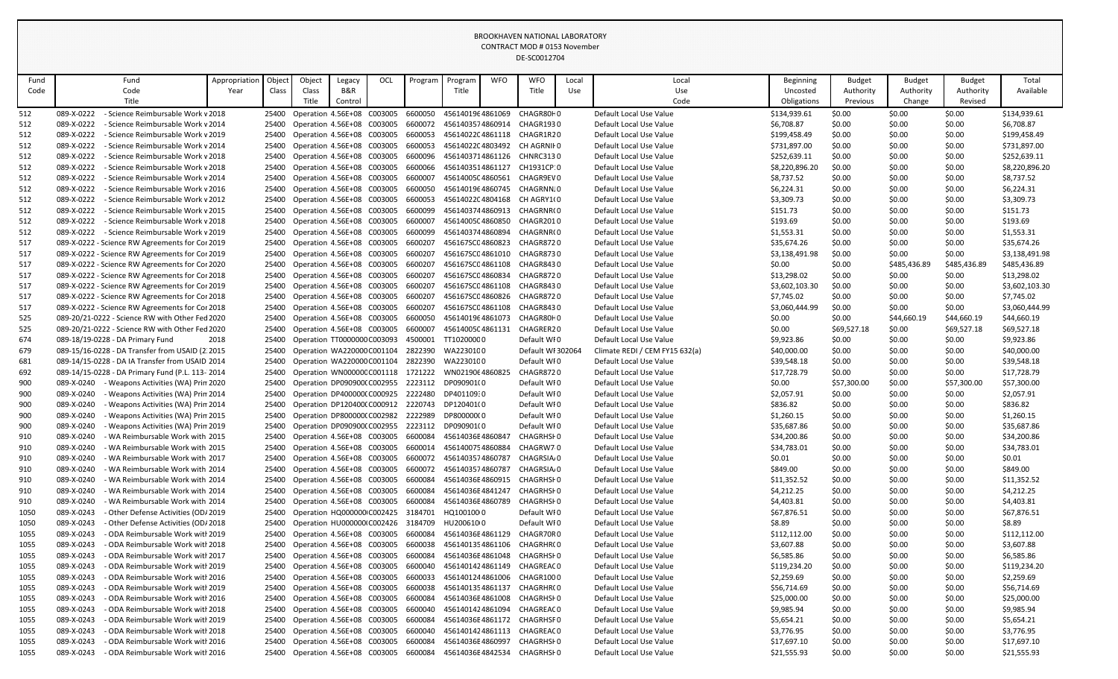|              |                                                                                                      |               |                |                                                           |                |            |                                                     |                                |            | CONTRACT MOD # 0153 November<br>DE-SC0012704             |       |                                                           |                            |                  |                  |                  |                            |
|--------------|------------------------------------------------------------------------------------------------------|---------------|----------------|-----------------------------------------------------------|----------------|------------|-----------------------------------------------------|--------------------------------|------------|----------------------------------------------------------|-------|-----------------------------------------------------------|----------------------------|------------------|------------------|------------------|----------------------------|
| Fund         | Fund                                                                                                 | Appropriation | Object         | Object                                                    | Legacy         | <b>OCL</b> | Program                                             | Program                        | <b>WFO</b> | <b>WFO</b>                                               | Local | Local                                                     | Beginning                  | <b>Budget</b>    | <b>Budget</b>    | <b>Budget</b>    | Total                      |
| Code         | Code                                                                                                 | Year          | Class          | Class                                                     | <b>B&amp;R</b> |            |                                                     | Title                          |            | Title                                                    | Use   | Use                                                       | Uncosted                   | Authority        | Authority        | Authority        | Available                  |
|              | Title                                                                                                |               |                | Title                                                     | Control        |            |                                                     |                                |            |                                                          |       | Code                                                      | Obligations                | Previous         | Change           | Revised          |                            |
| 512          | 089-X-0222<br>- Science Reimbursable Work v 2018                                                     |               | 25400          | Operation 4.56E+08 C003005                                |                |            | 6600050                                             | 4561401964861069               |            | CHAGR80F0                                                |       | Default Local Use Value                                   | \$134,939.61               | \$0.00           | \$0.00           | \$0.00           | \$134,939.61               |
| 512<br>512   | 089-X-0222<br>- Science Reimbursable Work v 2014<br>089-X-0222<br>- Science Reimbursable Work v 2019 |               | 25400<br>25400 | Operation 4.56E+08 C003005<br>Operation 4.56E+08 C003005  |                |            | 6600072<br>6600053                                  |                                |            | 4561403574860914 CHAGR1930<br>4561402204861118 CHAGR1R20 |       | Default Local Use Value<br>Default Local Use Value        | \$6,708.87<br>\$199,458.49 | \$0.00<br>\$0.00 | \$0.00<br>\$0.00 | \$0.00<br>\$0.00 | \$6,708.87<br>\$199,458.49 |
| 512          | 089-X-0222<br>- Science Reimbursable Work v 2014                                                     |               | 25400          | Operation 4.56E+08 C003005                                |                |            | 6600053                                             |                                |            | 4561402204803492 CH AGRNII 0                             |       | Default Local Use Value                                   | \$731,897.00               | \$0.00           | \$0.00           | \$0.00           | \$731,897.00               |
| 512          | 089-X-0222<br>- Science Reimbursable Work v 2018                                                     |               | 25400          | Operation 4.56E+08 C003005                                |                |            | 6600096                                             |                                |            | 4561403714861126 CHNRC3130                               |       | Default Local Use Value                                   | \$252,639.11               | \$0.00           | \$0.00           | \$0.00           | \$252,639.11               |
| 512          | 089-X-0222<br>- Science Reimbursable Work v 2018                                                     |               | 25400          | Operation 4.56E+08 C003005                                |                |            | 6600066                                             | 4561403514861127               |            | CH1931CP:0                                               |       | Default Local Use Value                                   | \$8,220,896.20             | \$0.00           | \$0.00           | \$0.00           | \$8,220,896.20             |
| 512          | 089-X-0222<br>- Science Reimbursable Work v 2014                                                     |               |                | 25400 Operation 4.56E+08 C003005                          |                |            | 6600007                                             | 4561400504860561               |            | CHAGR9EV 0                                               |       | Default Local Use Value                                   | \$8,737.52                 | \$0.00           | \$0.00           | \$0.00           | \$8,737.52                 |
| 512          | 089-X-0222<br>- Science Reimbursable Work v 2016                                                     |               | 25400          | Operation 4.56E+08 C003005                                |                |            | 6600050                                             |                                |            | 4561401964860745 CHAGRNNJ0                               |       | Default Local Use Value                                   | \$6,224.31                 | \$0.00           | \$0.00           | \$0.00           | \$6,224.31                 |
| 512          | 089-X-0222<br>- Science Reimbursable Work v 2012                                                     |               | 25400          | Operation 4.56E+08 C003005                                |                |            | 6600053                                             |                                |            | 4561402204804168 CH AGRY1(0                              |       | Default Local Use Value                                   | \$3,309.73                 | \$0.00           | \$0.00           | \$0.00           | \$3,309.73                 |
| 512          | 089-X-0222<br>- Science Reimbursable Work v 2015                                                     |               | 25400          | Operation 4.56E+08 C003005                                |                |            | 6600099                                             |                                |            | 4561403744860913 CHAGRNR(0                               |       | Default Local Use Value                                   | \$151.73                   | \$0.00           | \$0.00           | \$0.00           | \$151.73                   |
| 512          | 089-X-0222<br>- Science Reimbursable Work v 2018                                                     |               | 25400          | Operation 4.56E+08 C003005                                |                |            | 6600007                                             | 4561400504860850               |            | CHAGR2010                                                |       | Default Local Use Value                                   | \$193.69                   | \$0.00           | \$0.00           | \$0.00           | \$193.69                   |
| 512          | 089-X-0222<br>- Science Reimbursable Work v 2019                                                     |               |                | 25400 Operation 4.56E+08 C003005                          |                |            | 6600099                                             | 4561403744860894               |            | CHAGRNR(0                                                |       | Default Local Use Value                                   | \$1,553.31                 | \$0.00           | \$0.00           | \$0.00           | \$1,553.31                 |
| 517          | 089-X-0222 - Science RW Agreements for Cor 2019                                                      |               | 25400          | Operation 4.56E+08 C003005                                |                |            | 6600207                                             | 456167SC04860823               |            | CHAGR8720                                                |       | Default Local Use Value                                   | \$35,674.26                | \$0.00           | \$0.00           | \$0.00           | \$35,674.26                |
| 517          | 089-X-0222 - Science RW Agreements for Cor 2019                                                      |               | 25400          | Operation 4.56E+08 C003005                                |                |            | 6600207                                             | 456167SC04861010               |            | CHAGR8730                                                |       | Default Local Use Value                                   | \$3,138,491.98             | \$0.00           | \$0.00           | \$0.00           | \$3,138,491.98             |
| 517          | 089-X-0222 - Science RW Agreements for Cor 2020                                                      |               | 25400          | Operation 4.56E+08 C003005                                |                |            | 6600207                                             |                                |            | 456167SC04861108 CHAGR8430                               |       | Default Local Use Value                                   | \$0.00                     | \$0.00           | \$485,436.89     | \$485,436.89     | \$485,436.89               |
| 517          | 089-X-0222 - Science RW Agreements for Cor 2018                                                      |               | 25400          | Operation 4.56E+08 C003005                                |                |            | 6600207                                             | 456167SC04860834               |            | CHAGR8720                                                |       | Default Local Use Value                                   | \$13,298.02                | \$0.00           | \$0.00           | \$0.00           | \$13,298.02                |
| 517          | 089-X-0222 - Science RW Agreements for Cor 2019                                                      |               | 25400          | Operation 4.56E+08 C003005                                |                |            | 6600207                                             | 456167SC04861108               |            | CHAGR8430                                                |       | Default Local Use Value                                   | \$3,602,103.30             | \$0.00           | \$0.00           | \$0.00           | \$3,602,103.30             |
| 517          | 089-X-0222 - Science RW Agreements for Cor 2018                                                      |               | 25400          | Operation 4.56E+08 C003005                                |                |            | 6600207                                             |                                |            | 456167SC04860826 CHAGR8720                               |       | Default Local Use Value                                   | \$7,745.02                 | \$0.00           | \$0.00           | \$0.00           | \$7,745.02                 |
| 517          | 089-X-0222 - Science RW Agreements for Cor 2018                                                      |               | 25400          | Operation 4.56E+08 C003005                                |                |            | 6600207                                             | 456167SC04861108               |            | CHAGR8430                                                |       | Default Local Use Value                                   | \$3,060,444.99             | \$0.00           | \$0.00           | \$0.00           | \$3,060,444.99             |
| 525          | 089-20/21-0222 - Science RW with Other Fed 2020                                                      |               | 25400          | Operation 4.56E+08 C003005                                |                |            | 6600050                                             | 4561401964861073               |            | CHAGR80F0                                                |       | Default Local Use Value                                   | \$0.00                     | \$0.00           | \$44,660.19      | \$44,660.19      | \$44,660.19                |
| 525          | 089-20/21-0222 - Science RW with Other Fed 2020<br>089-18/19-0228 - DA Primary Fund                  |               | 25400          | Operation 4.56E+08 C003005                                |                |            | 6600007<br>4500001                                  | 4561400504861131<br>TT10200000 |            | CHAGRER20<br>Default WI0                                 |       | Default Local Use Value                                   | \$0.00                     | \$69,527.18      | \$0.00           | \$69,527.18      | \$69,527.18                |
| 674<br>679   | 089-15/16-0228 - DA Transfer from USAID (2. 2015                                                     | 2018          | 25400<br>25400 | Operation TT0000000 C003093<br>Operation WA220000 C001104 |                |            | 2822390                                             | WA2230100                      |            | Default WI 302064                                        |       | Default Local Use Value<br>Climate REDI / CEM FY15 632(a) | \$9,923.86<br>\$40,000.00  | \$0.00<br>\$0.00 | \$0.00<br>\$0.00 | \$0.00<br>\$0.00 | \$9,923.86<br>\$40,000.00  |
| 681          | 089-14/15-0228 - DA IA Transfer from USAID 2014                                                      |               | 25400          | Operation WA220000 C001104                                |                |            | 2822390                                             | WA2230100                      |            | Default WI0                                              |       | Default Local Use Value                                   | \$39,548.18                | \$0.00           | \$0.00           | \$0.00           | \$39,548.18                |
| 692          | 089-14/15-0228 - DA Primary Fund (P.L. 113-2014                                                      |               | 25400          | Operation WN00000CC001118                                 |                |            | 1721222                                             | WN0219064860825                |            | CHAGR8720                                                |       | Default Local Use Value                                   | \$17,728.79                | \$0.00           | \$0.00           | \$0.00           | \$17,728.79                |
| 900          | 089-X-0240 - Weapons Activities (WA) Prin 2020                                                       |               |                |                                                           |                |            | 25400 Operation DP090900(C002955 2223112 DP090901(0 |                                |            | Default WI0                                              |       | Default Local Use Value                                   | \$0.00                     | \$57,300.00      | \$0.00           | \$57,300.00      | \$57,300.00                |
| 900          | 089-X-0240<br>Weapons Activities (WA) Prin 2014                                                      |               |                | Operation DP400000(C000925 2222480                        |                |            |                                                     | DP401109:0                     |            | Default WI0                                              |       | Default Local Use Value                                   | \$2,057.91                 | \$0.00           | \$0.00           | \$0.00           | \$2,057.91                 |
| 900          | 089-X-0240<br>Weapons Activities (WA) Prin 2014                                                      |               |                |                                                           |                |            | 25400 Operation DP120400(C000912 2220743 DP120401(0 |                                |            | Default WI0                                              |       | Default Local Use Value                                   | \$836.82                   | \$0.00           | \$0.00           | \$0.00           | \$836.82                   |
| 900          | 089-X-0240<br>- Weapons Activities (WA) Prin 2015                                                    |               | 25400          | Operation DP800000(C002982                                |                |            | 2222989                                             | DP800000(0                     |            | Default WI0                                              |       | Default Local Use Value                                   | \$1,260.15                 | \$0.00           | \$0.00           | \$0.00           | \$1,260.15                 |
| 900          | 089-X-0240<br>- Weapons Activities (WA) Prin 2019                                                    |               |                | 25400 Operation DP090900(C002955                          |                |            | 2223112 DP090901(0                                  |                                |            | Default WI0                                              |       | Default Local Use Value                                   | \$35,687.86                | \$0.00           | \$0.00           | \$0.00           | \$35,687.86                |
| 910          | 089-X-0240<br>WA Reimbursable Work with 2015                                                         |               | 25400          | Operation 4.56E+08 C003005                                |                |            | 6600084                                             | 45614036E486084                |            | CHAGRHSF0                                                |       | Default Local Use Value                                   | \$34,200.86                | \$0.00           | \$0.00           | \$0.00           | \$34,200.86                |
| 910          | 089-X-0240<br>WA Reimbursable Work with 2015                                                         |               | 25400          | Operation 4.56E+08 C003005                                |                |            | 6600014                                             | 4561400754860884               |            | CHAGRW70                                                 |       | Default Local Use Value                                   | \$34,783.01                | \$0.00           | \$0.00           | \$0.00           | \$34,783.01                |
| 910          | 089-X-0240<br>WA Reimbursable Work with 2017                                                         |               | 25400          | Operation 4.56E+08 C003005                                |                |            | 6600072                                             | 4561403574860787               |            | CHAGRSIA <sub>0</sub>                                    |       | Default Local Use Value                                   | \$0.01                     | \$0.00           | \$0.00           | \$0.00           | \$0.01                     |
| 910          | 089-X-0240<br>- WA Reimbursable Work with 2014                                                       |               | 25400          | Operation 4.56E+08 C003005                                |                |            | 6600072                                             | 4561403574860787               |            | CHAGRSIA, 0                                              |       | Default Local Use Value                                   | \$849.00                   | \$0.00           | \$0.00           | \$0.00           | \$849.00                   |
| 910          | 089-X-0240<br>WA Reimbursable Work with 2014                                                         |               |                | 25400 Operation 4.56E+08 C003005                          |                |            | 6600084                                             | 45614036E4860915               |            | CHAGRHSI 0                                               |       | Default Local Use Value                                   | \$11,352.52                | \$0.00           | \$0.00           | \$0.00           | \$11,352.52                |
| 910          | 089-X-0240<br>WA Reimbursable Work with 2014 -                                                       |               | 25400          | Operation 4.56E+08 C003005                                |                |            | 6600084                                             | 45614036E4841247               |            | CHAGRHSI 0                                               |       | Default Local Use Value                                   | \$4,212.25                 | \$0.00           | \$0.00           | \$0.00           | \$4,212.25                 |
| 910          | 089-X-0240<br>- WA Reimbursable Work with 2014                                                       |               | 25400          | Operation 4.56E+08 C003005                                |                |            | 6600084                                             | 45614036E4860789               |            | CHAGRHSI 0                                               |       | Default Local Use Value                                   | \$4,403.81                 | \$0.00           | \$0.00           | \$0.00           | \$4,403.81                 |
| 1050         | 089-X-0243<br>- Other Defense Activities (OD/2019                                                    |               | 25400          | Operation HQ000000 C002425 3184701                        |                |            |                                                     | HQ1001000                      |            | Default WI0                                              |       | Default Local Use Value                                   | \$67,876.51                | \$0.00           | \$0.00           | \$0.00           | \$67,876.51                |
| 1050         | 089-X-0243<br>- Other Defense Activities (OD/2018                                                    |               | 25400          | Operation HU000000 C002426 3184709                        |                |            |                                                     | HU200610 <sub>10</sub>         |            | Default WI0                                              |       | Default Local Use Value                                   | \$8.89                     | \$0.00           | \$0.00           | \$0.00           | \$8.89                     |
| 1055         | 089-X-0243<br>- ODA Reimbursable Work with 2019                                                      |               |                | 25400 Operation 4.56E+08 C003005                          |                |            | 6600084                                             | 45614036E4861129               |            | CHAGR70R0                                                |       | Default Local Use Value                                   | \$112,112.00               | \$0.00           | \$0.00           | \$0.00           | \$112,112.00               |
| 1055         | 089-X-0243<br>- ODA Reimbursable Work with 2018                                                      |               |                | 25400 Operation 4.56E+08 C003005                          |                |            | 6600038                                             |                                |            | 4561401354861106 CHAGRHR(0                               |       | Default Local Use Value                                   | \$3,607.88                 | \$0.00           | \$0.00           | \$0.00           | \$3,607.88                 |
| 1055         | 089-X-0243<br>- ODA Reimbursable Work witł 2017<br>089-X-0243                                        |               | 25400          | Operation 4.56E+08 C003005                                |                |            | 6600084                                             |                                |            | 45614036E4861048 CHAGRHSF0<br>4561401424861149 CHAGREAC0 |       | Default Local Use Value                                   | \$6,585.86                 | \$0.00           | \$0.00           | \$0.00           | \$6,585.86                 |
| 1055<br>1055 | - ODA Reimbursable Work witł 2019<br>089-X-0243<br>- ODA Reimbursable Work witł 2016                 |               | 25400<br>25400 | Operation 4.56E+08 C003005<br>Operation 4.56E+08 C003005  |                |            | 6600040<br>6600033                                  |                                |            | 4561401244861006 CHAGR1000                               |       | Default Local Use Value<br>Default Local Use Value        | \$119,234.20<br>\$2,259.69 | \$0.00<br>\$0.00 | \$0.00<br>\$0.00 | \$0.00<br>\$0.00 | \$119,234.20<br>\$2,259.69 |
| 1055         | 089-X-0243<br>- ODA Reimbursable Work with 2019                                                      |               | 25400          | Operation 4.56E+08 C003005                                |                |            | 6600038                                             | 4561401354861137               |            | CHAGRHR(0                                                |       | Default Local Use Value                                   | \$56,714.69                | \$0.00           | \$0.00           | \$0.00           | \$56,714.69                |
| 1055         | 089-X-0243<br>- ODA Reimbursable Work witł 2016                                                      |               |                | 25400 Operation 4.56E+08 C003005                          |                |            | 6600084                                             |                                |            | 45614036E4861008 CHAGRHSF0                               |       | Default Local Use Value                                   | \$25,000.00                | \$0.00           | \$0.00           | \$0.00           | \$25,000.00                |
| 1055         | 089-X-0243<br>- ODA Reimbursable Work with 2018                                                      |               | 25400          | Operation 4.56E+08 C003005                                |                |            | 6600040                                             | 4561401424861094               |            | CHAGREAC 0                                               |       | Default Local Use Value                                   | \$9,985.94                 | \$0.00           | \$0.00           | \$0.00           | \$9,985.94                 |
| 1055         | 089-X-0243<br>- ODA Reimbursable Work with 2019                                                      |               | 25400          | Operation 4.56E+08 C003005                                |                |            | 6600084                                             |                                |            | 45614036E4861172 CHAGRHSF0                               |       | Default Local Use Value                                   | \$5,654.21                 | \$0.00           | \$0.00           | \$0.00           | \$5,654.21                 |
| 1055         | 089-X-0243<br>- ODA Reimbursable Work with 2018                                                      |               | 25400          | Operation 4.56E+08 C003005                                |                |            | 6600040                                             |                                |            | 4561401424861113 CHAGREAC0                               |       | Default Local Use Value                                   | \$3,776.95                 | \$0.00           | \$0.00           | \$0.00           | \$3,776.95                 |
| 1055         | 089-X-0243<br>- ODA Reimbursable Work with 2016                                                      |               |                | 25400 Operation 4.56E+08 C003005                          |                |            | 6600084                                             | 45614036E4860997               |            | CHAGRHSI 0                                               |       | Default Local Use Value                                   | \$17,697.10                | \$0.00           | \$0.00           | \$0.00           | \$17,697.10                |
| 1055         | 089-X-0243<br>- ODA Reimbursable Work with 2016                                                      |               |                | 25400 Operation 4.56E+08 C003005                          |                |            | 6600084                                             |                                |            | 45614036E4842534 CHAGRHSF0                               |       | Default Local Use Value                                   | \$21,555.93                | \$0.00           | \$0.00           | \$0.00           | \$21,555.93                |
|              |                                                                                                      |               |                |                                                           |                |            |                                                     |                                |            |                                                          |       |                                                           |                            |                  |                  |                  |                            |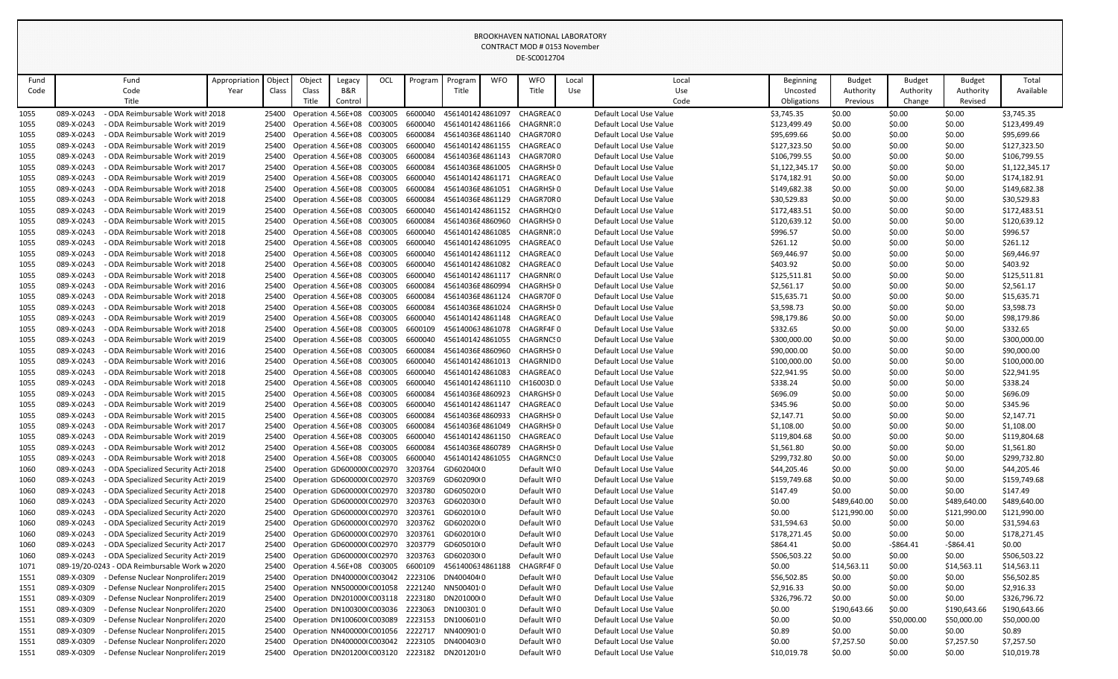|              |                          |                                                                        |               |        |                                                                      |         |     |                    |                  | CONTRACT MOD # 0153 November |                                                                      |            |                                                    |                          |                  |                  |                  |                          |
|--------------|--------------------------|------------------------------------------------------------------------|---------------|--------|----------------------------------------------------------------------|---------|-----|--------------------|------------------|------------------------------|----------------------------------------------------------------------|------------|----------------------------------------------------|--------------------------|------------------|------------------|------------------|--------------------------|
|              |                          |                                                                        |               |        |                                                                      |         |     |                    |                  | DE-SC0012704                 |                                                                      |            |                                                    |                          |                  |                  |                  |                          |
| Fund         |                          | Fund                                                                   | Appropriation | Object | Object                                                               | Legacy  | OCL | Program            | Program          | <b>WFO</b>                   | <b>WFO</b>                                                           | Local      | Local                                              | Beginning                | <b>Budget</b>    | <b>Budget</b>    | <b>Budget</b>    | Total                    |
| Code         |                          | Code                                                                   | Year          | Class  | Class                                                                | B&R     |     |                    | Title            |                              | Title                                                                | <b>Use</b> | Use                                                | Uncosted                 | Authority        | Authority        | Authority        | Available                |
|              |                          | Title                                                                  |               |        | Title                                                                | Control |     |                    |                  |                              |                                                                      |            | Code                                               | Obligations              | Previous         | Change           | Revised          |                          |
| 1055         | 089-X-0243               | - ODA Reimbursable Work with 2018                                      |               |        | 25400 Operation 4.56E+08 C003005                                     |         |     | 6600040            | 4561401424861097 |                              | CHAGREAC 0                                                           |            | Default Local Use Value                            | \$3,745.35               | \$0.00           | \$0.00           | \$0.00           | \$3,745.35               |
| 1055         | 089-X-0243               | - ODA Reimbursable Work with 2019                                      |               |        | 25400 Operation 4.56E+08 C003005                                     |         |     | 6600040            |                  |                              | 4561401424861166 CHAGRNR70                                           |            | Default Local Use Value                            | \$123,499.49             | \$0.00           | \$0.00           | \$0.00           | \$123,499.49             |
| 1055         | 089-X-0243               | - ODA Reimbursable Work with 2019                                      |               |        | 25400 Operation 4.56E+08 C003005                                     |         |     | 6600084            |                  |                              | 45614036E4861140 CHAGR70R0                                           |            | Default Local Use Value                            | \$95,699.66              | \$0.00           | \$0.00           | \$0.00           | \$95,699.66              |
| 1055         | 089-X-0243               | - ODA Reimbursable Work with 2019                                      |               |        | 25400 Operation 4.56E+08 C003005                                     |         |     | 6600040            |                  |                              | 4561401424861155 CHAGREACO                                           |            | Default Local Use Value                            | \$127,323.50             | \$0.00           | \$0.00           | \$0.00           | \$127,323.50             |
| 1055         | 089-X-0243               | - ODA Reimbursable Work with 2019                                      |               |        | 25400 Operation 4.56E+08 C003005                                     |         |     | 6600084            | 45614036E4861143 |                              | CHAGR70R0                                                            |            | Default Local Use Value                            | \$106,799.55             | \$0.00           | \$0.00           | \$0.00           | \$106,799.55             |
| 1055         | 089-X-0243               | - ODA Reimbursable Work with 2017                                      |               |        | 25400 Operation 4.56E+08 C003005                                     |         |     | 6600084            | 45614036E4861005 |                              | CHAGRHSI 0                                                           |            | Default Local Use Value                            | \$1,122,345.17           | \$0.00           | \$0.00           | \$0.00           | \$1,122,345.17           |
| 1055         | 089-X-0243               | - ODA Reimbursable Work with 2019                                      |               |        | 25400 Operation 4.56E+08 C003005                                     |         |     | 6600040            |                  |                              | 4561401424861171 CHAGREACO                                           |            | Default Local Use Value                            | \$174,182.91             | \$0.00           | \$0.00           | \$0.00           | \$174,182.91             |
| 1055         | 089-X-0243               | - ODA Reimbursable Work witl 2018                                      |               |        | 25400 Operation 4.56E+08 C003005                                     |         |     | 6600084            |                  |                              | 45614036E4861051 CHAGRHSF0                                           |            | Default Local Use Value                            | \$149,682.38             | \$0.00           | \$0.00           | \$0.00           | \$149,682.38             |
| 1055         | 089-X-0243               | - ODA Reimbursable Work witl 2018                                      |               |        | 25400 Operation 4.56E+08 C003005                                     |         |     | 6600084            | 45614036E4861129 |                              | CHAGR70R0                                                            |            | Default Local Use Value                            | \$30,529.83              | \$0.00           | \$0.00           | \$0.00           | \$30,529.83              |
| 1055         | 089-X-0243<br>089-X-0243 | - ODA Reimbursable Work with 2019<br>- ODA Reimbursable Work with 2015 |               |        | 25400 Operation 4.56E+08 C003005                                     |         |     | 6600040<br>6600084 | 45614036E4860960 |                              | 4561401424861152 CHAGRHQI0<br>CHAGRHSF 0                             |            | Default Local Use Value<br>Default Local Use Value | \$172,483.51             | \$0.00           | \$0.00           | \$0.00           | \$172,483.51             |
| 1055         | 089-X-0243               | - ODA Reimbursable Work with 2018                                      |               |        | 25400 Operation 4.56E+08 C003005<br>25400 Operation 4.56E+08 C003005 |         |     | 6600040            |                  |                              | 4561401424861085 CHAGRNR70                                           |            | Default Local Use Value                            | \$120,639.12<br>\$996.57 | \$0.00<br>\$0.00 | \$0.00<br>\$0.00 | \$0.00<br>\$0.00 | \$120,639.12<br>\$996.57 |
| 1055         | 089-X-0243               | - ODA Reimbursable Work with 2018                                      |               |        |                                                                      |         |     | 6600040            |                  |                              | 4561401424861095 CHAGREAC0                                           |            | Default Local Use Value                            |                          |                  |                  |                  | \$261.12                 |
| 1055         | 089-X-0243               | - ODA Reimbursable Work witl 2018                                      |               |        | 25400 Operation 4.56E+08 C003005<br>25400 Operation 4.56E+08 C003005 |         |     | 6600040            |                  |                              | 4561401424861112 CHAGREAC0                                           |            | Default Local Use Value                            | \$261.12<br>\$69,446.97  | \$0.00<br>\$0.00 | \$0.00<br>\$0.00 | \$0.00<br>\$0.00 | \$69,446.97              |
| 1055<br>1055 | 089-X-0243               | - ODA Reimbursable Work with 2018                                      |               |        | 25400 Operation 4.56E+08 C003005                                     |         |     | 6600040            |                  |                              | 4561401424861082 CHAGREAC0                                           |            | Default Local Use Value                            | \$403.92                 | \$0.00           | \$0.00           | \$0.00           | \$403.92                 |
| 1055         | 089-X-0243               | - ODA Reimbursable Work with 2018                                      |               |        | 25400 Operation 4.56E+08 C003005                                     |         |     | 6600040            | 4561401424861117 |                              | CHAGRNR(0                                                            |            | Default Local Use Value                            | \$125,511.81             | \$0.00           | \$0.00           | \$0.00           | \$125,511.81             |
| 1055         | 089-X-0243               | - ODA Reimbursable Work witl 2016                                      |               |        | 25400 Operation 4.56E+08 C003005                                     |         |     | 6600084            | 45614036E4860994 |                              | CHAGRHSF 0                                                           |            | Default Local Use Value                            | \$2,561.17               | \$0.00           | \$0.00           | \$0.00           | \$2,561.17               |
| 1055         | 089-X-0243               | - ODA Reimbursable Work with 2018                                      |               |        | 25400 Operation 4.56E+08 C003005                                     |         |     | 6600084            | 45614036E4861124 |                              | CHAGR70F 0                                                           |            | Default Local Use Value                            | \$15,635.71              | \$0.00           | \$0.00           | \$0.00           | \$15,635.71              |
| 1055         | 089-X-0243               | - ODA Reimbursable Work with 2018                                      |               |        | 25400 Operation 4.56E+08 C003005                                     |         |     | 6600084            | 45614036E4861024 |                              | CHAGRHSI 0                                                           |            | Default Local Use Value                            | \$3,598.73               | \$0.00           | \$0.00           | \$0.00           | \$3,598.73               |
| 1055         | 089-X-0243               | - ODA Reimbursable Work with 2019                                      |               |        | 25400 Operation 4.56E+08 C003005                                     |         |     | 6600040            |                  |                              | 4561401424861148 CHAGREAC0                                           |            | Default Local Use Value                            | \$98,179.86              | \$0.00           | \$0.00           | \$0.00           | \$98,179.86              |
| 1055         | 089-X-0243               | - ODA Reimbursable Work with 2018                                      |               |        | 25400 Operation 4.56E+08 C003005                                     |         |     | 6600109            | 4561400634861078 |                              | CHAGRF4F 0                                                           |            | Default Local Use Value                            | \$332.65                 | \$0.00           | \$0.00           | \$0.00           | \$332.65                 |
| 1055         | 089-X-0243               | - ODA Reimbursable Work witł 2019                                      |               |        | 25400 Operation 4.56E+08 C003005                                     |         |     | 6600040            | 4561401424861055 |                              | CHAGRNCS 0                                                           |            | Default Local Use Value                            | \$300,000.00             | \$0.00           | \$0.00           | \$0.00           | \$300,000.00             |
| 1055         | 089-X-0243               | - ODA Reimbursable Work with 2016                                      |               |        | 25400 Operation 4.56E+08 C003005                                     |         |     | 6600084            | 45614036E4860960 |                              | CHAGRHSF 0                                                           |            | Default Local Use Value                            | \$90,000.00              | \$0.00           | \$0.00           | \$0.00           | \$90,000.00              |
| 1055         | 089-X-0243               | - ODA Reimbursable Work with 2016                                      |               |        | 25400 Operation 4.56E+08 C003005                                     |         |     | 6600040            | 4561401424861013 |                              | CHAGRNID 0                                                           |            | Default Local Use Value                            | \$100,000.00             | \$0.00           | \$0.00           | \$0.00           | \$100,000.00             |
| 1055         | 089-X-0243               | - ODA Reimbursable Work with 2018                                      |               |        | 25400 Operation 4.56E+08 C003005                                     |         |     | 6600040            | 4561401424861083 |                              | CHAGREAC 0                                                           |            | Default Local Use Value                            | \$22,941.95              | \$0.00           | \$0.00           | \$0.00           | \$22,941.95              |
| 1055         |                          | 089-X-0243 - ODA Reimbursable Work with 2018                           |               |        |                                                                      |         |     |                    |                  |                              | 25400 Operation 4.56E+08 C003005 6600040 4561401424861110 CH16003D.0 |            | Default Local Use Value                            | \$338.24                 | \$0.00           | \$0.00           | \$0.00           | \$338.24                 |
| 1055         | 089-X-0243               | - ODA Reimbursable Work with 2015                                      |               |        | Operation 4.56E+08 C003005                                           |         |     | 6600084            |                  |                              | 45614036E4860923 CHARGHSF0                                           |            | Default Local Use Value                            | \$696.09                 | \$0.00           | \$0.00           | \$0.00           | \$696.09                 |
| 1055         | 089-X-0243               | - ODA Reimbursable Work witł 2019                                      |               |        | 25400 Operation 4.56E+08 C003005                                     |         |     | 6600040            | 4561401424861147 |                              | CHAGREAC 0                                                           |            | Default Local Use Value                            | \$345.96                 | \$0.00           | \$0.00           | \$0.00           | \$345.96                 |
| 1055         | 089-X-0243               | - ODA Reimbursable Work witł 2015                                      |               | 25400  | Operation 4.56E+08 C003005                                           |         |     | 6600084            | 45614036E4860933 |                              | CHAGRHSF 0                                                           |            | Default Local Use Value                            | \$2,147.71               | \$0.00           | \$0.00           | \$0.00           | \$2,147.71               |
| 1055         | 089-X-0243               | - ODA Reimbursable Work with 2017                                      |               |        | 25400 Operation 4.56E+08 C003005                                     |         |     | 6600084            | 45614036E4861049 |                              | CHAGRHSI 0                                                           |            | Default Local Use Value                            | \$1,108.00               | \$0.00           | \$0.00           | \$0.00           | \$1,108.00               |
| 1055         | 089-X-0243               | - ODA Reimbursable Work with 2019                                      |               |        | 25400 Operation 4.56E+08 C003005                                     |         |     | 6600040            | 4561401424861150 |                              | CHAGREAC 0                                                           |            | Default Local Use Value                            | \$119,804.68             | \$0.00           | \$0.00           | \$0.00           | \$119,804.68             |
| 1055         | 089-X-0243               | - ODA Reimbursable Work witł 2012                                      |               | 25400  | Operation 4.56E+08 C003005                                           |         |     | 6600084            | 45614036E4860789 |                              | <b>CHAGRHSF0</b>                                                     |            | Default Local Use Value                            | \$1,561.80               | \$0.00           | \$0.00           | \$0.00           | \$1,561.80               |
| 1055         | 089-X-0243               | - ODA Reimbursable Work witł 2018                                      |               |        | 25400 Operation 4.56E+08 C003005                                     |         |     | 6600040            | 4561401424861055 |                              | CHAGRNCS 0                                                           |            | Default Local Use Value                            | \$299,732.80             | \$0.00           | \$0.00           | \$0.00           | \$299,732.80             |
| 1060         | 089-X-0243               | - ODA Specialized Security Acti 2018                                   |               | 25400  | Operation GD600000 C002970                                           |         |     | 3203764            | GD602040(0       |                              | Default WIO                                                          |            | Default Local Use Value                            | \$44,205.46              | \$0.00           | \$0.00           | \$0.00           | \$44,205.46              |
| 1060         | 089-X-0243               | - ODA Specialized Security Acti 2019                                   |               |        | 25400 Operation GD600000 C002970                                     |         |     | 3203769            | GD602090(0       |                              | Default WFO                                                          |            | Default Local Use Value                            | \$159,749.68             | \$0.00           | \$0.00           | \$0.00           | \$159,749.68             |
| 1060         | 089-X-0243               | - ODA Specialized Security Acti <sup>,</sup> 2018                      |               |        | 25400 Operation GD600000 C002970                                     |         |     | 3203780            | GD605020(0       |                              | Default WIO                                                          |            | Default Local Use Value                            | \$147.49                 | \$0.00           | \$0.00           | \$0.00           | \$147.49                 |
| 1060         | 089-X-0243               | - ODA Specialized Security Acti 2020                                   |               | 25400  | Operation GD600000 C002970                                           |         |     | 3203763            | GD602030(0       |                              | Default WIO                                                          |            | Default Local Use Value                            | \$0.00                   | \$489,640.00     | \$0.00           | \$489,640.00     | \$489,640.00             |
| 1060         | 089-X-0243               | ODA Specialized Security Acti 2020                                     |               | 25400  | Operation GD600000 C002970                                           |         |     | 3203761            | GD602010(0       |                              | Default WI0                                                          |            | Default Local Use Value                            | \$0.00                   | \$121,990.00     | \$0.00           | \$121,990.00     | \$121,990.00             |
| 1060         | 089-X-0243               | - ODA Specialized Security Acti <sup>,</sup> 2019                      |               |        | 25400 Operation GD600000 C002970                                     |         |     | 3203762            | GD602020I0       |                              | Default WI0                                                          |            | Default Local Use Value                            | \$31,594.63              | \$0.00           | \$0.00           | \$0.00           | \$31,594.63              |
| 1060         | 089-X-0243               | - ODA Specialized Security Acti 2019                                   |               |        | 25400 Operation GD600000 C002970                                     |         |     | 3203761            | GD602010(0       |                              | Default WIO                                                          |            | Default Local Use Value                            | \$178,271.45             | \$0.00           | \$0.00           | \$0.00           | \$178,271.45             |
| 1060         | 089-X-0243               | - ODA Specialized Security Acti 2017                                   |               | 25400  | Operation GD600000 C002970                                           |         |     | 3203779            | GD605010(0       |                              | Default WIO                                                          |            | Default Local Use Value                            | \$864.41                 | \$0.00           | $-5864.41$       | $-5864.41$       | \$0.00                   |
| 1060         | 089-X-0243               | - ODA Specialized Security Acti 2019                                   |               | 25400  | Operation GD600000 C002970                                           |         |     | 3203763            | GD602030(0       |                              | Default WI0                                                          |            | Default Local Use Value                            | \$506,503.22             | \$0.00           | \$0.00           | \$0.00           | \$506,503.22             |
| 1071         |                          | 089-19/20-0243 - ODA Reimbursable Work w 2020                          |               | 25400  | Operation 4.56E+08 C003005                                           |         |     | 6600109            | 4561400634861188 |                              | CHAGRF4F0                                                            |            | Default Local Use Value                            | \$0.00                   | \$14,563.11      | \$0.00           | \$14,563.11      | \$14,563.11              |
| 1551         | 089-X-0309               | - Defense Nuclear Nonprolifera 2019                                    |               |        | 25400 Operation DN400000 C003042                                     |         |     | 2223106            | DN400404(0       |                              | Default WIO                                                          |            | Default Local Use Value                            | \$56,502.85              | \$0.00           | \$0.00           | \$0.00           | \$56,502.85              |
| 1551         | 089-X-0309               | - Defense Nuclear Nonprolifera 2015                                    |               | 25400  | Operation NN500000 C001058                                           |         |     | 2221240            | NN5004010        |                              | Default WI0                                                          |            | Default Local Use Value                            | \$2,916.33               | \$0.00           | \$0.00           | \$0.00           | \$2,916.33               |
| 1551         | 089-X-0309               | - Defense Nuclear Nonprolifera 2019                                    |               |        | 25400 Operation DN201000 C003118 2223180                             |         |     |                    | DN20100010       |                              | Default WIO                                                          |            | Default Local Use Value                            | \$326,796.72             | \$0.00           | \$0.00           | \$0.00           | \$326,796.72             |
| 1551         | 089-X-0309               | - Defense Nuclear Nonprolifera 2020                                    |               | 25400  | Operation DN100300 C003036                                           |         |     | 2223063            | DN1003010        |                              | Default WI0                                                          |            | Default Local Use Value                            | \$0.00                   | \$190,643.66     | \$0.00           | \$190,643.66     | \$190,643.66             |
| 1551         | 089-X-0309               | - Defense Nuclear Nonprolifera 2020                                    |               | 25400  | Operation DN100600 C003089                                           |         |     | 2223153            | DN100601(0       |                              | Default WI0                                                          |            | Default Local Use Value                            | \$0.00                   | \$0.00           | \$50,000.00      | \$50,000.00      | \$50,000.00              |
| 1551         | 089-X-0309               | - Defense Nuclear Nonprolifera 2015                                    |               |        | 25400 Operation NN400000 C001056                                     |         |     | 2222717            | NN4009010        |                              | Default WIO                                                          |            | Default Local Use Value                            | \$0.89                   | \$0.00           | \$0.00           | \$0.00           | \$0.89                   |
| 1551         | 089-X-0309               | - Defense Nuclear Nonprolifera 2020                                    |               | 25400  | Operation DN400000 C003042                                           |         |     | 2223105            | DN400403(0       |                              | Default WI0                                                          |            | Default Local Use Value                            | \$0.00                   | \$7,257.50       | \$0.00           | \$7,257.50       | \$7,257.50               |
| 1551         | 089-X-0309               | - Defense Nuclear Nonprolifera 2019                                    |               |        | 25400 Operation DN201200 C003120 2223182                             |         |     |                    | DN2012010        |                              | Default WIO                                                          |            | Default Local Use Value                            | \$10,019.78              | \$0.00           | \$0.00           | \$0.00           | \$10,019.78              |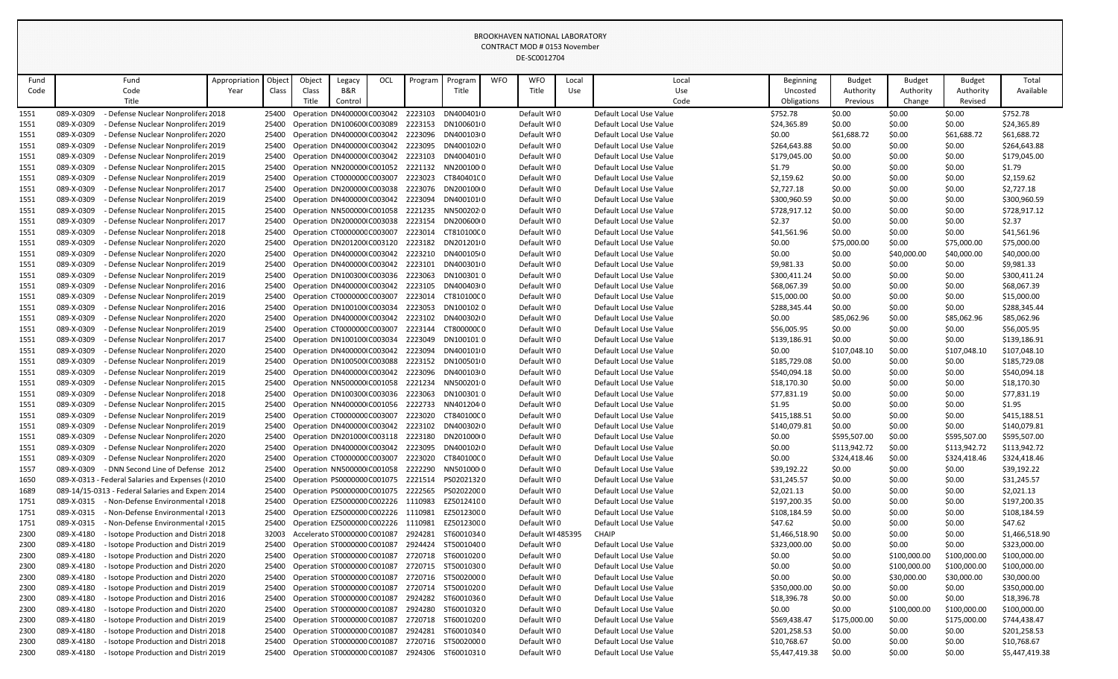|              |            |                                                   |                       |                 |                                     |               |     |         |                    |            | CONTRACT MOD # 0133 NOVERIDER<br>DE-SC0012704 |              |                         |                              |                            |                            |                            |                    |
|--------------|------------|---------------------------------------------------|-----------------------|-----------------|-------------------------------------|---------------|-----|---------|--------------------|------------|-----------------------------------------------|--------------|-------------------------|------------------------------|----------------------------|----------------------------|----------------------------|--------------------|
| Fund<br>Code |            | Fund<br>Code                                      | Appropriation<br>Year | Object<br>Class | Object<br>Class                     | Legacy<br>B&R | OCL | Program | Program<br>Title   | <b>WFO</b> | <b>WFO</b><br>Title                           | Local<br>Use | Local<br>Use            | <b>Beginning</b><br>Uncosted | <b>Budget</b><br>Authority | <b>Budget</b><br>Authority | <b>Budget</b><br>Authority | Total<br>Available |
|              |            | Title                                             |                       |                 | Title                               | Control       |     |         |                    |            |                                               |              | Code                    | Obligations                  | Previous                   | Change                     | Revised                    |                    |
| 1551         | 089-X-0309 | Defense Nuclear Nonprolifera 2018                 |                       | 25400           | Operation DN400000 C003042          |               |     | 2223103 | DN4004010          |            | Default WI0                                   |              | Default Local Use Value | \$752.78                     | \$0.00                     | \$0.00                     | \$0.00                     | \$752.78           |
| 1551         | 089-X-0309 | - Defense Nuclear Nonprolifera 2019               |                       | 25400           | Operation DN100600 C003089          |               |     | 2223153 | DN100601(0         |            | Default WI0                                   |              | Default Local Use Value | \$24,365.89                  | \$0.00                     | \$0.00                     | \$0.00                     | \$24,365.89        |
| 1551         | 089-X-0309 | <b>Defense Nuclear Nonprolifera 2020</b>          |                       | 25400           | Operation DN400000 C003042          |               |     | 2223096 | DN400103(0         |            | Default WI0                                   |              | Default Local Use Value | \$0.00                       | \$61,688.72                | \$0.00                     | \$61,688.72                | \$61,688.72        |
| 1551         | 089-X-0309 | - Defense Nuclear Nonprolifera 2019               |                       | 25400           | Operation DN400000 C003042          |               |     | 2223095 | DN400102I0         |            | Default WI0                                   |              | Default Local Use Value | \$264,643.88                 | \$0.00                     | \$0.00                     | \$0.00                     | \$264,643.88       |
| 1551         | 089-X-0309 | <b>Defense Nuclear Nonprolifera 2019</b>          |                       | 25400           | Operation DN400000 C003042          |               |     | 2223103 | DN400401(0         |            | Default WI0                                   |              | Default Local Use Value | \$179,045.00                 | \$0.00                     | \$0.00                     | \$0.00                     | \$179,045.00       |
| 1551         | 089-X-0309 | Defense Nuclear Nonprolifera 2015                 |                       | 25400           | Operation NN200000 C001052          |               |     | 2221132 | NN2001000          |            | Default WI0                                   |              | Default Local Use Value | \$1.79                       | \$0.00                     | \$0.00                     | \$0.00                     | \$1.79             |
| 1551         | 089-X-0309 | - Defense Nuclear Nonprolifera 2019               |                       | 25400           | Operation CT000000C C003007         |               |     | 2223023 | CT840401C0         |            | Default WI0                                   |              | Default Local Use Value | \$2,159.62                   | \$0.00                     | \$0.00                     | \$0.00                     | \$2,159.62         |
| 1551         | 089-X-0309 | Defense Nuclear Nonprolifera 2017                 |                       | 25400           | Operation DN200000 C003038          |               |     | 2223076 | DN2001000          |            | Default WI0                                   |              | Default Local Use Value | \$2,727.18                   | \$0.00                     | \$0.00                     | \$0.00                     | \$2,727.18         |
| 1551         | 089-X-0309 | Defense Nuclear Nonprolifera 2019                 |                       | 25400           | Operation DN400000 C003042          |               |     | 2223094 | DN4001010          |            | Default WI0                                   |              | Default Local Use Value | \$300,960.59                 | \$0.00                     | \$0.00                     | \$0.00                     | \$300,960.59       |
| 1551         | 089-X-0309 | Defense Nuclear Nonprolifera 2015                 |                       | 25400           | Operation NN500000 C001058          |               |     | 2221235 | NN5002020          |            | Default WI0                                   |              | Default Local Use Value | \$728,917.12                 | \$0.00                     | \$0.00                     | \$0.00                     | \$728,917.12       |
| 1551         | 089-X-0309 | Defense Nuclear Nonprolifera 2017                 |                       | 25400           | Operation DN200000 C003038          |               |     | 2223154 | DN20060000         |            | Default WI0                                   |              | Default Local Use Value | \$2.37                       | \$0.00                     | \$0.00                     | \$0.00                     | \$2.37             |
| 1551         | 089-X-0309 | - Defense Nuclear Nonprolifera 2018               |                       | 25400           | Operation CT000000C C003007         |               |     | 2223014 | CT810100C0         |            | Default WI0                                   |              | Default Local Use Value | \$41,561.96                  | \$0.00                     | \$0.00                     | \$0.00                     | \$41,561.96        |
| 1551         | 089-X-0309 | Defense Nuclear Nonprolifera 2020                 |                       | 25400           | Operation DN201200 C003120          |               |     | 2223182 | DN2012010          |            | Default WI0                                   |              | Default Local Use Value | \$0.00                       | \$75,000.00                | \$0.00                     | \$75,000.00                | \$75,000.00        |
| 1551         | 089-X-0309 | - Defense Nuclear Nonprolifera 2020               |                       | 25400           | Operation DN400000 C003042          |               |     | 2223210 | DN400105(0         |            | Default WI0                                   |              | Default Local Use Value | \$0.00                       | \$0.00                     | \$40,000.00                | \$40,000.00                | \$40,000.00        |
| 1551         | 089-X-0309 | Defense Nuclear Nonprolifera 2019                 |                       | 25400           | Operation DN400000 C003042          |               |     | 2223101 | DN400301(0         |            | Default WI0                                   |              | Default Local Use Value | \$9,981.33                   | \$0.00                     | \$0.00                     | \$0.00                     | \$9,981.33         |
| 1551         | 089-X-0309 | Defense Nuclear Nonprolifera 2019                 |                       | 25400           | Operation DN100300 C003036          |               |     | 2223063 | DN100301.0         |            | Default WI0                                   |              | Default Local Use Value | \$300,411.24                 | \$0.00                     | \$0.00                     | \$0.00                     | \$300,411.24       |
| 1551         | 089-X-0309 | - Defense Nuclear Nonprolifera 2016               |                       | 25400           | Operation DN400000 C003042          |               |     | 2223105 | DN400403(0         |            | Default WI0                                   |              | Default Local Use Value | \$68,067.39                  | \$0.00                     | \$0.00                     | \$0.00                     | \$68,067.39        |
| 1551         | 089-X-0309 | - Defense Nuclear Nonprolifera 2019               |                       | 25400           | Operation CT000000C C003007         |               |     | 2223014 | CT810100C0         |            | Default WI0                                   |              | Default Local Use Value | \$15,000.00                  | \$0.00                     | \$0.00                     | \$0.00                     | \$15,000.00        |
| 1551         | 089-X-0309 | Defense Nuclear Nonprolifera 2016                 |                       | 25400           | Operation DN100100 C003034          |               |     | 2223053 | DN100102.0         |            | Default WI0                                   |              | Default Local Use Value | \$288,345.44                 | \$0.00                     | \$0.00                     | \$0.00                     | \$288,345.44       |
| 1551         | 089-X-0309 | - Defense Nuclear Nonprolifera 2020               |                       | 25400           | Operation DN400000 C003042          |               |     | 2223102 | DN400302I0         |            | Default WI0                                   |              | Default Local Use Value | \$0.00                       | \$85,062.96                | \$0.00                     | \$85,062.96                | \$85,062.96        |
| 1551         | 089-X-0309 | Defense Nuclear Nonprolifera 2019                 |                       | 25400           | Operation CT000000C C003007         |               |     | 2223144 | CT800000C0         |            | Default WI0                                   |              | Default Local Use Value | \$56,005.95                  | \$0.00                     | \$0.00                     | \$0.00                     | \$56,005.95        |
| 1551         | 089-X-0309 | - Defense Nuclear Nonprolifera 2017               |                       | 25400           | Operation DN100100 C003034          |               |     | 2223049 | DN100101.0         |            | Default WI0                                   |              | Default Local Use Value | \$139,186.91                 | \$0.00                     | \$0.00                     | \$0.00                     | \$139,186.91       |
| 1551         | 089-X-0309 | - Defense Nuclear Nonprolifera 2020               |                       | 25400           | Operation DN400000 C003042          |               |     | 2223094 | DN4001010          |            | Default WI0                                   |              | Default Local Use Value | \$0.00                       | \$107,048.10               | \$0.00                     | \$107,048.10               | \$107,048.10       |
| 1551         | 089-X-0309 | Defense Nuclear Nonprolifera 2019                 |                       | 25400           | Operation DN100500 C003088          |               |     | 2223152 | DN100501(0         |            | Default WI0                                   |              | Default Local Use Value | \$185,729.08                 | \$0.00                     | \$0.00                     | \$0.00                     | \$185,729.08       |
| 1551         | 089-X-0309 | - Defense Nuclear Nonprolifera 2019               |                       | 25400           | Operation DN400000 C003042          |               |     | 2223096 | DN400103(0         |            | Default WI0                                   |              | Default Local Use Value | \$540,094.18                 | \$0.00                     | \$0.00                     | \$0.00                     | \$540,094.18       |
| 1551         | 089-X-0309 | Defense Nuclear Nonprolifera 2015                 |                       | 25400           | Operation NN500000 C001058          |               |     | 2221234 | NN5002010          |            | Default WI0                                   |              | Default Local Use Value | \$18,170.30                  | \$0.00                     | \$0.00                     | \$0.00                     | \$18,170.30        |
| 1551         | 089-X-0309 | <b>Defense Nuclear Nonprolifera 2018</b>          |                       | 25400           | Operation DN100300 C003036 2223063  |               |     |         | DN100301 0         |            | Default WIO                                   |              | Default Local Use Value | \$77,831.19                  | \$0.00                     | \$0.00                     | \$0.00                     | \$77,831.19        |
| 1551         | 089-X-0309 | <b>Defense Nuclear Nonprolifera 2015</b>          |                       | 25400           | Operation NN400000 C001056          |               |     | 2222733 | NN4012040          |            | Default WI0                                   |              | Default Local Use Value | \$1.95                       | \$0.00                     | \$0.00                     | \$0.00                     | \$1.95             |
| 1551         | 089-X-0309 | Defense Nuclear Nonprolifera 2019                 |                       | 25400           | Operation CT000000C C003007         |               |     | 2223020 | CT840100C0         |            | Default WI0                                   |              | Default Local Use Value | \$415,188.51                 | \$0.00                     | \$0.00                     | \$0.00                     | \$415,188.51       |
| 1551         | 089-X-0309 | - Defense Nuclear Nonprolifera 2019               |                       | 25400           | Operation DN400000 C003042          |               |     | 2223102 | DN400302I0         |            | Default WI0                                   |              | Default Local Use Value | \$140,079.81                 | \$0.00                     | \$0.00                     | \$0.00                     | \$140,079.81       |
| 1551         | 089-X-0309 | - Defense Nuclear Nonprolifera 2020               |                       | 25400           | Operation DN201000 C003118          |               |     | 2223180 | DN2010000          |            | Default WI0                                   |              | Default Local Use Value | \$0.00                       | \$595,507.00               | \$0.00                     | \$595,507.00               | \$595,507.00       |
| 1551         | 089-X-0309 | - Defense Nuclear Nonprolifera 2020               |                       | 25400           | Operation DN400000 C003042 2223095  |               |     |         | DN400102I0         |            | Default WI0                                   |              | Default Local Use Value | \$0.00                       | \$113,942.72               | \$0.00                     | \$113,942.72               | \$113,942.72       |
| 1551         | 089-X-0309 | - Defense Nuclear Nonprolifera 2020               |                       | 25400           | Operation CT000000C C003007         |               |     | 2223020 | CT840100C0         |            | Default WI0                                   |              | Default Local Use Value | \$0.00                       | \$324,418.46               | \$0.00                     | \$324,418.46               | \$324,418.46       |
| 1557         | 089-X-0309 | - DNN Second Line of Defense 2012                 |                       | 25400           | Operation NN500000 C001058          |               |     | 2222290 | NN5010000          |            | Default WI0                                   |              | Default Local Use Value | \$39,192.22                  | \$0.00                     | \$0.00                     | \$0.00                     | \$39,192.22        |
| 1650         |            | 089-X-0313 - Federal Salaries and Expenses (12010 |                       | 25400           | Operation PS0000000 C001075         |               |     | 2221514 | PS02021320         |            | Default WI0                                   |              | Default Local Use Value | \$31,245.57                  | \$0.00                     | \$0.00                     | \$0.00                     | \$31,245.57        |
| 1689         |            | 089-14/15-0313 - Federal Salaries and Expen: 2014 |                       | 25400           | Operation PS0000000 C001075 2222565 |               |     |         | PS02022000         |            | Default WI0                                   |              | Default Local Use Value | \$2,021.13                   | \$0.00                     | \$0.00                     | \$0.00                     | \$2,021.13         |
| 1751         | 089-X-0315 | - Non-Defense Environmental (2018)                |                       | 25400           | Operation EZ5000000 C002226 1110983 |               |     |         | EZ50124100         |            | Default WI0                                   |              | Default Local Use Value | \$197,200.35                 | \$0.00                     | \$0.00                     | \$0.00                     | \$197,200.35       |
| 1751         | 089-X-0315 | - Non-Defense Environmental (2013                 |                       | 25400           | Operation EZ5000000 C002226 1110981 |               |     |         | EZ50123000         |            | Default WI0                                   |              | Default Local Use Value | \$108,184.59                 | \$0.00                     | \$0.00                     | \$0.00                     | \$108,184.59       |
| 1751         | 089-X-0315 | Non-Defense Environmental (2015                   |                       | 25400           | Operation EZ5000000 C002226         |               |     | 1110981 | EZ50123000         |            | Default WI0                                   |              | Default Local Use Value | \$47.62                      | \$0.00                     | \$0.00                     | \$0.00                     | \$47.62            |
| 2300         | 089-X-4180 | Isotope Production and Distri 2018                |                       | 32003           | Accelerato ST0000000 C001087        |               |     | 2924281 | ST60010340         |            | Default WI 485395                             |              | <b>CHAIP</b>            | \$1,466,518.90               | \$0.00                     | \$0.00                     | \$0.00                     | \$1,466,518.90     |
| 2300         | 089-X-4180 | Isotope Production and Distri 2019                |                       | 25400           | Operation ST0000000 C001087         |               |     | 2924424 | ST50010400         |            | Default WI0                                   |              | Default Local Use Value | \$323,000.00                 | \$0.00                     | \$0.00                     | \$0.00                     | \$323,000.00       |
| 2300         | 089-X-4180 | Isotope Production and Distri 2020                |                       | 25400           | Operation ST0000000 C001087         |               |     |         | 2720718 ST60010200 |            | Default WI0                                   |              | Default Local Use Value | \$0.00                       | \$0.00                     | \$100,000.00               | \$100,000.00               | \$100,000.00       |
| 2300         | 089-X-4180 | Isotope Production and Distri 2020                |                       | 25400           | Operation ST0000000 C001087         |               |     | 2720715 | ST50010300         |            | Default WI0                                   |              | Default Local Use Value | \$0.00                       | \$0.00                     | \$100,000.00               | \$100,000.00               | \$100,000.00       |
| 2300         | 089-X-4180 | Isotope Production and Distri 2020                |                       | 25400           | Operation ST0000000 C001087         |               |     | 2720716 | ST50020000         |            | Default WI0                                   |              | Default Local Use Value | \$0.00                       | \$0.00                     | \$30,000.00                | \$30,000.00                | \$30,000.00        |
| 2300         | 089-X-4180 | Isotope Production and Distri 2019                |                       | 25400           | Operation ST0000000 C001087         |               |     | 2720714 | ST50010200         |            | Default WI0                                   |              | Default Local Use Value | \$350,000.00                 | \$0.00                     | \$0.00                     | \$0.00                     | \$350,000.00       |
| 2300         | 089-X-4180 | Isotope Production and Distri 2016                |                       | 25400           | Operation ST0000000 C001087         |               |     | 2924282 | ST60010360         |            | Default WI0                                   |              | Default Local Use Value | \$18,396.78                  | \$0.00                     | \$0.00                     | \$0.00                     | \$18,396.78        |
| 2300         | 089-X-4180 | Isotope Production and Distri 2020                |                       | 25400           | Operation ST0000000 C001087         |               |     | 2924280 | ST60010320         |            | Default WI0                                   |              | Default Local Use Value | \$0.00                       | \$0.00                     | \$100,000.00               | \$100,000.00               | \$100,000.00       |
| 2300         | 089-X-4180 | Isotope Production and Distri 2019                |                       | 25400           | Operation ST0000000 C001087         |               |     | 2720718 | ST60010200         |            | Default WI0                                   |              | Default Local Use Value | \$569,438.47                 | \$175,000.00               | \$0.00                     | \$175,000.00               | \$744,438.47       |
| 2300         | 089-X-4180 | Isotope Production and Distri 2018                |                       | 25400           | Operation ST0000000 C001087         |               |     | 2924281 | ST60010340         |            | Default WIO                                   |              | Default Local Use Value | \$201,258.53                 | \$0.00                     | \$0.00                     | \$0.00                     | \$201,258.53       |
| 2300         | 089-X-4180 | Isotope Production and Distri 2018                |                       | 25400           | Operation ST0000000 C001087         |               |     |         | 2720716 ST50020000 |            | Default WI0                                   |              | Default Local Use Value | \$10,768.67                  | \$0.00                     | \$0.00                     | \$0.00                     | \$10,768.67        |
| 2300         | 089-X-4180 | - Isotope Production and Distri 2019              |                       | 25400           | Operation ST0000000 C001087         |               |     | 2924306 | ST60010310         |            | Default WI0                                   |              | Default Local Use Value | \$5,447,419.38               | \$0.00                     | \$0.00                     | \$0.00                     | \$5,447,419.38     |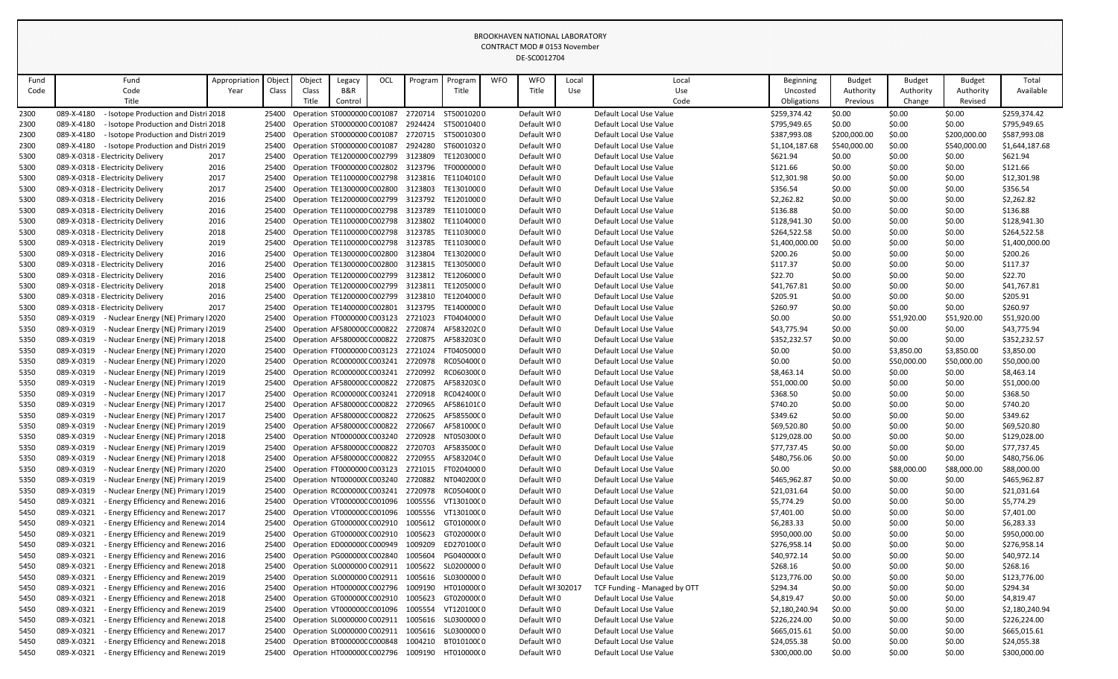|              |                                                                                          |               |                |        |                                                                  |     |         |                          |            | CONTRACT MOD # 0153 November<br>DE-SC0012704 |       |                                                    |                             |                  |                  |                  |                      |
|--------------|------------------------------------------------------------------------------------------|---------------|----------------|--------|------------------------------------------------------------------|-----|---------|--------------------------|------------|----------------------------------------------|-------|----------------------------------------------------|-----------------------------|------------------|------------------|------------------|----------------------|
| Fund         | Fund                                                                                     | Appropriation | Object         | Object | Legacy                                                           | OCL | Program | Program                  | <b>WFO</b> | <b>WFO</b>                                   | Local | Local                                              | <b>Beginning</b>            | <b>Budget</b>    | <b>Budget</b>    | <b>Budget</b>    | Total                |
| Code         | Code                                                                                     | Year          | Class          | Class  | <b>B&amp;R</b>                                                   |     |         | Title                    |            | Title                                        | Use   | Use                                                | Uncosted                    | Authority        | Authority        | Authority        | Available            |
|              | Title                                                                                    |               |                | Title  | Control                                                          |     |         |                          |            |                                              |       | Code                                               | Obligations                 | Previous         | Change           | Revised          |                      |
| 2300         | 089-X-4180<br>- Isotope Production and Distri 2018                                       |               | 25400          |        | Operation ST0000000 C001087                                      |     | 2720714 | ST50010200               |            | Default WI0                                  |       | Default Local Use Value                            | \$259,374.42                | \$0.00           | \$0.00           | \$0.00           | \$259,374.42         |
| 2300         | 089-X-4180<br>- Isotope Production and Distri 2018                                       |               | 25400          |        | Operation ST0000000 C001087                                      |     |         | 2924424 ST50010400       |            | Default WI0                                  |       | Default Local Use Value                            | \$795,949.65                | \$0.00           | \$0.00           | \$0.00           | \$795,949.65         |
| 2300         | 089-X-4180<br>- Isotope Production and Distri 2019                                       |               | 25400          |        | Operation ST0000000 C001087                                      |     |         | 2720715 ST50010300       |            | Default WI0                                  |       | Default Local Use Value                            | \$387,993.08                | \$200,000.00     | \$0.00           | \$200,000.00     | \$587,993.08         |
| 2300         | 089-X-4180<br>- Isotope Production and Distri 2019                                       |               | 25400          |        | Operation ST0000000 C001087                                      |     | 2924280 | ST60010320               |            | Default WI0                                  |       | Default Local Use Value                            | \$1,104,187.68              | \$540,000.00     | \$0.00           | \$540,000.00     | \$1,644,187.68       |
| 5300         | 089-X-0318 - Electricity Delivery                                                        | 2017          | 25400          |        | Operation TE1200000 C002799                                      |     | 3123809 | TE12030000               |            | Default WI0                                  |       | Default Local Use Value                            | \$621.94                    | \$0.00           | \$0.00           | \$0.00           | \$621.94             |
| 5300         | 089-X-0318 - Electricity Delivery                                                        | 2016          | 25400          |        | Operation TF0000000 C002802 3123796                              |     |         | TF00000000               |            | Default WI0                                  |       | Default Local Use Value                            | \$121.66                    | \$0.00           | \$0.00           | \$0.00           | \$121.66             |
| 5300         | 089-X-0318 - Electricity Delivery                                                        | 2017          | 25400          |        | Operation TE1100000 C002798 3123816                              |     |         | TE11040100               |            | Default WI0                                  |       | Default Local Use Value                            | \$12,301.98                 | \$0.00           | \$0.00           | \$0.00           | \$12,301.98          |
| 5300         | 089-X-0318 - Electricity Delivery                                                        | 2017          | 25400          |        | Operation TE1300000 C002800 3123803                              |     |         | TE13010000               |            | Default WI0                                  |       | Default Local Use Value                            | \$356.54                    | \$0.00           | \$0.00           | \$0.00           | \$356.54             |
| 5300         | 089-X-0318 - Electricity Delivery                                                        | 2016          | 25400          |        | Operation TE1200000 C002799 3123792                              |     |         | TE12010000               |            | Default WI0                                  |       | Default Local Use Value                            | \$2,262.82                  | \$0.00           | \$0.00           | \$0.00           | \$2,262.82           |
| 5300         | 089-X-0318 - Electricity Delivery                                                        | 2016          | 25400          |        | Operation TE1100000 C002798 3123789                              |     |         | TE11010000               |            | Default WI0                                  |       | Default Local Use Value                            | \$136.88                    | \$0.00           | \$0.00           | \$0.00           | \$136.88             |
| 5300         | 089-X-0318 - Electricity Delivery                                                        | 2016          | 25400          |        | Operation TE1100000 C002798 3123802                              |     |         | TE11040000               |            | Default WI0                                  |       | Default Local Use Value                            | \$128,941.30                | \$0.00           | \$0.00           | \$0.00           | \$128,941.30         |
| 5300         | 089-X-0318 - Electricity Delivery                                                        | 2018          | 25400          |        | Operation TE1100000 C002798 3123785                              |     |         | TE11030000               |            | Default WI0                                  |       | Default Local Use Value                            | \$264,522.58                | \$0.00           | \$0.00           | \$0.00           | \$264,522.58         |
| 5300         | 089-X-0318 - Electricity Delivery                                                        | 2019          | 25400          |        | Operation TE1100000 C002798 3123785                              |     |         | TE11030000               |            | Default WI0                                  |       | Default Local Use Value                            | \$1,400,000.00              | \$0.00           | \$0.00           | \$0.00           | \$1,400,000.00       |
| 5300         | 089-X-0318 - Electricity Delivery                                                        | 2016          | 25400          |        | Operation TE1300000 C002800 3123804                              |     |         | TE13020000               |            | Default WI0                                  |       | Default Local Use Value                            | \$200.26                    | \$0.00           | \$0.00           | \$0.00           | \$200.26             |
| 5300         | 089-X-0318 - Electricity Delivery                                                        | 2016          | 25400          |        | Operation TE1300000 C002800                                      |     | 3123815 | TE13050000               |            | Default WI0                                  |       | Default Local Use Value                            | \$117.37                    | \$0.00           | \$0.00           | \$0.00           | \$117.37             |
| 5300         | 089-X-0318 - Electricity Delivery                                                        | 2016          | 25400          |        | Operation TE1200000 C002799                                      |     | 3123812 | TE12060000               |            | Default WI0                                  |       | Default Local Use Value                            | \$22.70                     | \$0.00           | \$0.00           | \$0.00           | \$22.70              |
| 5300         | 089-X-0318 - Electricity Delivery                                                        | 2018          | 25400          |        | Operation TE1200000 C002799 3123811                              |     |         | TE12050000               |            | Default WI0                                  |       | Default Local Use Value                            | \$41,767.81                 | \$0.00           | \$0.00           | \$0.00           | \$41,767.81          |
| 5300         | 089-X-0318 - Electricity Delivery                                                        | 2016          | 25400          |        | Operation TE1200000 C002799                                      |     | 3123810 | TE12040000               |            | Default WI0                                  |       | Default Local Use Value                            | \$205.91                    | \$0.00           | \$0.00           | \$0.00           | \$205.91             |
| 5300         | 089-X-0318 - Electricity Delivery                                                        | 2017          | 25400          |        | Operation TE1400000 C002801                                      |     | 3123795 | TE14000000               |            | Default WIO                                  |       | Default Local Use Value                            | \$260.97                    | \$0.00           | \$0.00           | \$0.00           | \$260.97             |
| 5350         | 089-X-0319<br>- Nuclear Energy (NE) Primary 12020                                        |               | 25400          |        | Operation FT0000000 C003123                                      |     | 2721023 | FT04040000               |            | Default WI0                                  |       | Default Local Use Value                            | \$0.00                      | \$0.00           | \$51,920.00      | \$51,920.00      | \$51,920.00          |
| 5350         | 089-X-0319<br>- Nuclear Energy (NE) Primary 12019                                        |               | 25400          |        | Operation AF580000CC000822                                       |     | 2720874 | AF583202C0               |            | Default WI0                                  |       | Default Local Use Value                            | \$43,775.94                 | \$0.00           | \$0.00           | \$0.00           | \$43,775.94          |
| 5350         | 089-X-0319<br>- Nuclear Energy (NE) Primary 12018                                        |               | 25400          |        | Operation AF580000C C000822                                      |     | 2720875 | AF583203C0               |            | Default WI0                                  |       | Default Local Use Value                            | \$352,232.57                | \$0.00           | \$0.00           | \$0.00           | \$352,232.57         |
| 5350         | 089-X-0319<br>- Nuclear Energy (NE) Primary I2020                                        |               | 25400          |        | Operation FT0000000 C003123                                      |     | 2721024 | FT04050000               |            | Default WI0                                  |       | Default Local Use Value                            | \$0.00                      | \$0.00           | \$3,850.00       | \$3,850.00       | \$3,850.00           |
| 5350         | 089-X-0319<br>- Nuclear Energy (NE) Primary 12020                                        |               | 25400          |        | Operation RC000000CC003241                                       |     | 2720978 | RC05040000               |            | Default WI0                                  |       | Default Local Use Value                            | \$0.00                      | \$0.00           | \$50,000.00      | \$50,000.00      | \$50,000.00          |
| 5350         | 089-X-0319<br>- Nuclear Energy (NE) Primary 12019                                        |               | 25400          |        | Operation RC0000000 C003241                                      |     | 2720992 | RC06030000               |            | Default WI0                                  |       | Default Local Use Value                            | \$8,463.14                  | \$0.00           | \$0.00           | \$0.00           | \$8,463.14           |
| 5350         | 089-X-0319<br>- Nuclear Energy (NE) Primary 12019                                        |               |                |        | 25400 Operation AF580000C C000822 2720875 AF583203C0             |     |         |                          |            | Default WI0                                  |       | Default Local Use Value                            | \$51,000.00                 | \$0.00           | \$0.00           | \$0.00           | \$51,000.00          |
| 5350         | 089-X-0319<br>Nuclear Energy (NE) Primary I2017                                          |               | 25400          |        | Operation RC000000CC003241 2720918 RC042400C0                    |     |         |                          |            | Default WFO                                  |       | Default Local Use Value                            | \$368.50                    | \$0.00           | \$0.00           | \$0.00           | \$368.50             |
| 5350         | 089-X-0319<br>- Nuclear Energy (NE) Primary 12017                                        |               | 25400          |        | Operation AF580000C C000822                                      |     | 2720965 | AF586101C0<br>AF585500C0 |            | Default WI0                                  |       | Default Local Use Value<br>Default Local Use Value | \$740.20                    | \$0.00           | \$0.00           | \$0.00           | \$740.20<br>\$349.62 |
| 5350         | 089-X-0319<br>- Nuclear Energy (NE) Primary 12017<br>089-X-0319                          |               | 25400          |        | Operation AF580000CC000822<br>Operation AF580000CC000822 2720667 |     | 2720625 | AF581000C0               |            | Default WFO<br>Default WI0                   |       | Default Local Use Value                            | \$349.62                    | \$0.00           | \$0.00           | \$0.00           | \$69,520.80          |
| 5350<br>5350 | - Nuclear Energy (NE) Primary 12019<br>089-X-0319<br>- Nuclear Energy (NE) Primary 12018 |               | 25400<br>25400 |        | Operation NT000000(C003240                                       |     | 2720928 | NT050300(0               |            | Default WI0                                  |       | Default Local Use Value                            | \$69,520.80<br>\$129,028.00 | \$0.00<br>\$0.00 | \$0.00<br>\$0.00 | \$0.00<br>\$0.00 | \$129,028.00         |
| 5350         | 089-X-0319<br>Nuclear Energy (NE) Primary 12019                                          |               | 25400          |        | Operation AF580000CC000822                                       |     | 2720703 | AF583500C0               |            | Default WI0                                  |       | Default Local Use Value                            | \$77,737.45                 | \$0.00           | \$0.00           | \$0.00           | \$77,737.45          |
| 5350         | 089-X-0319<br>Nuclear Energy (NE) Primary 12018                                          |               | 25400          |        | Operation AF580000CC000822                                       |     | 2720955 | AF583204C0               |            | Default WI0                                  |       | Default Local Use Value                            | \$480,756.06                | \$0.00           | \$0.00           | \$0.00           | \$480,756.06         |
| 5350         | 089-X-0319<br>- Nuclear Energy (NE) Primary 12020                                        |               | 25400          |        | Operation FT0000000 C003123                                      |     | 2721015 | FT02040000               |            | Default WI0                                  |       | Default Local Use Value                            | \$0.00                      | \$0.00           | \$88,000.00      | \$88,000.00      | \$88,000.00          |
| 5350         | 089-X-0319<br>Nuclear Energy (NE) Primary 12019                                          |               | 25400          |        | Operation NT000000(C003240                                       |     | 2720882 | NT040200(0               |            | Default WI0                                  |       | Default Local Use Value                            | \$465,962.87                | \$0.00           | \$0.00           | \$0.00           | \$465,962.87         |
| 5350         | 089-X-0319<br>- Nuclear Energy (NE) Primary 12019                                        |               | 25400          |        | Operation RC000000CC003241                                       |     | 2720978 | RC05040000               |            | Default WI0                                  |       | Default Local Use Value                            | \$21,031.64                 | \$0.00           | \$0.00           | \$0.00           | \$21,031.64          |
| 5450         | 089-X-0321<br><b>Energy Efficiency and Renewa 2016</b>                                   |               | 25400          |        | Operation VT0000000 C001096                                      |     | 1005556 | VT13010000               |            | Default WI0                                  |       | Default Local Use Value                            | \$5,774.29                  | \$0.00           | \$0.00           | \$0.00           | \$5,774.29           |
| 5450         | 089-X-0321<br>Energy Efficiency and Renewa 2017                                          |               | 25400          |        | Operation VT000000CC001096                                       |     | 1005556 | VT13010000               |            | Default WI0                                  |       | Default Local Use Value                            | \$7,401.00                  | \$0.00           | \$0.00           | \$0.00           | \$7,401.00           |
| 5450         | 089-X-0321<br>- Energy Efficiency and Renewa 2014                                        |               | 25400          |        | Operation GT000000(C002910                                       |     | 1005612 | GT010000(0               |            | Default WI0                                  |       | Default Local Use Value                            | \$6,283.33                  | \$0.00           | \$0.00           | \$0.00           | \$6,283.33           |
| 5450         | 089-X-0321<br>- Energy Efficiency and Renewa 2019                                        |               | 25400          |        | Operation GT000000(C002910                                       |     | 1005623 | GT020000(0               |            | Default WI0                                  |       | Default Local Use Value                            | \$950,000.00                | \$0.00           | \$0.00           | \$0.00           | \$950,000.00         |
| 5450         | 089-X-0321<br>Energy Efficiency and Renewa 2016                                          |               | 25400          |        | Operation ED0000000 C000949                                      |     | 1009209 | ED270100(0               |            | Default WI0                                  |       | Default Local Use Value                            | \$276,958.14                | \$0.00           | \$0.00           | \$0.00           | \$276,958.14         |
| 5450         | 089-X-0321<br>- Energy Efficiency and Renewa 2016                                        |               | 25400          |        | Operation PG000000(C002840                                       |     | 1005604 | PG040000(0               |            | Default WIO                                  |       | Default Local Use Value                            | \$40,972.14                 | \$0.00           | \$0.00           | \$0.00           | \$40,972.14          |
| 5450         | 089-X-0321<br>Energy Efficiency and Renewa 2018                                          |               | 25400          |        | Operation SL0000000 C002911                                      |     | 1005622 | SL02000000               |            | Default WIO                                  |       | Default Local Use Value                            | \$268.16                    | \$0.00           | \$0.00           | \$0.00           | \$268.16             |
| 5450         | 089-X-0321<br>- Energy Efficiency and Renewa 2019                                        |               | 25400          |        | Operation SL0000000 C002911                                      |     | 1005616 | SL03000000               |            | Default WI0                                  |       | Default Local Use Value                            | \$123,776.00                | \$0.00           | \$0.00           | \$0.00           | \$123,776.00         |
| 5450         | 089-X-0321<br>Energy Efficiency and Renewa 2016                                          |               | 25400          |        | Operation HT000000(C002796                                       |     | 1009190 | HT010000(0               |            | Default WI 302017                            |       | TCF Funding - Managed by OTT                       | \$294.34                    | \$0.00           | \$0.00           | \$0.00           | \$294.34             |
| 5450         | 089-X-0321<br>Energy Efficiency and Renewa 2018                                          |               | 25400          |        | Operation GT0000000 C002910                                      |     | 1005623 | GT020000(0               |            | Default WI0                                  |       | Default Local Use Value                            | \$4,819.47                  | \$0.00           | \$0.00           | \$0.00           | \$4,819.47           |
| 5450         | 089-X-0321<br>- Energy Efficiency and Renewa 2019                                        |               | 25400          |        | Operation VT0000000 C001096                                      |     | 1005554 | VT12010000               |            | Default WI0                                  |       | Default Local Use Value                            | \$2,180,240.94              | \$0.00           | \$0.00           | \$0.00           | \$2,180,240.94       |
| 5450         | 089-X-0321<br><b>Energy Efficiency and Renewa 2018</b>                                   |               | 25400          |        | Operation SL0000000 C002911                                      |     | 1005616 | SL03000000               |            | Default WI0                                  |       | Default Local Use Value                            | \$226,224.00                | \$0.00           | \$0.00           | \$0.00           | \$226,224.00         |
| 5450         | 089-X-0321<br>Energy Efficiency and Renewa 2017                                          |               | 25400          |        | Operation SL0000000 C002911                                      |     | 1005616 | SL03000000               |            | Default WFO                                  |       | Default Local Use Value                            | \$665,015.61                | \$0.00           | \$0.00           | \$0.00           | \$665,015.61         |
| 5450         | 089-X-0321<br>Energy Efficiency and Renewa 2018                                          |               | 25400          |        | Operation BT000000C C000848                                      |     | 1004210 | BT010100C0               |            | Default WI0                                  |       | Default Local Use Value                            | \$24,055.38                 | \$0.00           | \$0.00           | \$0.00           | \$24,055.38          |
| 5450         | Energy Efficiency and Renewa 2019<br>089-X-0321                                          |               | 25400          |        | Operation HT0000000 C002796 1009190                              |     |         | HT010000(0               |            | Default WIO                                  |       | Default Local Use Value                            | \$300,000.00                | \$0.00           | \$0.00           | \$0.00           | \$300,000.00         |